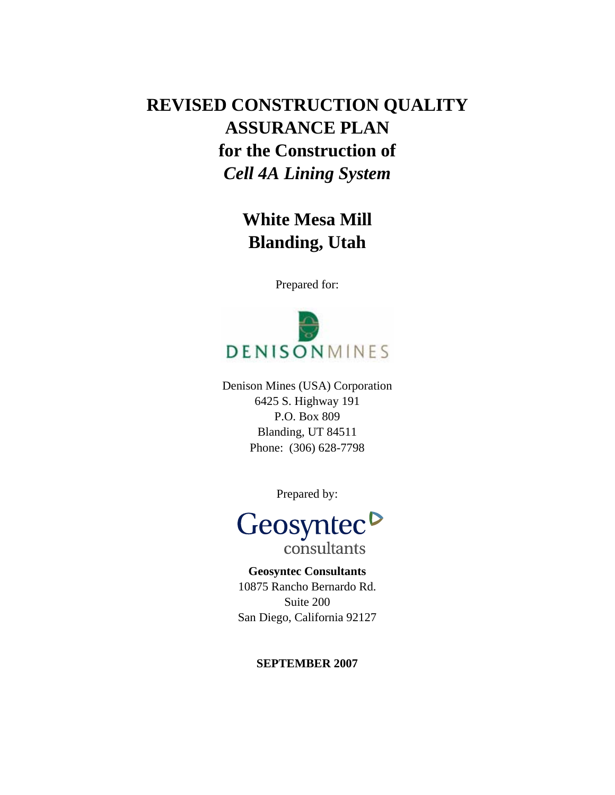# **REVISED CONSTRUCTION QUALITY ASSURANCE PLAN for the Construction of**  *Cell 4A Lining System*

**White Mesa Mill Blanding, Utah** 

Prepared for:



Denison Mines (USA) Corporation 6425 S. Highway 191 P.O. Box 809 Blanding, UT 84511 Phone: (306) 628-7798

Prepared by:



**Geosyntec Consultants**  10875 Rancho Bernardo Rd. Suite 200 San Diego, California 92127

# **SEPTEMBER 2007**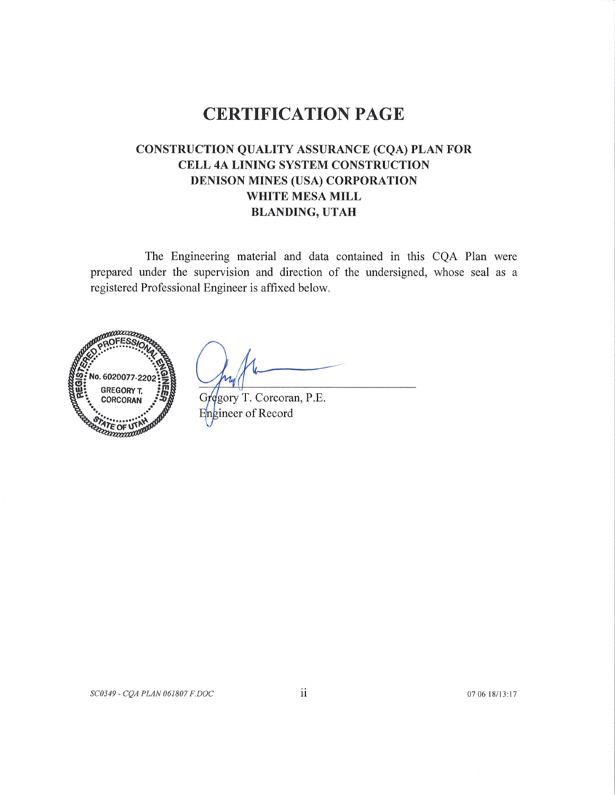# **CERTIFICATION PAGE**

# **CONSTRUCTION QUALITY ASSURANCE (CQA) PLAN FOR** CELL 4A LINING SYSTEM CONSTRUCTION DENISON MINES (USA) CORPORATION WHITE MESA MILL **BLANDING, UTAH**

The Engineering material and data contained in this CQA Plan were prepared under the supervision and direction of the undersigned, whose seal as a registered Professional Engineer is affixed below.



Gregory T. Corcoran, P.E. Engineer of Record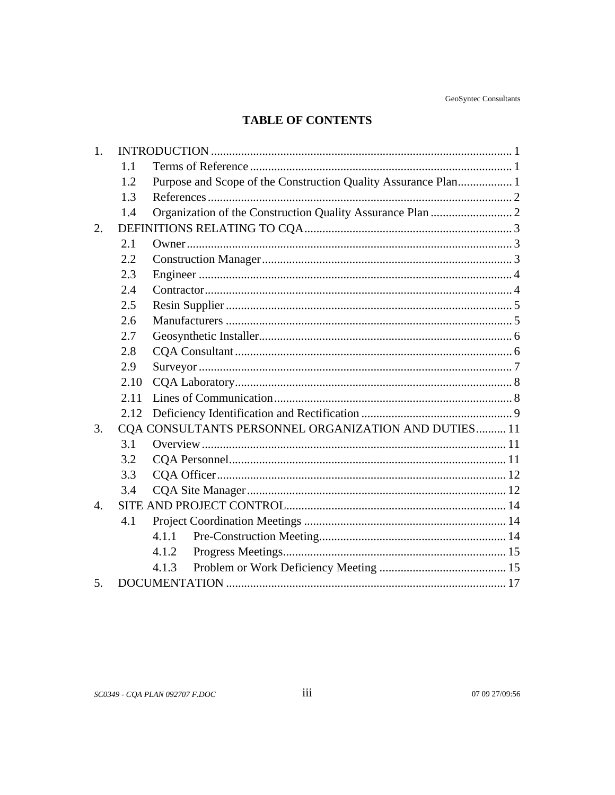# **TABLE OF CONTENTS**

| 1.               |      |                                                                |  |
|------------------|------|----------------------------------------------------------------|--|
|                  | 1.1  |                                                                |  |
|                  | 1.2  | Purpose and Scope of the Construction Quality Assurance Plan 1 |  |
|                  | 1.3  |                                                                |  |
|                  | 1.4  |                                                                |  |
| 2.               |      |                                                                |  |
|                  | 2.1  |                                                                |  |
|                  | 2.2  |                                                                |  |
|                  | 2.3  |                                                                |  |
|                  | 2.4  |                                                                |  |
|                  | 2.5  |                                                                |  |
|                  | 2.6  |                                                                |  |
|                  | 2.7  |                                                                |  |
|                  | 2.8  |                                                                |  |
|                  | 2.9  |                                                                |  |
|                  | 2.10 |                                                                |  |
|                  | 2.11 |                                                                |  |
|                  | 2.12 |                                                                |  |
| 3.               |      | CQA CONSULTANTS PERSONNEL ORGANIZATION AND DUTIES 11           |  |
|                  | 3.1  |                                                                |  |
|                  | 3.2  |                                                                |  |
|                  | 3.3  |                                                                |  |
|                  | 3.4  |                                                                |  |
| $\overline{4}$ . |      |                                                                |  |
|                  | 4.1  |                                                                |  |
|                  |      | 4.1.1                                                          |  |
|                  |      | 4.1.2                                                          |  |
|                  |      | 4.1.3                                                          |  |
| 5.               |      |                                                                |  |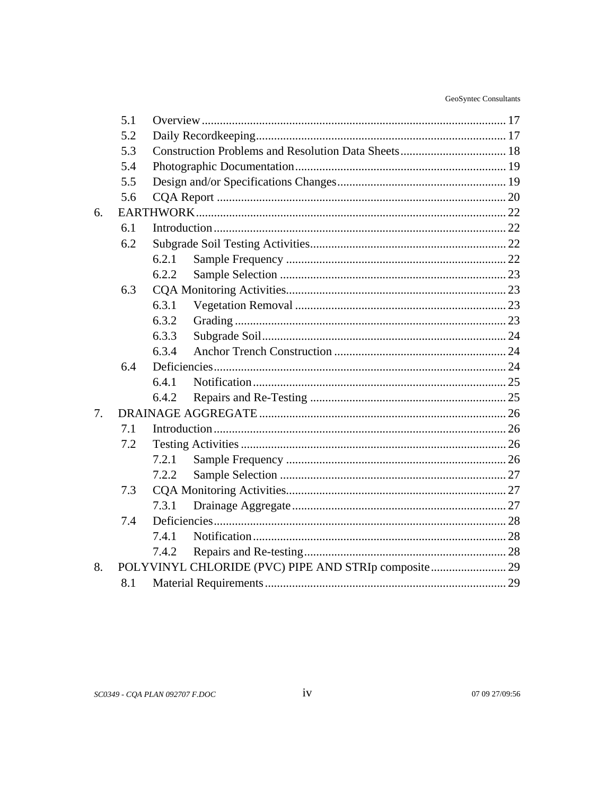|    | 5.1 |                                                      |  |
|----|-----|------------------------------------------------------|--|
|    | 5.2 |                                                      |  |
|    | 5.3 |                                                      |  |
|    | 5.4 |                                                      |  |
|    | 5.5 |                                                      |  |
|    | 5.6 |                                                      |  |
| 6. |     |                                                      |  |
|    | 6.1 |                                                      |  |
|    | 6.2 |                                                      |  |
|    |     | 6.2.1                                                |  |
|    |     | 6.2.2                                                |  |
|    | 6.3 |                                                      |  |
|    |     | 6.3.1                                                |  |
|    |     | 6.3.2                                                |  |
|    |     | 6.3.3                                                |  |
|    |     | 6.3.4                                                |  |
|    | 6.4 |                                                      |  |
|    |     | 6.4.1                                                |  |
|    |     | 6.4.2                                                |  |
| 7. |     |                                                      |  |
|    | 7.1 |                                                      |  |
|    | 7.2 |                                                      |  |
|    |     | 7.2.1                                                |  |
|    |     | 7.2.2                                                |  |
|    | 7.3 |                                                      |  |
|    |     | 7.3.1                                                |  |
|    | 7.4 |                                                      |  |
|    |     | 7.4.1                                                |  |
|    |     | 7.4.2                                                |  |
| 8. |     | POLYVINYL CHLORIDE (PVC) PIPE AND STRIp composite 29 |  |
|    | 8.1 |                                                      |  |
|    |     |                                                      |  |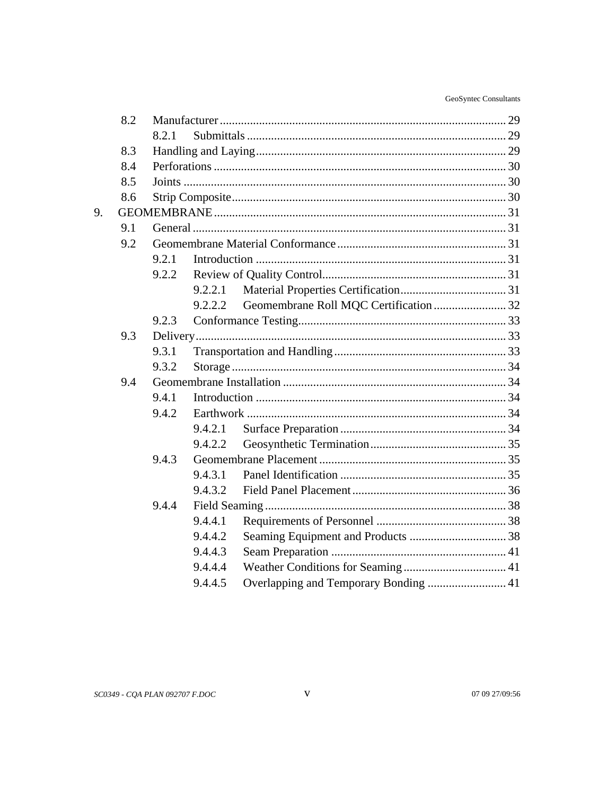| GeoSyntec Consultants |
|-----------------------|
|                       |

|    | 8.2 |       |         |  |  |
|----|-----|-------|---------|--|--|
|    |     | 8.2.1 |         |  |  |
|    | 8.3 |       |         |  |  |
|    | 8.4 |       |         |  |  |
|    | 8.5 |       |         |  |  |
|    | 8.6 |       |         |  |  |
|    |     |       |         |  |  |
| 9. |     |       |         |  |  |
|    | 9.1 |       |         |  |  |
|    | 9.2 |       |         |  |  |
|    |     | 9.2.1 |         |  |  |
|    |     | 9.2.2 |         |  |  |
|    |     |       | 9.2.2.1 |  |  |
|    |     |       | 9.2.2.2 |  |  |
|    |     | 9.2.3 |         |  |  |
|    | 9.3 |       |         |  |  |
|    |     | 9.3.1 |         |  |  |
|    |     | 9.3.2 |         |  |  |
|    | 9.4 |       |         |  |  |
|    |     | 9.4.1 |         |  |  |
|    |     | 9.4.2 |         |  |  |
|    |     |       | 9.4.2.1 |  |  |
|    |     |       | 9.4.2.2 |  |  |
|    |     | 9.4.3 |         |  |  |
|    |     |       | 9.4.3.1 |  |  |
|    |     |       | 9.4.3.2 |  |  |
|    |     | 9.4.4 |         |  |  |
|    |     |       | 9.4.4.1 |  |  |
|    |     |       | 9.4.4.2 |  |  |
|    |     |       | 9.4.4.3 |  |  |
|    |     |       | 9.4.4.4 |  |  |
|    |     |       | 9.4.4.5 |  |  |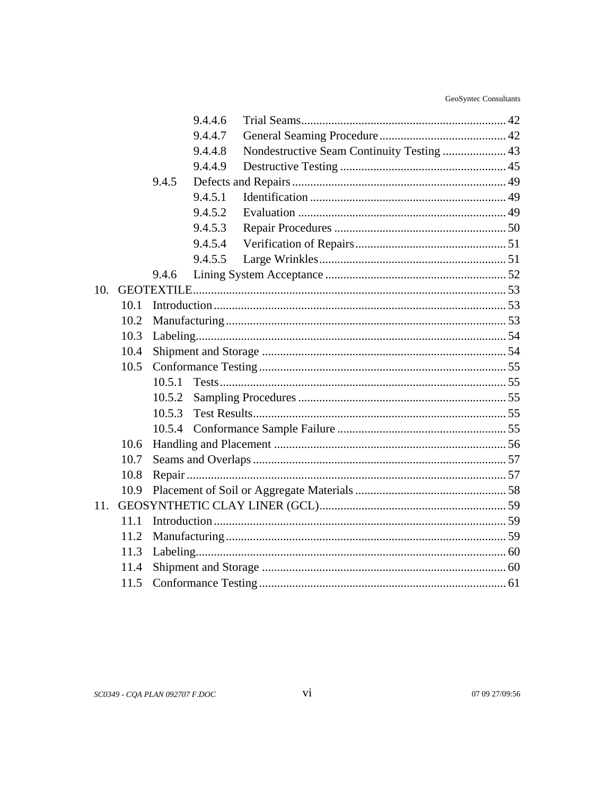GeoSyntec Consultants

|     |      | 9.4.4.6 |                                            |
|-----|------|---------|--------------------------------------------|
|     |      | 9.4.4.7 |                                            |
|     |      | 9.4.4.8 | Nondestructive Seam Continuity Testing  43 |
|     |      | 9.4.4.9 |                                            |
|     |      | 9.4.5   |                                            |
|     |      | 9.4.5.1 |                                            |
|     |      | 9.4.5.2 |                                            |
|     |      | 9.4.5.3 |                                            |
|     |      | 9.4.5.4 |                                            |
|     |      | 9.4.5.5 |                                            |
|     |      | 9.4.6   |                                            |
| 10. |      |         |                                            |
|     | 10.1 |         |                                            |
|     | 10.2 |         |                                            |
|     | 10.3 |         |                                            |
|     | 10.4 |         |                                            |
|     | 10.5 |         |                                            |
|     |      | 10.5.1  |                                            |
|     |      | 10.5.2  |                                            |
|     |      | 10.5.3  |                                            |
|     |      | 10.5.4  |                                            |
|     | 10.6 |         |                                            |
|     | 10.7 |         |                                            |
|     | 10.8 |         |                                            |
|     | 10.9 |         |                                            |
| 11. |      |         |                                            |
|     | 11.1 |         |                                            |
|     | 11.2 |         |                                            |
|     | 11.3 |         |                                            |
|     | 11.4 |         |                                            |
|     | 11.5 |         |                                            |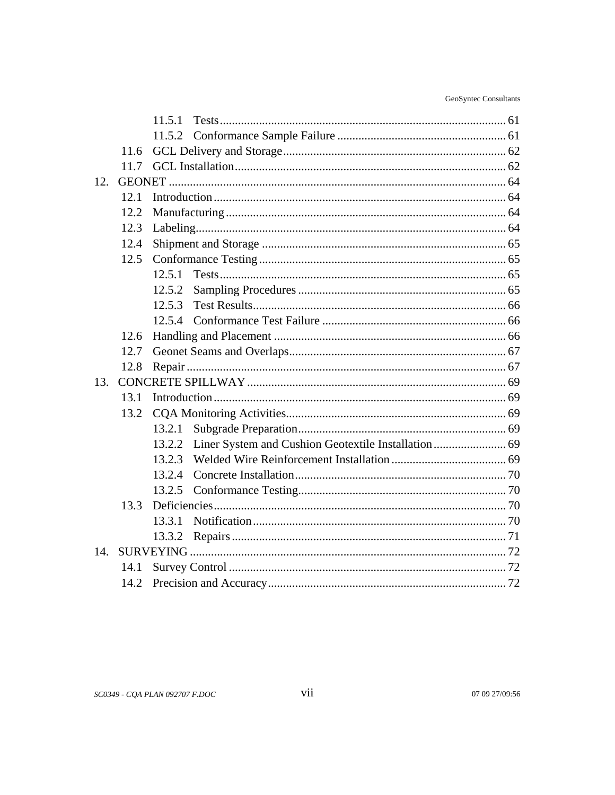|     |      | 11.5.1 |  |
|-----|------|--------|--|
|     |      |        |  |
|     | 11.6 |        |  |
|     | 11.7 |        |  |
| 12. |      |        |  |
|     | 12.1 |        |  |
|     | 12.2 |        |  |
|     | 12.3 |        |  |
|     | 12.4 |        |  |
|     | 12.5 |        |  |
|     |      | 12.5.1 |  |
|     |      | 12.5.2 |  |
|     |      | 12.5.3 |  |
|     |      | 12.5.4 |  |
|     | 12.6 |        |  |
|     | 12.7 |        |  |
|     | 12.8 |        |  |
| 13. |      |        |  |
|     | 13.1 |        |  |
|     | 13.2 |        |  |
|     |      | 13.2.1 |  |
|     |      | 13.2.2 |  |
|     |      | 13.2.3 |  |
|     |      | 13.2.4 |  |
|     |      | 13.2.5 |  |
|     | 13.3 |        |  |
|     |      | 13.3.1 |  |
|     |      |        |  |
| 14. |      |        |  |
|     | 14.1 |        |  |
|     | 14.2 |        |  |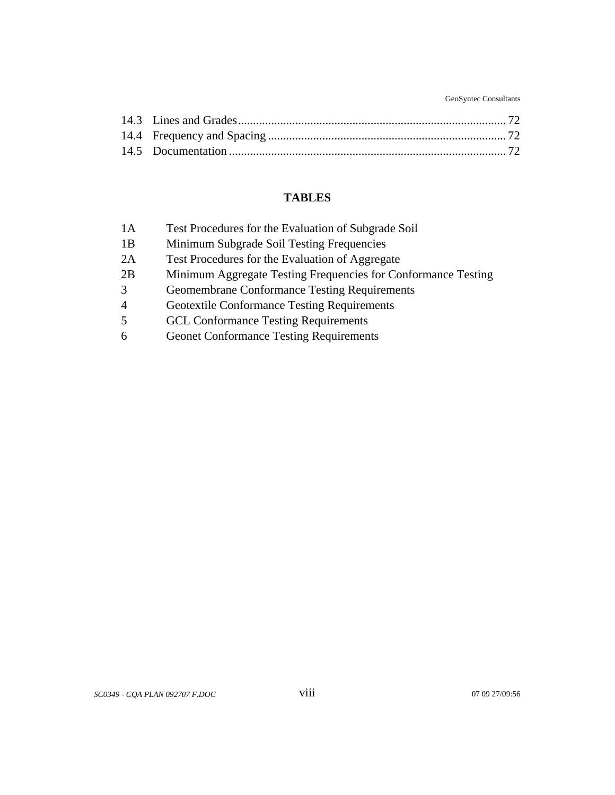GeoSyntec Consultants

# **TABLES**

| 1A             | Test Procedures for the Evaluation of Subgrade Soil           |
|----------------|---------------------------------------------------------------|
| 1B             | Minimum Subgrade Soil Testing Frequencies                     |
| 2A             | Test Procedures for the Evaluation of Aggregate               |
| 2B             | Minimum Aggregate Testing Frequencies for Conformance Testing |
| 3              | <b>Geomembrane Conformance Testing Requirements</b>           |
| $\overline{4}$ | <b>Geotextile Conformance Testing Requirements</b>            |
| 5              | <b>GCL Conformance Testing Requirements</b>                   |
| 6              | <b>Geonet Conformance Testing Requirements</b>                |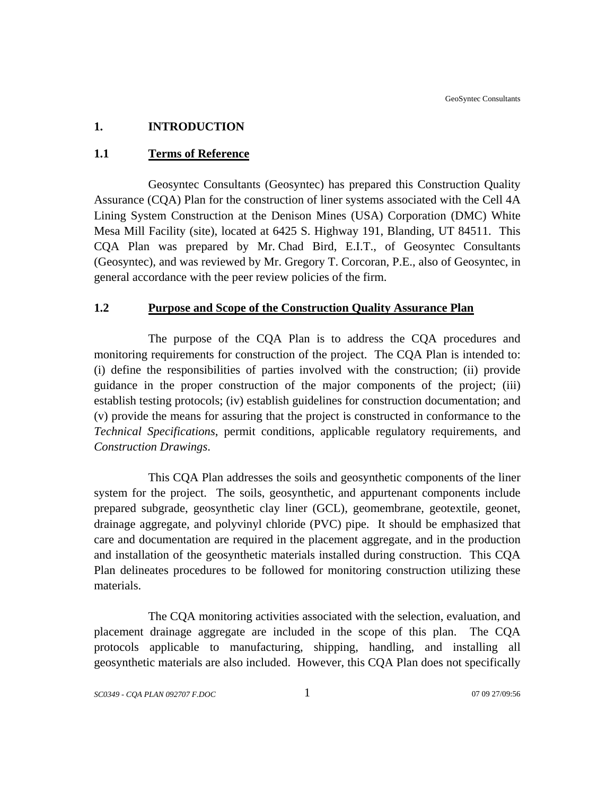# **1. INTRODUCTION**

# **1.1 Terms of Reference**

Geosyntec Consultants (Geosyntec) has prepared this Construction Quality Assurance (CQA) Plan for the construction of liner systems associated with the Cell 4A Lining System Construction at the Denison Mines (USA) Corporation (DMC) White Mesa Mill Facility (site), located at 6425 S. Highway 191, Blanding, UT 84511. This CQA Plan was prepared by Mr. Chad Bird, E.I.T., of Geosyntec Consultants (Geosyntec), and was reviewed by Mr. Gregory T. Corcoran, P.E., also of Geosyntec, in general accordance with the peer review policies of the firm.

# **1.2 Purpose and Scope of the Construction Quality Assurance Plan**

The purpose of the CQA Plan is to address the CQA procedures and monitoring requirements for construction of the project. The CQA Plan is intended to: (i) define the responsibilities of parties involved with the construction; (ii) provide guidance in the proper construction of the major components of the project; (iii) establish testing protocols; (iv) establish guidelines for construction documentation; and (v) provide the means for assuring that the project is constructed in conformance to the *Technical Specifications*, permit conditions, applicable regulatory requirements, and *Construction Drawings*.

This CQA Plan addresses the soils and geosynthetic components of the liner system for the project. The soils, geosynthetic, and appurtenant components include prepared subgrade, geosynthetic clay liner (GCL), geomembrane, geotextile, geonet, drainage aggregate, and polyvinyl chloride (PVC) pipe. It should be emphasized that care and documentation are required in the placement aggregate, and in the production and installation of the geosynthetic materials installed during construction. This CQA Plan delineates procedures to be followed for monitoring construction utilizing these materials.

The CQA monitoring activities associated with the selection, evaluation, and placement drainage aggregate are included in the scope of this plan. The CQA protocols applicable to manufacturing, shipping, handling, and installing all geosynthetic materials are also included. However, this CQA Plan does not specifically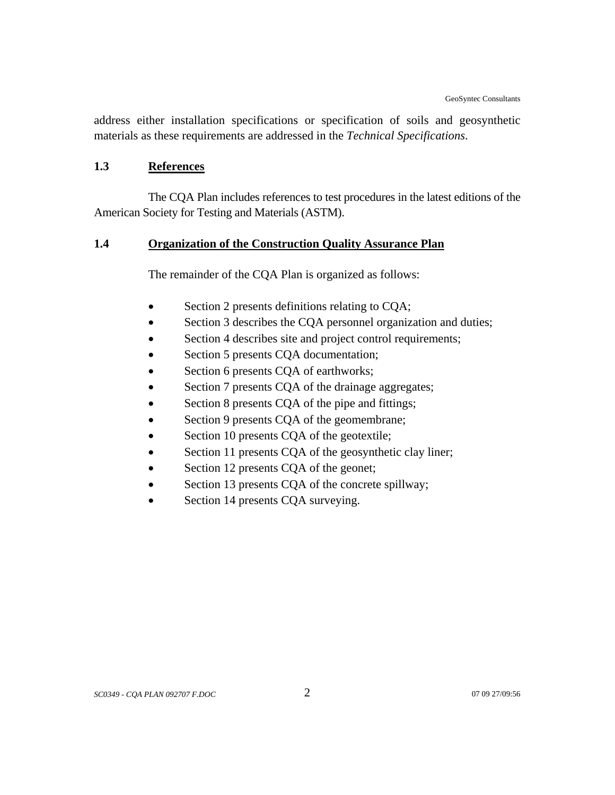address either installation specifications or specification of soils and geosynthetic materials as these requirements are addressed in the *Technical Specifications*.

## **1.3 References**

The CQA Plan includes references to test procedures in the latest editions of the American Society for Testing and Materials (ASTM).

# **1.4 Organization of the Construction Quality Assurance Plan**

The remainder of the CQA Plan is organized as follows:

- Section 2 presents definitions relating to CQA;
- Section 3 describes the CQA personnel organization and duties;
- Section 4 describes site and project control requirements;
- Section 5 presents CQA documentation;
- Section 6 presents CQA of earthworks;
- Section 7 presents CQA of the drainage aggregates;
- Section 8 presents CQA of the pipe and fittings;
- Section 9 presents CQA of the geomembrane;
- Section 10 presents CQA of the geotextile;
- Section 11 presents CQA of the geosynthetic clay liner;
- Section 12 presents CQA of the geonet;
- Section 13 presents CQA of the concrete spillway;
- Section 14 presents CQA surveying.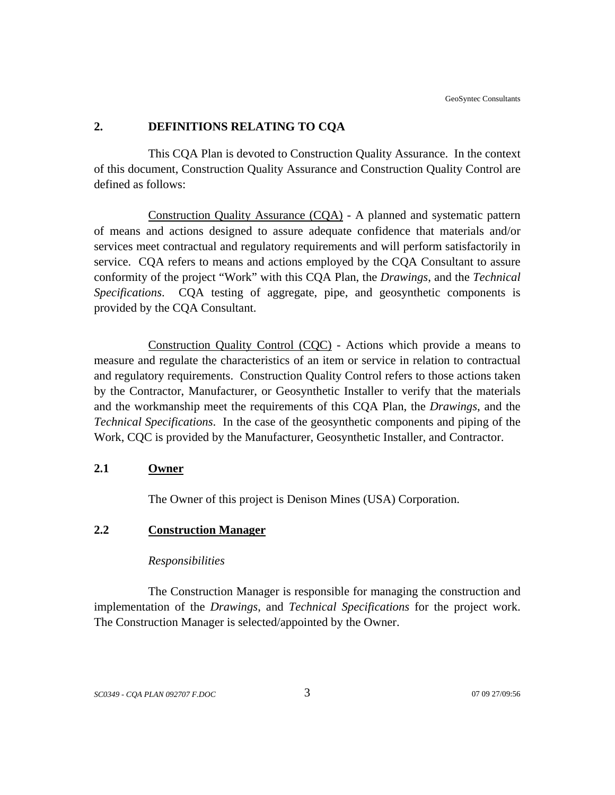# **2. DEFINITIONS RELATING TO CQA**

This CQA Plan is devoted to Construction Quality Assurance. In the context of this document, Construction Quality Assurance and Construction Quality Control are defined as follows:

Construction Quality Assurance (CQA) - A planned and systematic pattern of means and actions designed to assure adequate confidence that materials and/or services meet contractual and regulatory requirements and will perform satisfactorily in service. CQA refers to means and actions employed by the CQA Consultant to assure conformity of the project "Work" with this CQA Plan, the *Drawings*, and the *Technical Specifications*. CQA testing of aggregate, pipe, and geosynthetic components is provided by the CQA Consultant.

Construction Quality Control (CQC) - Actions which provide a means to measure and regulate the characteristics of an item or service in relation to contractual and regulatory requirements. Construction Quality Control refers to those actions taken by the Contractor, Manufacturer, or Geosynthetic Installer to verify that the materials and the workmanship meet the requirements of this CQA Plan, the *Drawings*, and the *Technical Specifications*. In the case of the geosynthetic components and piping of the Work, CQC is provided by the Manufacturer, Geosynthetic Installer, and Contractor.

## **2.1 Owner**

The Owner of this project is Denison Mines (USA) Corporation.

# **2.2 Construction Manager**

#### *Responsibilities*

The Construction Manager is responsible for managing the construction and implementation of the *Drawings*, and *Technical Specifications* for the project work. The Construction Manager is selected/appointed by the Owner.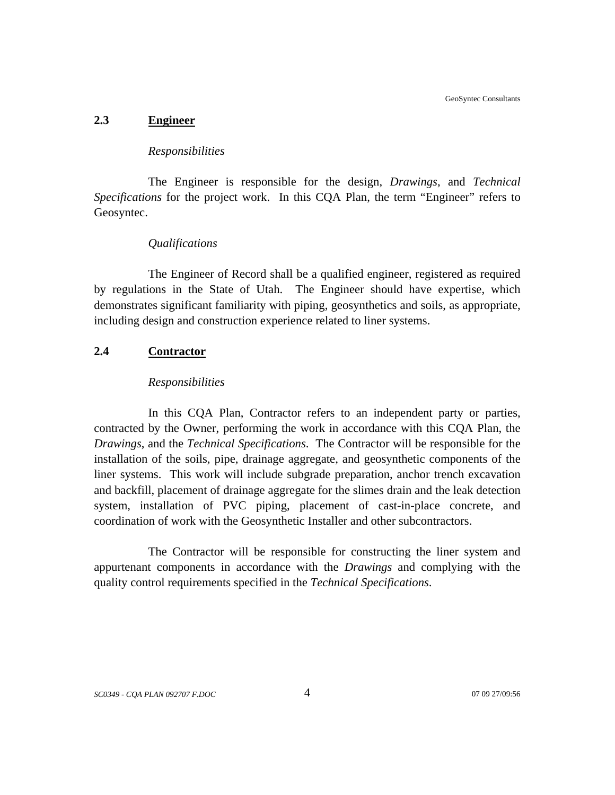GeoSyntec Consultants

## **2.3 Engineer**

## *Responsibilities*

The Engineer is responsible for the design, *Drawings*, and *Technical Specifications* for the project work. In this CQA Plan, the term "Engineer" refers to Geosyntec.

# *Qualifications*

The Engineer of Record shall be a qualified engineer, registered as required by regulations in the State of Utah. The Engineer should have expertise, which demonstrates significant familiarity with piping, geosynthetics and soils, as appropriate, including design and construction experience related to liner systems.

# **2.4 Contractor**

# *Responsibilities*

In this CQA Plan, Contractor refers to an independent party or parties, contracted by the Owner, performing the work in accordance with this CQA Plan, the *Drawings*, and the *Technical Specifications*. The Contractor will be responsible for the installation of the soils, pipe, drainage aggregate, and geosynthetic components of the liner systems. This work will include subgrade preparation, anchor trench excavation and backfill, placement of drainage aggregate for the slimes drain and the leak detection system, installation of PVC piping, placement of cast-in-place concrete, and coordination of work with the Geosynthetic Installer and other subcontractors.

The Contractor will be responsible for constructing the liner system and appurtenant components in accordance with the *Drawings* and complying with the quality control requirements specified in the *Technical Specifications*.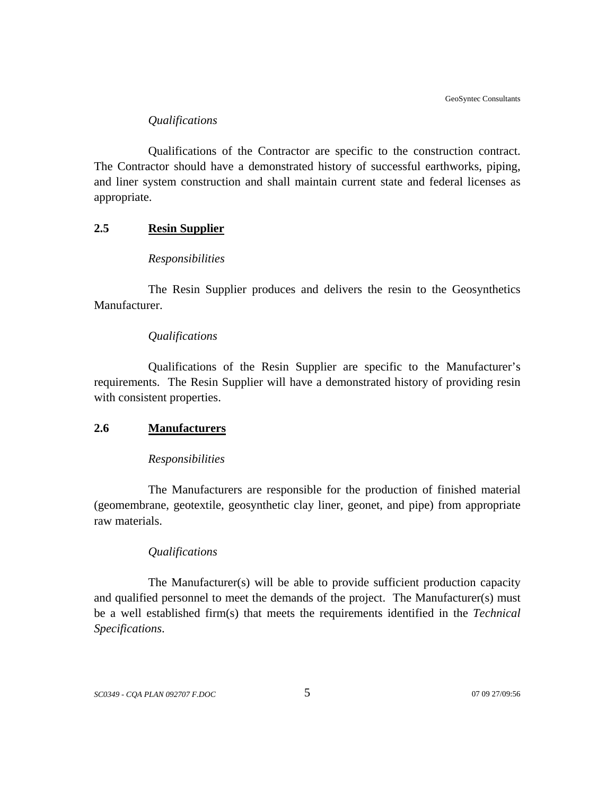# *Qualifications*

Qualifications of the Contractor are specific to the construction contract. The Contractor should have a demonstrated history of successful earthworks, piping, and liner system construction and shall maintain current state and federal licenses as appropriate.

# **2.5 Resin Supplier**

## *Responsibilities*

The Resin Supplier produces and delivers the resin to the Geosynthetics Manufacturer.

### *Qualifications*

Qualifications of the Resin Supplier are specific to the Manufacturer's requirements. The Resin Supplier will have a demonstrated history of providing resin with consistent properties.

#### **2.6 Manufacturers**

#### *Responsibilities*

The Manufacturers are responsible for the production of finished material (geomembrane, geotextile, geosynthetic clay liner, geonet, and pipe) from appropriate raw materials.

### *Qualifications*

The Manufacturer(s) will be able to provide sufficient production capacity and qualified personnel to meet the demands of the project. The Manufacturer(s) must be a well established firm(s) that meets the requirements identified in the *Technical Specifications*.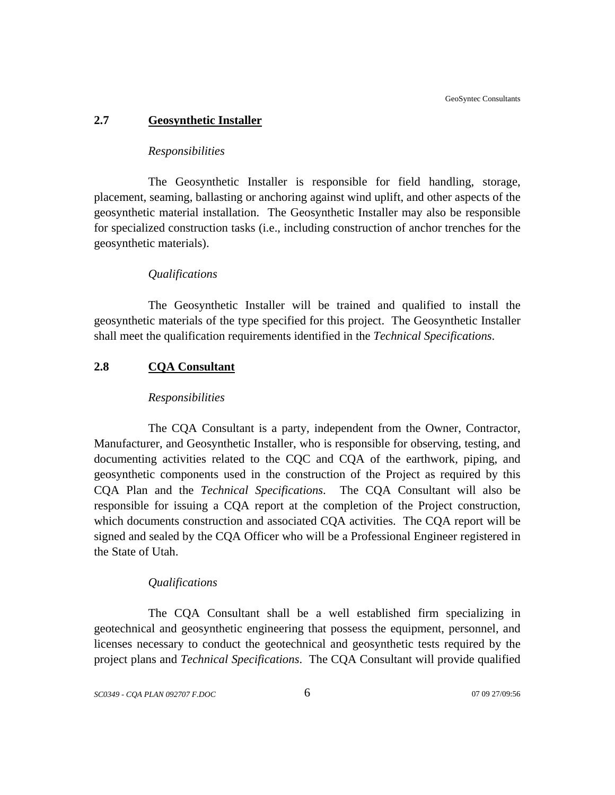## **2.7 Geosynthetic Installer**

### *Responsibilities*

The Geosynthetic Installer is responsible for field handling, storage, placement, seaming, ballasting or anchoring against wind uplift, and other aspects of the geosynthetic material installation. The Geosynthetic Installer may also be responsible for specialized construction tasks (i.e., including construction of anchor trenches for the geosynthetic materials).

#### *Qualifications*

The Geosynthetic Installer will be trained and qualified to install the geosynthetic materials of the type specified for this project. The Geosynthetic Installer shall meet the qualification requirements identified in the *Technical Specifications*.

# **2.8 CQA Consultant**

#### *Responsibilities*

The CQA Consultant is a party, independent from the Owner, Contractor, Manufacturer, and Geosynthetic Installer, who is responsible for observing, testing, and documenting activities related to the CQC and CQA of the earthwork, piping, and geosynthetic components used in the construction of the Project as required by this CQA Plan and the *Technical Specifications*. The CQA Consultant will also be responsible for issuing a CQA report at the completion of the Project construction, which documents construction and associated CQA activities. The CQA report will be signed and sealed by the CQA Officer who will be a Professional Engineer registered in the State of Utah.

#### *Qualifications*

The CQA Consultant shall be a well established firm specializing in geotechnical and geosynthetic engineering that possess the equipment, personnel, and licenses necessary to conduct the geotechnical and geosynthetic tests required by the project plans and *Technical Specifications*. The CQA Consultant will provide qualified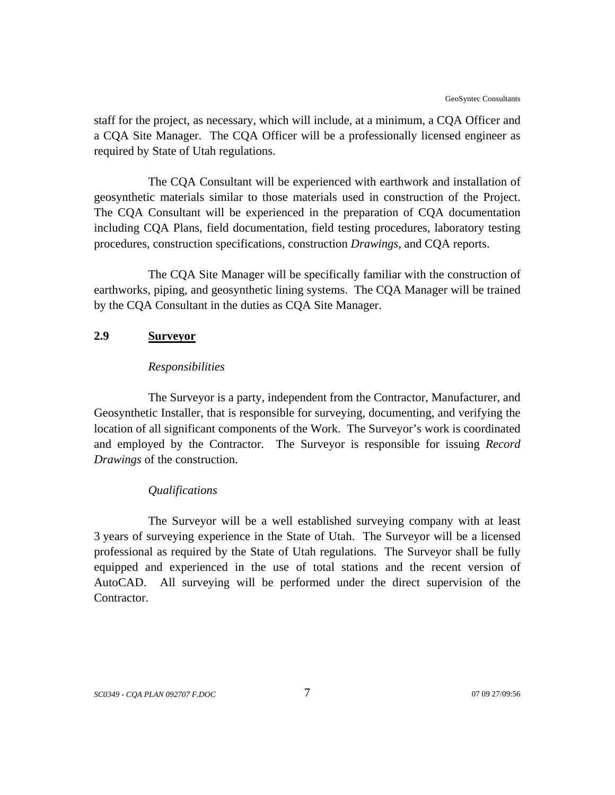staff for the project, as necessary, which will include, at a minimum, a CQA Officer and a CQA Site Manager. The CQA Officer will be a professionally licensed engineer as required by State of Utah regulations.

The CQA Consultant will be experienced with earthwork and installation of geosynthetic materials similar to those materials used in construction of the Project. The CQA Consultant will be experienced in the preparation of CQA documentation including CQA Plans, field documentation, field testing procedures, laboratory testing procedures, construction specifications, construction *Drawings*, and CQA reports.

The CQA Site Manager will be specifically familiar with the construction of earthworks, piping, and geosynthetic lining systems. The CQA Manager will be trained by the CQA Consultant in the duties as CQA Site Manager.

## **2.9 Surveyor**

### *Responsibilities*

The Surveyor is a party, independent from the Contractor, Manufacturer, and Geosynthetic Installer, that is responsible for surveying, documenting, and verifying the location of all significant components of the Work. The Surveyor's work is coordinated and employed by the Contractor. The Surveyor is responsible for issuing *Record Drawings* of the construction.

#### *Qualifications*

The Surveyor will be a well established surveying company with at least 3 years of surveying experience in the State of Utah. The Surveyor will be a licensed professional as required by the State of Utah regulations. The Surveyor shall be fully equipped and experienced in the use of total stations and the recent version of AutoCAD. All surveying will be performed under the direct supervision of the Contractor.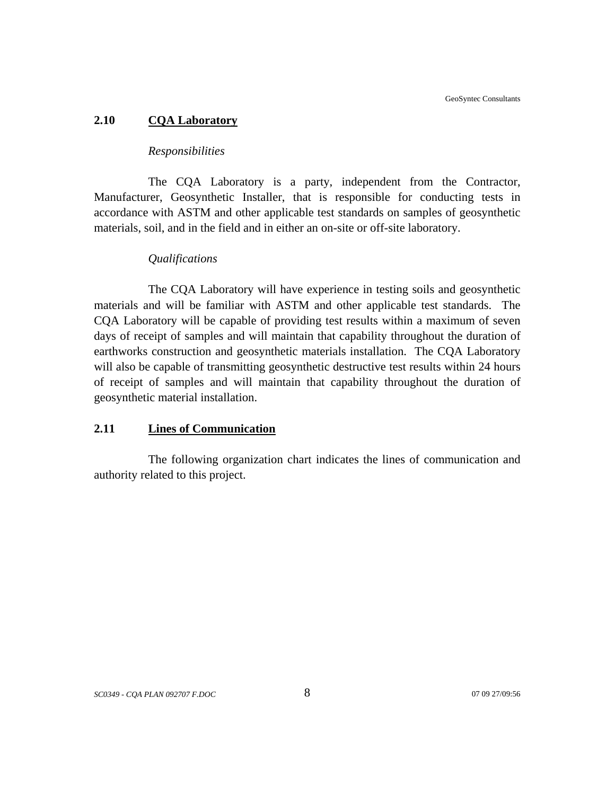## **2.10 CQA Laboratory**

## *Responsibilities*

The CQA Laboratory is a party, independent from the Contractor, Manufacturer, Geosynthetic Installer, that is responsible for conducting tests in accordance with ASTM and other applicable test standards on samples of geosynthetic materials, soil, and in the field and in either an on-site or off-site laboratory.

## *Qualifications*

The CQA Laboratory will have experience in testing soils and geosynthetic materials and will be familiar with ASTM and other applicable test standards. The CQA Laboratory will be capable of providing test results within a maximum of seven days of receipt of samples and will maintain that capability throughout the duration of earthworks construction and geosynthetic materials installation. The CQA Laboratory will also be capable of transmitting geosynthetic destructive test results within 24 hours of receipt of samples and will maintain that capability throughout the duration of geosynthetic material installation.

# **2.11 Lines of Communication**

The following organization chart indicates the lines of communication and authority related to this project.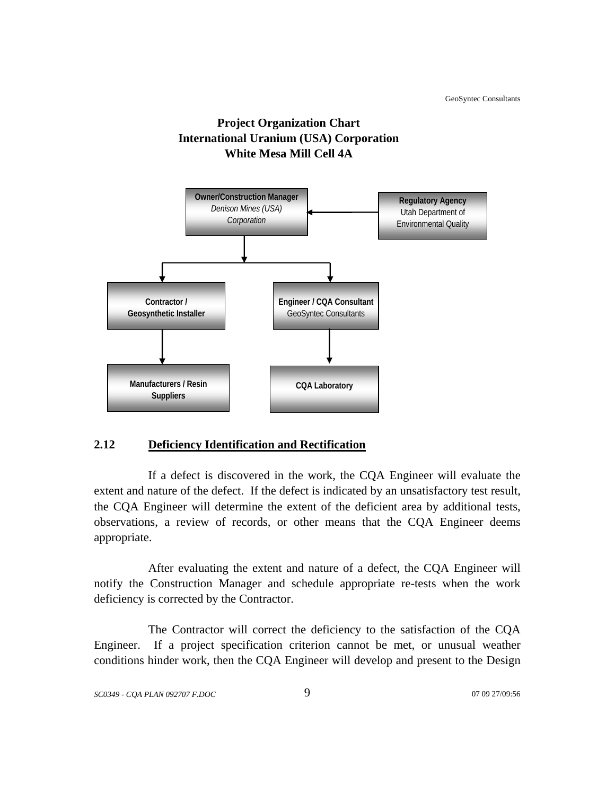



# **2.12 Deficiency Identification and Rectification**

If a defect is discovered in the work, the CQA Engineer will evaluate the extent and nature of the defect. If the defect is indicated by an unsatisfactory test result, the CQA Engineer will determine the extent of the deficient area by additional tests, observations, a review of records, or other means that the CQA Engineer deems appropriate.

After evaluating the extent and nature of a defect, the CQA Engineer will notify the Construction Manager and schedule appropriate re-tests when the work deficiency is corrected by the Contractor.

The Contractor will correct the deficiency to the satisfaction of the CQA Engineer. If a project specification criterion cannot be met, or unusual weather conditions hinder work, then the CQA Engineer will develop and present to the Design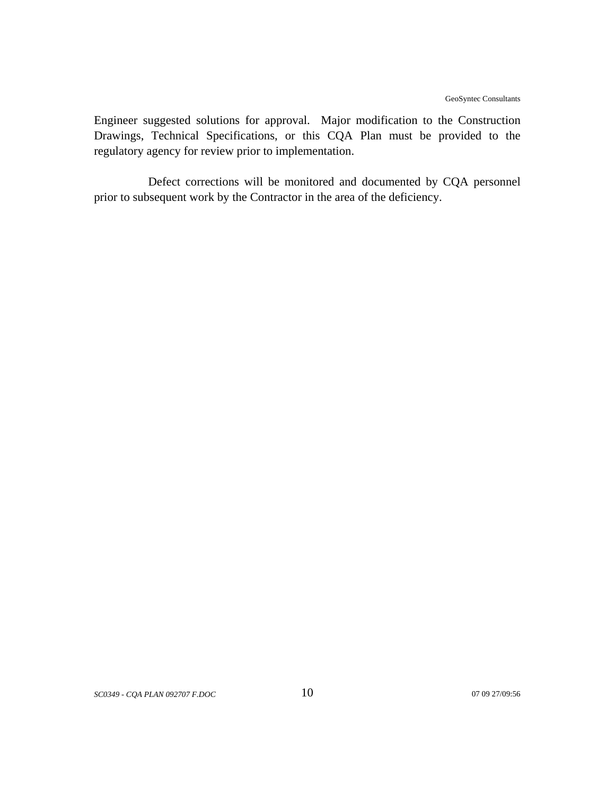Engineer suggested solutions for approval. Major modification to the Construction Drawings, Technical Specifications, or this CQA Plan must be provided to the regulatory agency for review prior to implementation.

Defect corrections will be monitored and documented by CQA personnel prior to subsequent work by the Contractor in the area of the deficiency.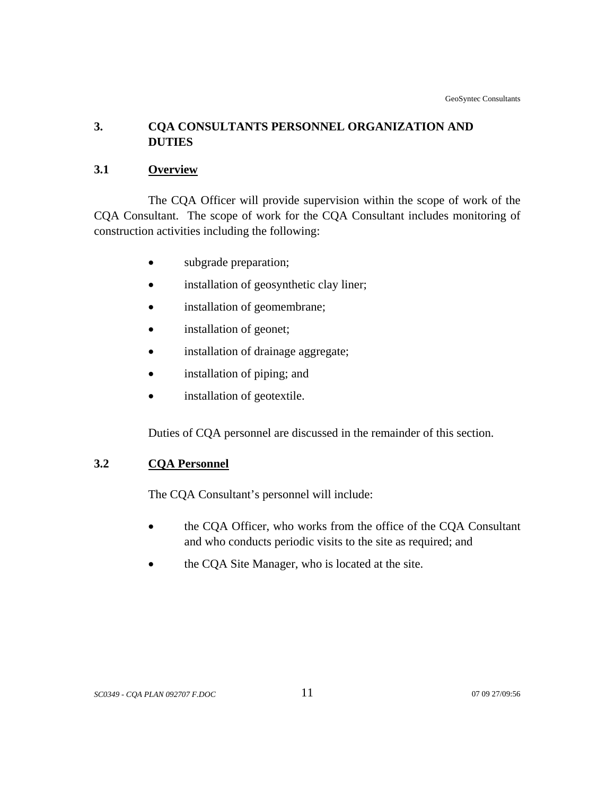# **3. CQA CONSULTANTS PERSONNEL ORGANIZATION AND DUTIES**

# **3.1 Overview**

The CQA Officer will provide supervision within the scope of work of the CQA Consultant. The scope of work for the CQA Consultant includes monitoring of construction activities including the following:

- subgrade preparation;
- installation of geosynthetic clay liner;
- installation of geomembrane;
- installation of geonet;
- installation of drainage aggregate;
- installation of piping; and
- installation of geotextile.

Duties of CQA personnel are discussed in the remainder of this section.

# **3.2 CQA Personnel**

The CQA Consultant's personnel will include:

- the CQA Officer, who works from the office of the CQA Consultant and who conducts periodic visits to the site as required; and
- the CQA Site Manager, who is located at the site.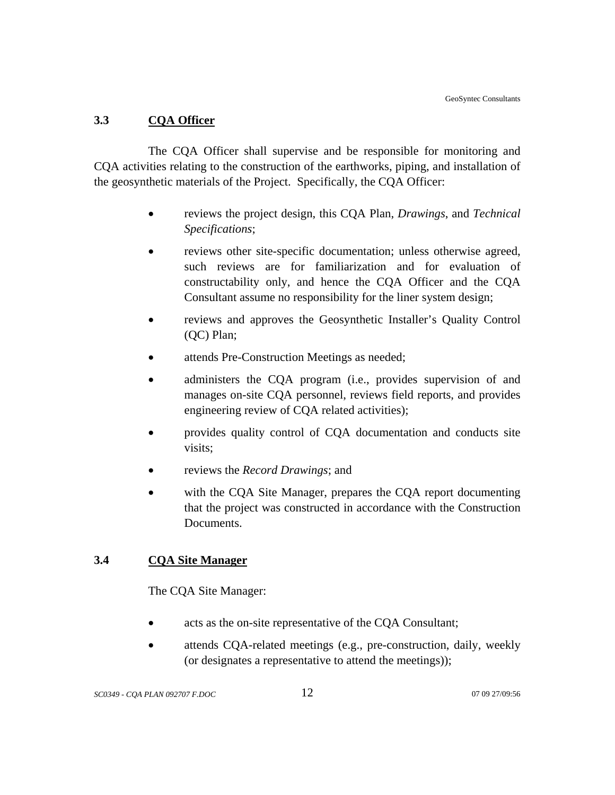# **3.3 CQA Officer**

The CQA Officer shall supervise and be responsible for monitoring and CQA activities relating to the construction of the earthworks, piping, and installation of the geosynthetic materials of the Project. Specifically, the CQA Officer:

- reviews the project design, this CQA Plan, *Drawings*, and *Technical Specifications*;
- reviews other site-specific documentation; unless otherwise agreed, such reviews are for familiarization and for evaluation of constructability only, and hence the CQA Officer and the CQA Consultant assume no responsibility for the liner system design;
- reviews and approves the Geosynthetic Installer's Quality Control (QC) Plan;
- attends Pre-Construction Meetings as needed;
- administers the CQA program (i.e., provides supervision of and manages on-site CQA personnel, reviews field reports, and provides engineering review of CQA related activities);
- provides quality control of CQA documentation and conducts site visits;
- reviews the *Record Drawings*; and
- with the COA Site Manager, prepares the COA report documenting that the project was constructed in accordance with the Construction Documents.

# **3.4 CQA Site Manager**

The CQA Site Manager:

- acts as the on-site representative of the CQA Consultant;
- attends CQA-related meetings (e.g., pre-construction, daily, weekly (or designates a representative to attend the meetings));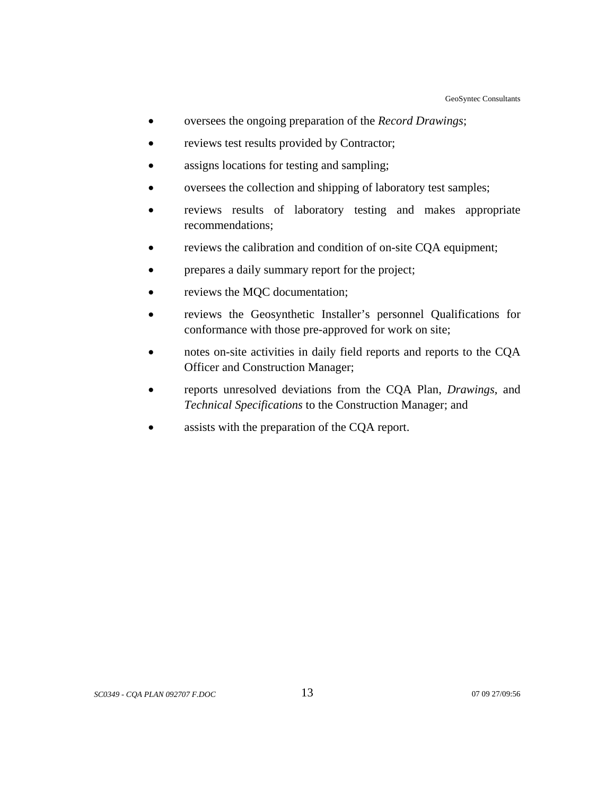- oversees the ongoing preparation of the *Record Drawings*;
- reviews test results provided by Contractor;
- assigns locations for testing and sampling;
- oversees the collection and shipping of laboratory test samples;
- reviews results of laboratory testing and makes appropriate recommendations;
- reviews the calibration and condition of on-site CQA equipment;
- prepares a daily summary report for the project;
- reviews the MQC documentation;
- reviews the Geosynthetic Installer's personnel Qualifications for conformance with those pre-approved for work on site;
- notes on-site activities in daily field reports and reports to the CQA Officer and Construction Manager;
- reports unresolved deviations from the CQA Plan, *Drawings*, and *Technical Specifications* to the Construction Manager; and
- assists with the preparation of the CQA report.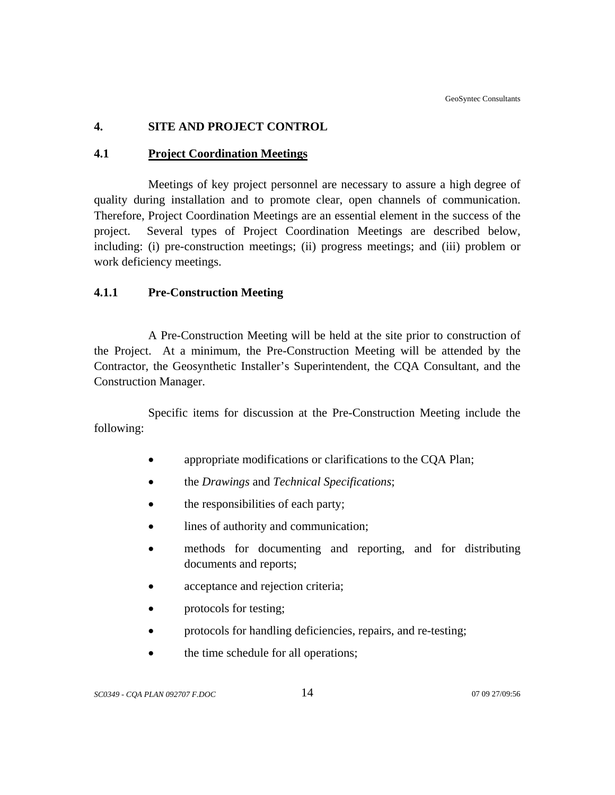# **4. SITE AND PROJECT CONTROL**

# **4.1 Project Coordination Meetings**

Meetings of key project personnel are necessary to assure a high degree of quality during installation and to promote clear, open channels of communication. Therefore, Project Coordination Meetings are an essential element in the success of the project. Several types of Project Coordination Meetings are described below, including: (i) pre-construction meetings; (ii) progress meetings; and (iii) problem or work deficiency meetings.

# **4.1.1 Pre-Construction Meeting**

A Pre-Construction Meeting will be held at the site prior to construction of the Project. At a minimum, the Pre-Construction Meeting will be attended by the Contractor, the Geosynthetic Installer's Superintendent, the CQA Consultant, and the Construction Manager.

Specific items for discussion at the Pre-Construction Meeting include the following:

- appropriate modifications or clarifications to the CQA Plan;
- the *Drawings* and *Technical Specifications*;
- the responsibilities of each party;
- lines of authority and communication;
- methods for documenting and reporting, and for distributing documents and reports;
- acceptance and rejection criteria;
- protocols for testing;
- protocols for handling deficiencies, repairs, and re-testing;
- the time schedule for all operations;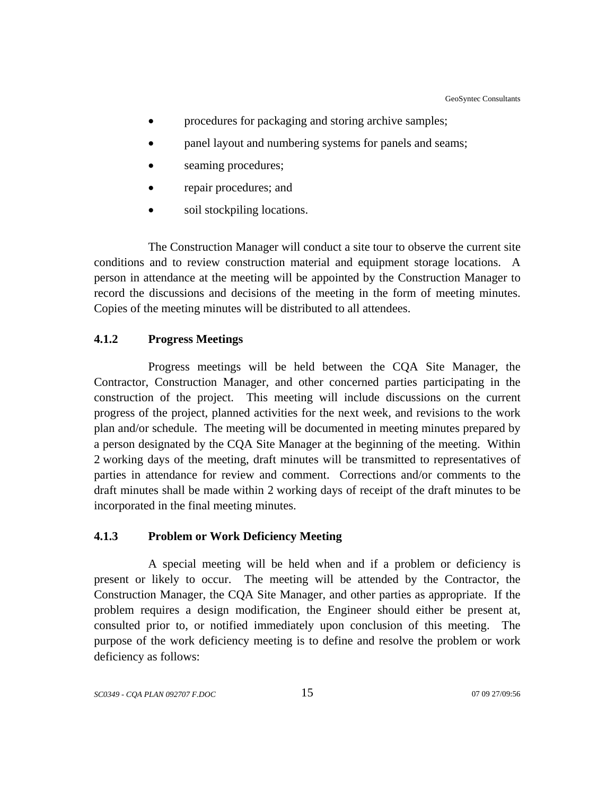- procedures for packaging and storing archive samples;
- panel layout and numbering systems for panels and seams;
- seaming procedures;
- repair procedures; and
- soil stockpiling locations.

The Construction Manager will conduct a site tour to observe the current site conditions and to review construction material and equipment storage locations. A person in attendance at the meeting will be appointed by the Construction Manager to record the discussions and decisions of the meeting in the form of meeting minutes. Copies of the meeting minutes will be distributed to all attendees.

## **4.1.2 Progress Meetings**

Progress meetings will be held between the CQA Site Manager, the Contractor, Construction Manager, and other concerned parties participating in the construction of the project. This meeting will include discussions on the current progress of the project, planned activities for the next week, and revisions to the work plan and/or schedule. The meeting will be documented in meeting minutes prepared by a person designated by the CQA Site Manager at the beginning of the meeting. Within 2 working days of the meeting, draft minutes will be transmitted to representatives of parties in attendance for review and comment. Corrections and/or comments to the draft minutes shall be made within 2 working days of receipt of the draft minutes to be incorporated in the final meeting minutes.

## **4.1.3 Problem or Work Deficiency Meeting**

A special meeting will be held when and if a problem or deficiency is present or likely to occur. The meeting will be attended by the Contractor, the Construction Manager, the CQA Site Manager, and other parties as appropriate. If the problem requires a design modification, the Engineer should either be present at, consulted prior to, or notified immediately upon conclusion of this meeting. The purpose of the work deficiency meeting is to define and resolve the problem or work deficiency as follows: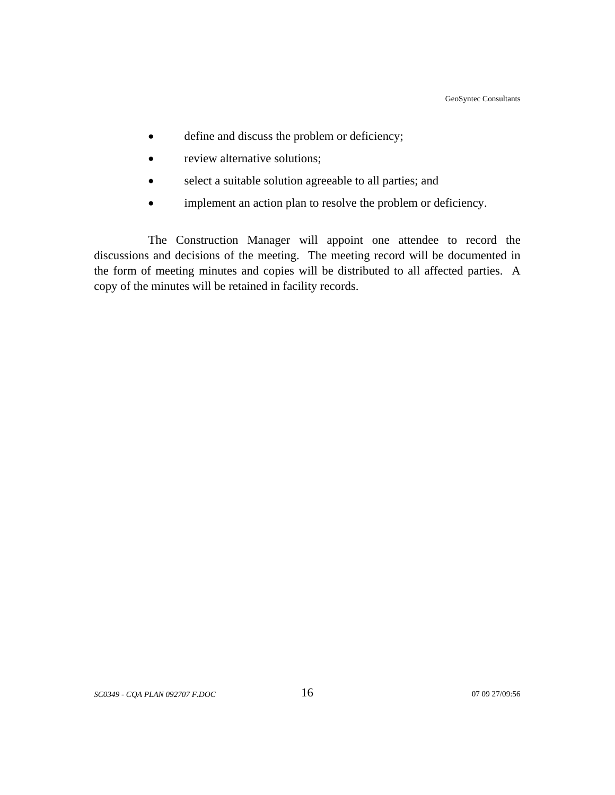- define and discuss the problem or deficiency;
- review alternative solutions;
- select a suitable solution agreeable to all parties; and
- implement an action plan to resolve the problem or deficiency.

The Construction Manager will appoint one attendee to record the discussions and decisions of the meeting. The meeting record will be documented in the form of meeting minutes and copies will be distributed to all affected parties. A copy of the minutes will be retained in facility records.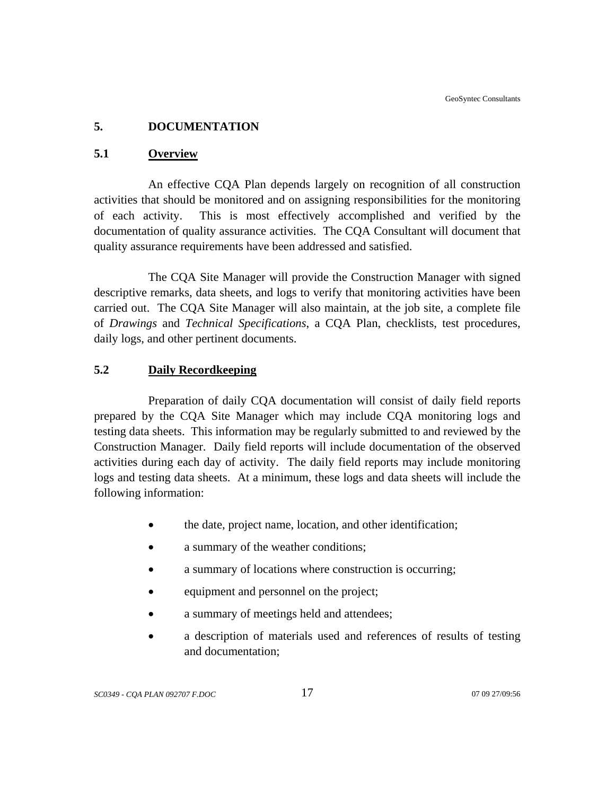# **5. DOCUMENTATION**

# **5.1 Overview**

An effective CQA Plan depends largely on recognition of all construction activities that should be monitored and on assigning responsibilities for the monitoring of each activity. This is most effectively accomplished and verified by the documentation of quality assurance activities. The CQA Consultant will document that quality assurance requirements have been addressed and satisfied.

The CQA Site Manager will provide the Construction Manager with signed descriptive remarks, data sheets, and logs to verify that monitoring activities have been carried out. The CQA Site Manager will also maintain, at the job site, a complete file of *Drawings* and *Technical Specifications*, a CQA Plan, checklists, test procedures, daily logs, and other pertinent documents.

# **5.2 Daily Recordkeeping**

Preparation of daily CQA documentation will consist of daily field reports prepared by the CQA Site Manager which may include CQA monitoring logs and testing data sheets. This information may be regularly submitted to and reviewed by the Construction Manager. Daily field reports will include documentation of the observed activities during each day of activity. The daily field reports may include monitoring logs and testing data sheets. At a minimum, these logs and data sheets will include the following information:

- the date, project name, location, and other identification;
- a summary of the weather conditions;
- a summary of locations where construction is occurring:
- equipment and personnel on the project;
- a summary of meetings held and attendees;
- a description of materials used and references of results of testing and documentation;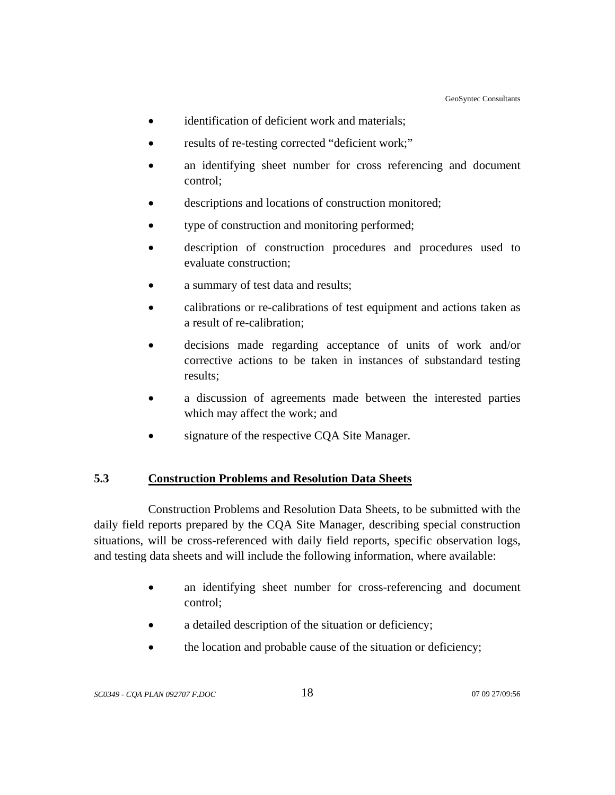- identification of deficient work and materials;
- results of re-testing corrected "deficient work;"
- an identifying sheet number for cross referencing and document control;
- descriptions and locations of construction monitored;
- type of construction and monitoring performed;
- description of construction procedures and procedures used to evaluate construction;
- a summary of test data and results;
- calibrations or re-calibrations of test equipment and actions taken as a result of re-calibration;
- decisions made regarding acceptance of units of work and/or corrective actions to be taken in instances of substandard testing results;
- a discussion of agreements made between the interested parties which may affect the work; and
- signature of the respective CQA Site Manager.

# **5.3 Construction Problems and Resolution Data Sheets**

Construction Problems and Resolution Data Sheets, to be submitted with the daily field reports prepared by the CQA Site Manager, describing special construction situations, will be cross-referenced with daily field reports, specific observation logs, and testing data sheets and will include the following information, where available:

- an identifying sheet number for cross-referencing and document control;
- a detailed description of the situation or deficiency;
- the location and probable cause of the situation or deficiency;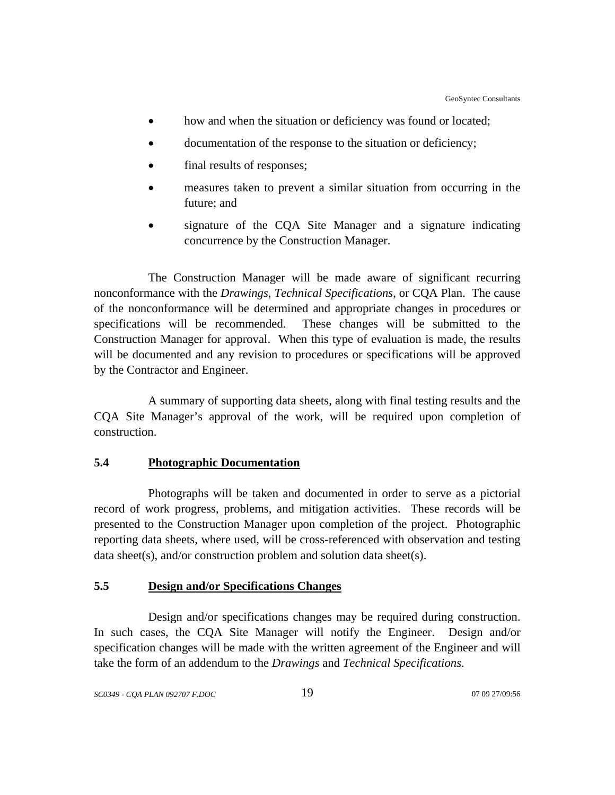- how and when the situation or deficiency was found or located;
- documentation of the response to the situation or deficiency;
- final results of responses;
- measures taken to prevent a similar situation from occurring in the future; and
- signature of the CQA Site Manager and a signature indicating concurrence by the Construction Manager.

The Construction Manager will be made aware of significant recurring nonconformance with the *Drawings*, *Technical Specifications*, or CQA Plan. The cause of the nonconformance will be determined and appropriate changes in procedures or specifications will be recommended. These changes will be submitted to the Construction Manager for approval. When this type of evaluation is made, the results will be documented and any revision to procedures or specifications will be approved by the Contractor and Engineer.

A summary of supporting data sheets, along with final testing results and the CQA Site Manager's approval of the work, will be required upon completion of construction.

# **5.4 Photographic Documentation**

Photographs will be taken and documented in order to serve as a pictorial record of work progress, problems, and mitigation activities. These records will be presented to the Construction Manager upon completion of the project. Photographic reporting data sheets, where used, will be cross-referenced with observation and testing data sheet(s), and/or construction problem and solution data sheet(s).

# **5.5 Design and/or Specifications Changes**

Design and/or specifications changes may be required during construction. In such cases, the CQA Site Manager will notify the Engineer. Design and/or specification changes will be made with the written agreement of the Engineer and will take the form of an addendum to the *Drawings* and *Technical Specifications*.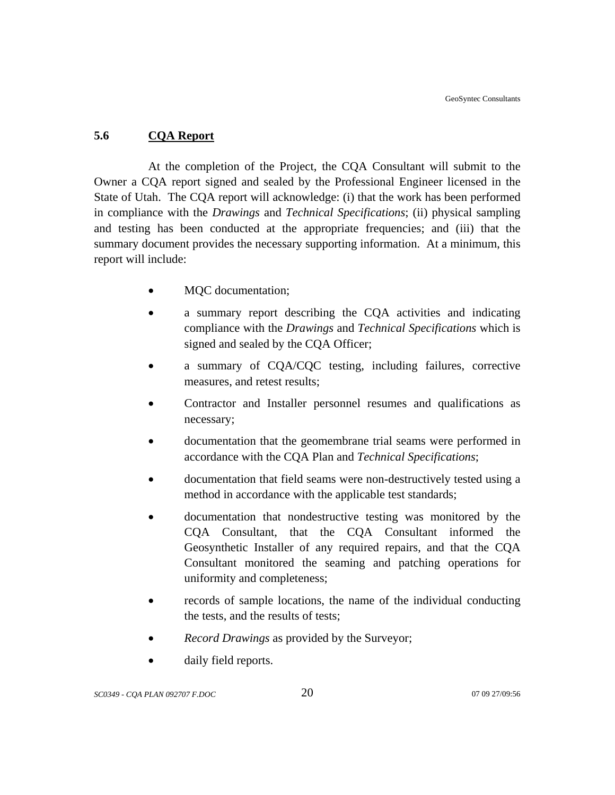# **5.6 CQA Report**

At the completion of the Project, the CQA Consultant will submit to the Owner a CQA report signed and sealed by the Professional Engineer licensed in the State of Utah. The CQA report will acknowledge: (i) that the work has been performed in compliance with the *Drawings* and *Technical Specifications*; (ii) physical sampling and testing has been conducted at the appropriate frequencies; and (iii) that the summary document provides the necessary supporting information. At a minimum, this report will include:

- MQC documentation;
- a summary report describing the CQA activities and indicating compliance with the *Drawings* and *Technical Specifications* which is signed and sealed by the CQA Officer;
- a summary of CQA/CQC testing, including failures, corrective measures, and retest results;
- Contractor and Installer personnel resumes and qualifications as necessary;
- documentation that the geomembrane trial seams were performed in accordance with the CQA Plan and *Technical Specifications*;
- documentation that field seams were non-destructively tested using a method in accordance with the applicable test standards;
- documentation that nondestructive testing was monitored by the CQA Consultant, that the CQA Consultant informed the Geosynthetic Installer of any required repairs, and that the CQA Consultant monitored the seaming and patching operations for uniformity and completeness;
- records of sample locations, the name of the individual conducting the tests, and the results of tests;
- *Record Drawings* as provided by the Surveyor;
- daily field reports.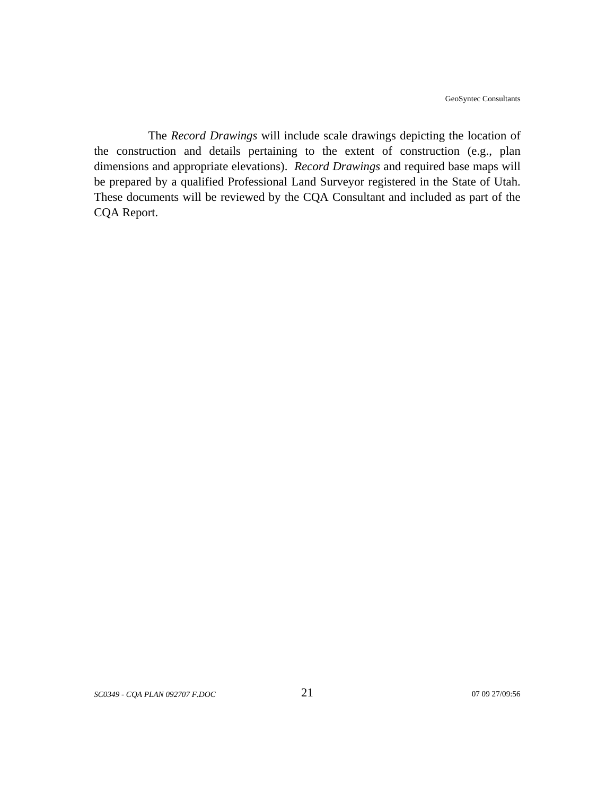The *Record Drawings* will include scale drawings depicting the location of the construction and details pertaining to the extent of construction (e.g., plan dimensions and appropriate elevations). *Record Drawings* and required base maps will be prepared by a qualified Professional Land Surveyor registered in the State of Utah. These documents will be reviewed by the CQA Consultant and included as part of the CQA Report.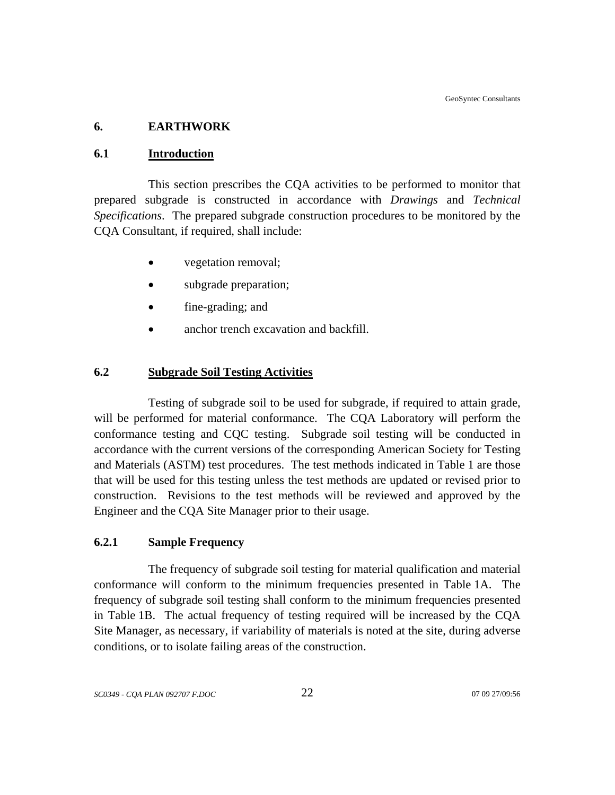# **6. EARTHWORK**

## **6.1 Introduction**

This section prescribes the CQA activities to be performed to monitor that prepared subgrade is constructed in accordance with *Drawings* and *Technical Specifications*. The prepared subgrade construction procedures to be monitored by the CQA Consultant, if required, shall include:

- vegetation removal;
- subgrade preparation;
- fine-grading; and
- anchor trench excavation and backfill.

# **6.2 Subgrade Soil Testing Activities**

Testing of subgrade soil to be used for subgrade, if required to attain grade, will be performed for material conformance. The CQA Laboratory will perform the conformance testing and CQC testing. Subgrade soil testing will be conducted in accordance with the current versions of the corresponding American Society for Testing and Materials (ASTM) test procedures. The test methods indicated in Table 1 are those that will be used for this testing unless the test methods are updated or revised prior to construction. Revisions to the test methods will be reviewed and approved by the Engineer and the CQA Site Manager prior to their usage.

# **6.2.1 Sample Frequency**

The frequency of subgrade soil testing for material qualification and material conformance will conform to the minimum frequencies presented in Table 1A. The frequency of subgrade soil testing shall conform to the minimum frequencies presented in Table 1B. The actual frequency of testing required will be increased by the CQA Site Manager, as necessary, if variability of materials is noted at the site, during adverse conditions, or to isolate failing areas of the construction.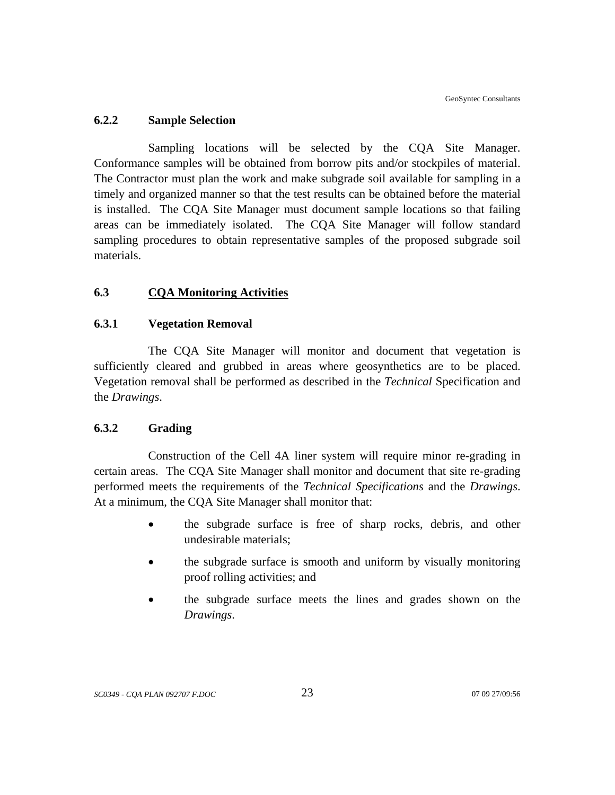## **6.2.2 Sample Selection**

Sampling locations will be selected by the CQA Site Manager. Conformance samples will be obtained from borrow pits and/or stockpiles of material. The Contractor must plan the work and make subgrade soil available for sampling in a timely and organized manner so that the test results can be obtained before the material is installed. The CQA Site Manager must document sample locations so that failing areas can be immediately isolated. The CQA Site Manager will follow standard sampling procedures to obtain representative samples of the proposed subgrade soil materials.

# **6.3 CQA Monitoring Activities**

## **6.3.1 Vegetation Removal**

The CQA Site Manager will monitor and document that vegetation is sufficiently cleared and grubbed in areas where geosynthetics are to be placed. Vegetation removal shall be performed as described in the *Technical* Specification and the *Drawings*.

## **6.3.2 Grading**

 Construction of the Cell 4A liner system will require minor re-grading in certain areas. The CQA Site Manager shall monitor and document that site re-grading performed meets the requirements of the *Technical Specifications* and the *Drawings*. At a minimum, the CQA Site Manager shall monitor that:

- the subgrade surface is free of sharp rocks, debris, and other undesirable materials;
- the subgrade surface is smooth and uniform by visually monitoring proof rolling activities; and
- the subgrade surface meets the lines and grades shown on the *Drawings*.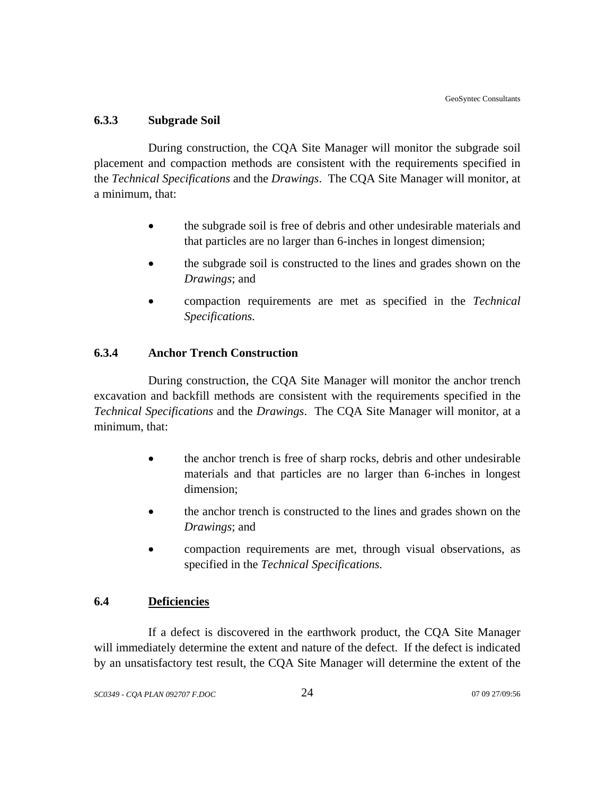# **6.3.3 Subgrade Soil**

During construction, the CQA Site Manager will monitor the subgrade soil placement and compaction methods are consistent with the requirements specified in the *Technical Specifications* and the *Drawings*. The CQA Site Manager will monitor, at a minimum, that:

- the subgrade soil is free of debris and other undesirable materials and that particles are no larger than 6-inches in longest dimension;
- the subgrade soil is constructed to the lines and grades shown on the *Drawings*; and
- compaction requirements are met as specified in the *Technical Specifications.*

# **6.3.4 Anchor Trench Construction**

During construction, the CQA Site Manager will monitor the anchor trench excavation and backfill methods are consistent with the requirements specified in the *Technical Specifications* and the *Drawings*. The CQA Site Manager will monitor, at a minimum, that:

- the anchor trench is free of sharp rocks, debris and other undesirable materials and that particles are no larger than 6-inches in longest dimension;
- the anchor trench is constructed to the lines and grades shown on the *Drawings*; and
- compaction requirements are met, through visual observations, as specified in the *Technical Specifications.*

# **6.4 Deficiencies**

If a defect is discovered in the earthwork product, the CQA Site Manager will immediately determine the extent and nature of the defect. If the defect is indicated by an unsatisfactory test result, the CQA Site Manager will determine the extent of the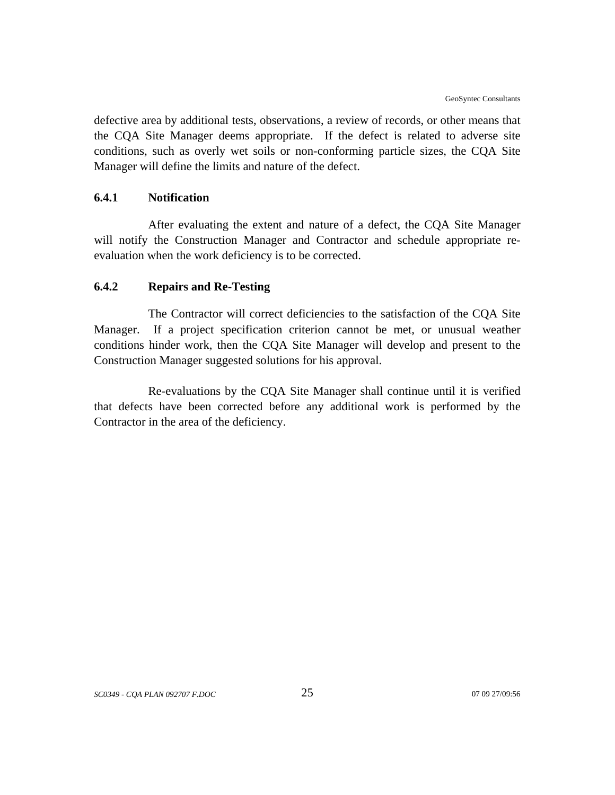defective area by additional tests, observations, a review of records, or other means that the CQA Site Manager deems appropriate. If the defect is related to adverse site conditions, such as overly wet soils or non-conforming particle sizes, the CQA Site Manager will define the limits and nature of the defect.

## **6.4.1 Notification**

After evaluating the extent and nature of a defect, the CQA Site Manager will notify the Construction Manager and Contractor and schedule appropriate reevaluation when the work deficiency is to be corrected.

## **6.4.2 Repairs and Re-Testing**

The Contractor will correct deficiencies to the satisfaction of the CQA Site Manager. If a project specification criterion cannot be met, or unusual weather conditions hinder work, then the CQA Site Manager will develop and present to the Construction Manager suggested solutions for his approval.

Re-evaluations by the CQA Site Manager shall continue until it is verified that defects have been corrected before any additional work is performed by the Contractor in the area of the deficiency.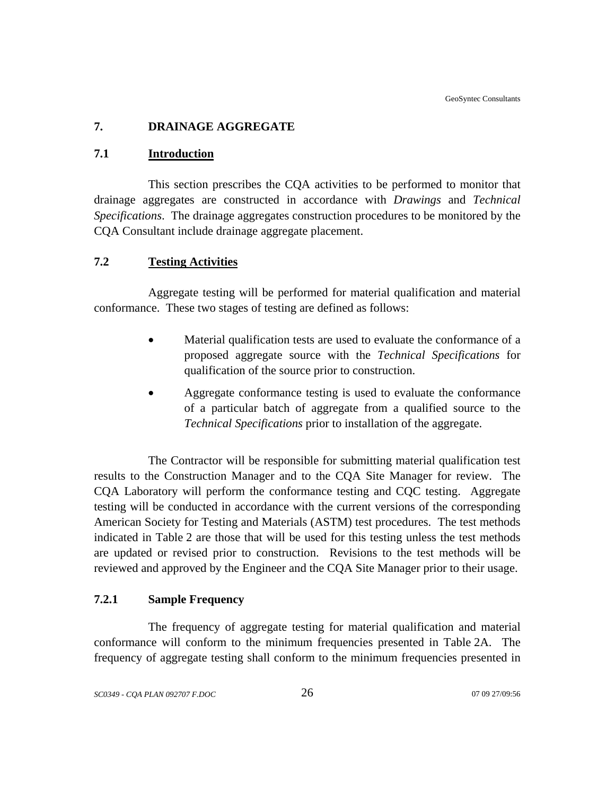# **7. DRAINAGE AGGREGATE**

# **7.1 Introduction**

This section prescribes the CQA activities to be performed to monitor that drainage aggregates are constructed in accordance with *Drawings* and *Technical Specifications*. The drainage aggregates construction procedures to be monitored by the CQA Consultant include drainage aggregate placement.

# **7.2 Testing Activities**

Aggregate testing will be performed for material qualification and material conformance. These two stages of testing are defined as follows:

- Material qualification tests are used to evaluate the conformance of a proposed aggregate source with the *Technical Specifications* for qualification of the source prior to construction.
- Aggregate conformance testing is used to evaluate the conformance of a particular batch of aggregate from a qualified source to the *Technical Specifications* prior to installation of the aggregate.

The Contractor will be responsible for submitting material qualification test results to the Construction Manager and to the CQA Site Manager for review. The CQA Laboratory will perform the conformance testing and CQC testing. Aggregate testing will be conducted in accordance with the current versions of the corresponding American Society for Testing and Materials (ASTM) test procedures. The test methods indicated in Table 2 are those that will be used for this testing unless the test methods are updated or revised prior to construction. Revisions to the test methods will be reviewed and approved by the Engineer and the CQA Site Manager prior to their usage.

# **7.2.1 Sample Frequency**

The frequency of aggregate testing for material qualification and material conformance will conform to the minimum frequencies presented in Table 2A. The frequency of aggregate testing shall conform to the minimum frequencies presented in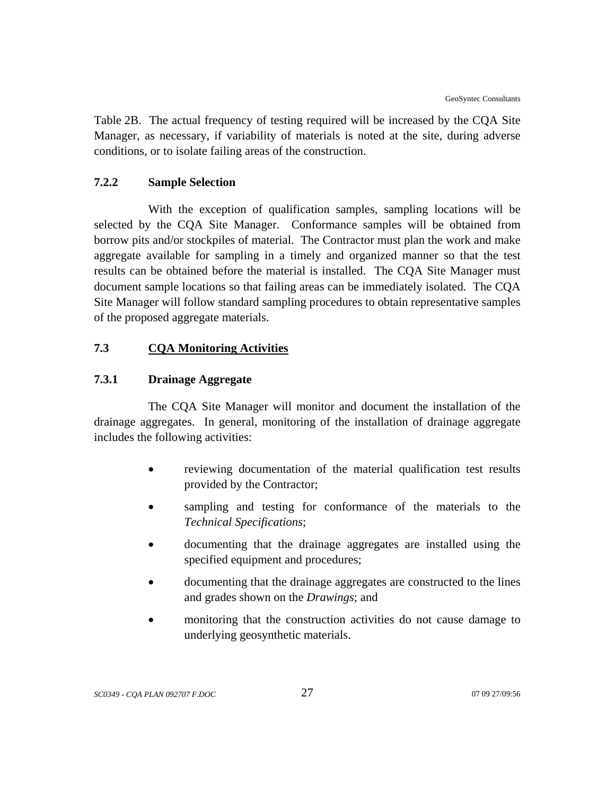Table 2B. The actual frequency of testing required will be increased by the CQA Site Manager, as necessary, if variability of materials is noted at the site, during adverse conditions, or to isolate failing areas of the construction.

# **7.2.2 Sample Selection**

With the exception of qualification samples, sampling locations will be selected by the CQA Site Manager. Conformance samples will be obtained from borrow pits and/or stockpiles of material. The Contractor must plan the work and make aggregate available for sampling in a timely and organized manner so that the test results can be obtained before the material is installed. The CQA Site Manager must document sample locations so that failing areas can be immediately isolated. The CQA Site Manager will follow standard sampling procedures to obtain representative samples of the proposed aggregate materials.

# **7.3 CQA Monitoring Activities**

## **7.3.1 Drainage Aggregate**

The CQA Site Manager will monitor and document the installation of the drainage aggregates. In general, monitoring of the installation of drainage aggregate includes the following activities:

- reviewing documentation of the material qualification test results provided by the Contractor;
- sampling and testing for conformance of the materials to the *Technical Specifications*;
- documenting that the drainage aggregates are installed using the specified equipment and procedures;
- documenting that the drainage aggregates are constructed to the lines and grades shown on the *Drawings*; and
- monitoring that the construction activities do not cause damage to underlying geosynthetic materials.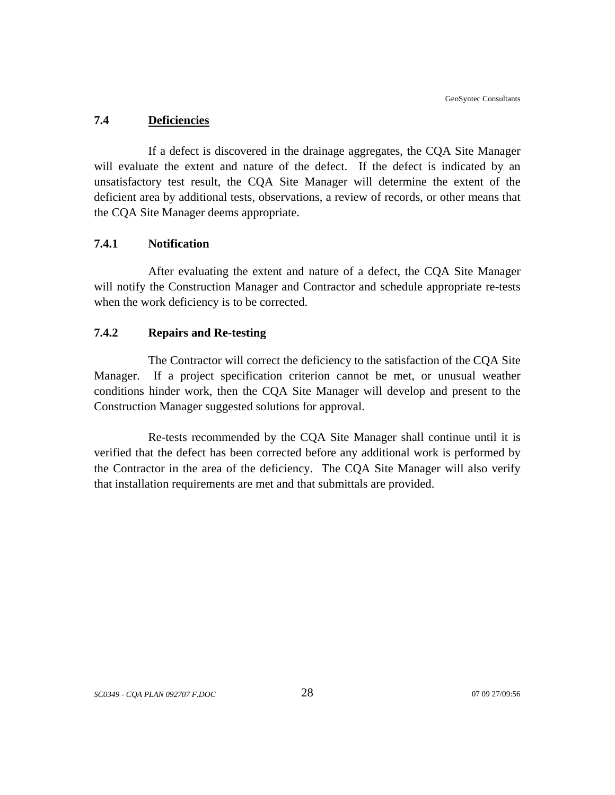## **7.4 Deficiencies**

If a defect is discovered in the drainage aggregates, the CQA Site Manager will evaluate the extent and nature of the defect. If the defect is indicated by an unsatisfactory test result, the CQA Site Manager will determine the extent of the deficient area by additional tests, observations, a review of records, or other means that the CQA Site Manager deems appropriate.

# **7.4.1 Notification**

After evaluating the extent and nature of a defect, the CQA Site Manager will notify the Construction Manager and Contractor and schedule appropriate re-tests when the work deficiency is to be corrected.

# **7.4.2 Repairs and Re-testing**

The Contractor will correct the deficiency to the satisfaction of the CQA Site Manager. If a project specification criterion cannot be met, or unusual weather conditions hinder work, then the CQA Site Manager will develop and present to the Construction Manager suggested solutions for approval.

Re-tests recommended by the CQA Site Manager shall continue until it is verified that the defect has been corrected before any additional work is performed by the Contractor in the area of the deficiency. The CQA Site Manager will also verify that installation requirements are met and that submittals are provided.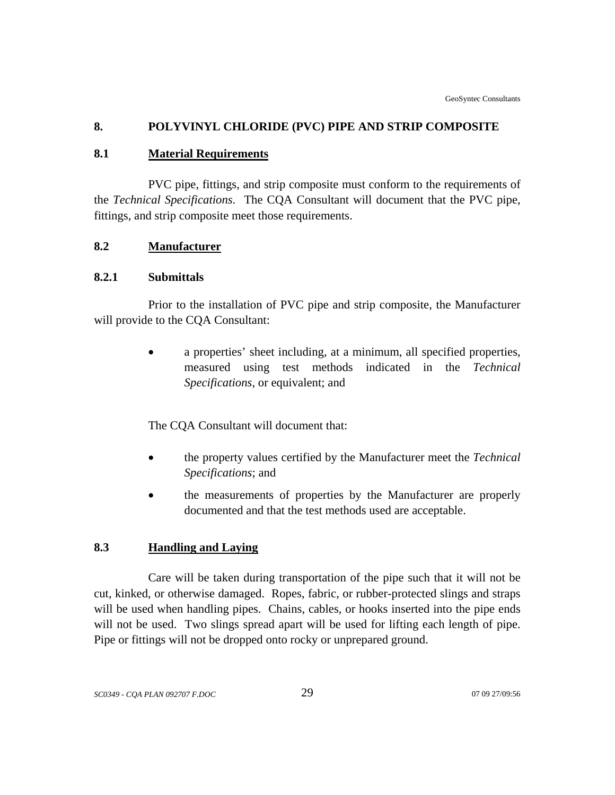## **8. POLYVINYL CHLORIDE (PVC) PIPE AND STRIP COMPOSITE**

### **8.1 Material Requirements**

PVC pipe, fittings, and strip composite must conform to the requirements of the *Technical Specifications*. The CQA Consultant will document that the PVC pipe, fittings, and strip composite meet those requirements.

## **8.2 Manufacturer**

## **8.2.1 Submittals**

Prior to the installation of PVC pipe and strip composite, the Manufacturer will provide to the CQA Consultant:

> • a properties' sheet including, at a minimum, all specified properties, measured using test methods indicated in the *Technical Specifications*, or equivalent; and

The CQA Consultant will document that:

- the property values certified by the Manufacturer meet the *Technical Specifications*; and
- the measurements of properties by the Manufacturer are properly documented and that the test methods used are acceptable.

## **8.3 Handling and Laying**

Care will be taken during transportation of the pipe such that it will not be cut, kinked, or otherwise damaged. Ropes, fabric, or rubber-protected slings and straps will be used when handling pipes. Chains, cables, or hooks inserted into the pipe ends will not be used. Two slings spread apart will be used for lifting each length of pipe. Pipe or fittings will not be dropped onto rocky or unprepared ground.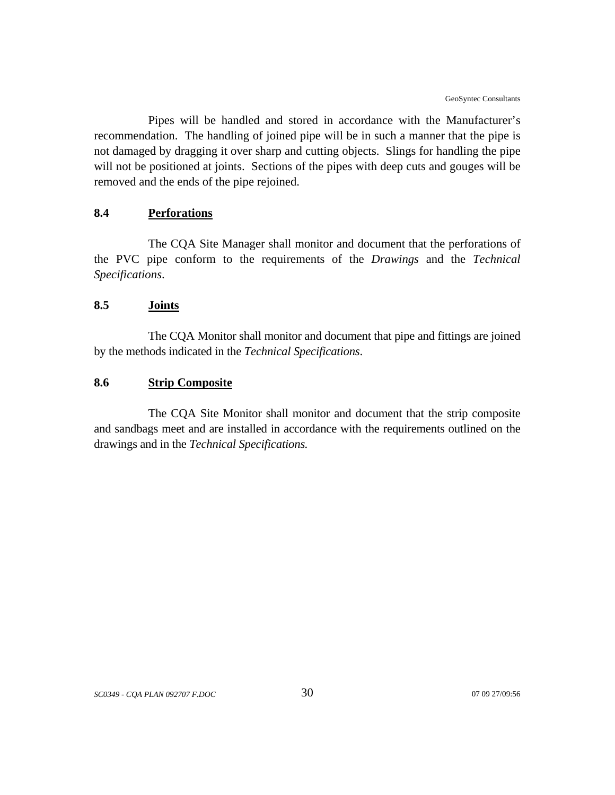Pipes will be handled and stored in accordance with the Manufacturer's recommendation. The handling of joined pipe will be in such a manner that the pipe is not damaged by dragging it over sharp and cutting objects. Slings for handling the pipe will not be positioned at joints. Sections of the pipes with deep cuts and gouges will be removed and the ends of the pipe rejoined.

## **8.4 Perforations**

The CQA Site Manager shall monitor and document that the perforations of the PVC pipe conform to the requirements of the *Drawings* and the *Technical Specifications*.

### **8.5 Joints**

The CQA Monitor shall monitor and document that pipe and fittings are joined by the methods indicated in the *Technical Specifications*.

## **8.6 Strip Composite**

The CQA Site Monitor shall monitor and document that the strip composite and sandbags meet and are installed in accordance with the requirements outlined on the drawings and in the *Technical Specifications.*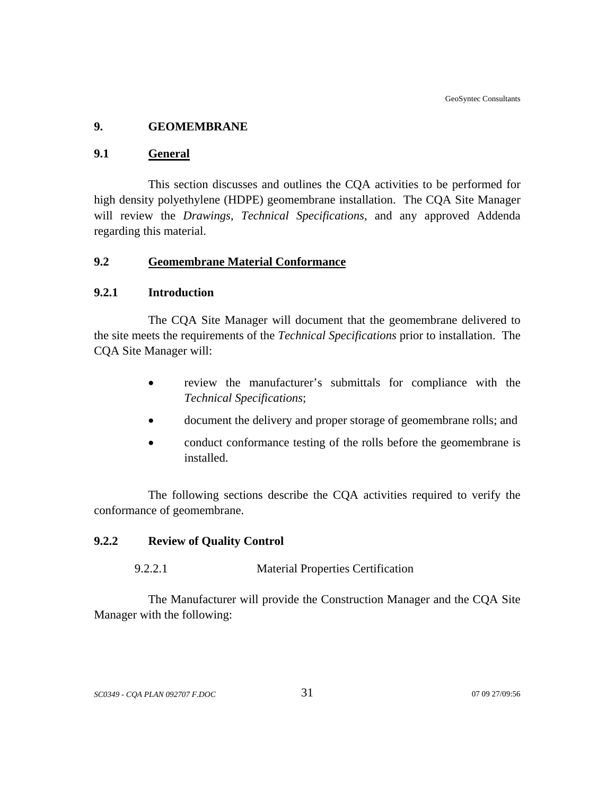## **9. GEOMEMBRANE**

#### **9.1 General**

This section discusses and outlines the CQA activities to be performed for high density polyethylene (HDPE) geomembrane installation. The CQA Site Manager will review the *Drawings*, *Technical Specifications,* and any approved Addenda regarding this material.

## **9.2 Geomembrane Material Conformance**

#### **9.2.1 Introduction**

The CQA Site Manager will document that the geomembrane delivered to the site meets the requirements of the *Technical Specifications* prior to installation. The CQA Site Manager will:

- review the manufacturer's submittals for compliance with the *Technical Specifications*;
- document the delivery and proper storage of geomembrane rolls; and
- conduct conformance testing of the rolls before the geomembrane is installed.

The following sections describe the CQA activities required to verify the conformance of geomembrane.

## **9.2.2 Review of Quality Control**

### 9.2.2.1 Material Properties Certification

The Manufacturer will provide the Construction Manager and the CQA Site Manager with the following: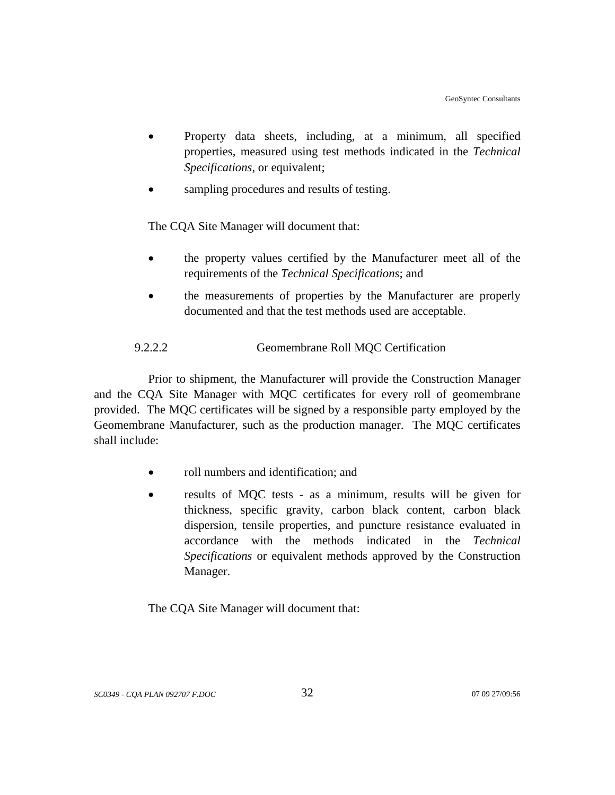- Property data sheets, including, at a minimum, all specified properties, measured using test methods indicated in the *Technical Specifications*, or equivalent;
- sampling procedures and results of testing.

The CQA Site Manager will document that:

- the property values certified by the Manufacturer meet all of the requirements of the *Technical Specifications*; and
- the measurements of properties by the Manufacturer are properly documented and that the test methods used are acceptable.

## 9.2.2.2 Geomembrane Roll MQC Certification

Prior to shipment, the Manufacturer will provide the Construction Manager and the CQA Site Manager with MQC certificates for every roll of geomembrane provided. The MQC certificates will be signed by a responsible party employed by the Geomembrane Manufacturer, such as the production manager. The MQC certificates shall include:

- roll numbers and identification; and
- results of MQC tests as a minimum, results will be given for thickness, specific gravity, carbon black content, carbon black dispersion, tensile properties, and puncture resistance evaluated in accordance with the methods indicated in the *Technical Specifications* or equivalent methods approved by the Construction Manager.

The CQA Site Manager will document that: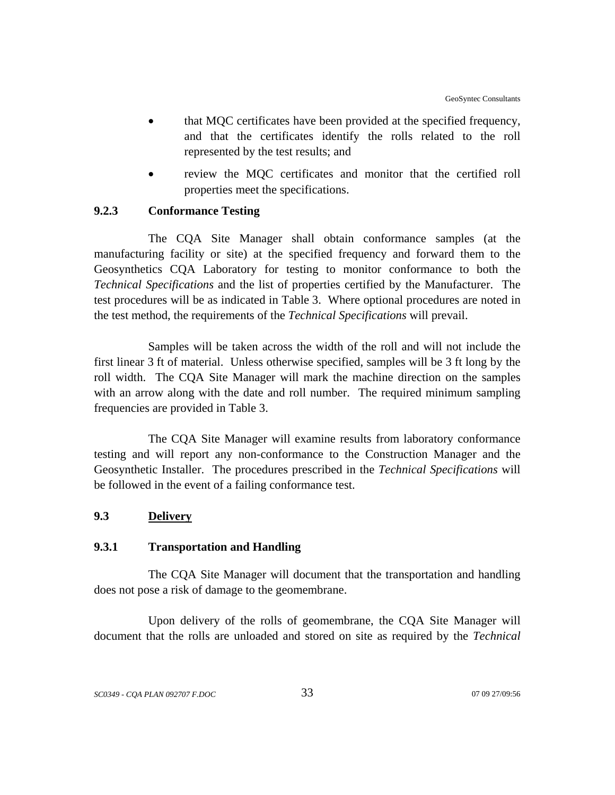- that MQC certificates have been provided at the specified frequency, and that the certificates identify the rolls related to the roll represented by the test results; and
- review the MOC certificates and monitor that the certified roll properties meet the specifications.

## **9.2.3 Conformance Testing**

The CQA Site Manager shall obtain conformance samples (at the manufacturing facility or site) at the specified frequency and forward them to the Geosynthetics CQA Laboratory for testing to monitor conformance to both the *Technical Specifications* and the list of properties certified by the Manufacturer. The test procedures will be as indicated in Table 3. Where optional procedures are noted in the test method, the requirements of the *Technical Specifications* will prevail.

Samples will be taken across the width of the roll and will not include the first linear 3 ft of material. Unless otherwise specified, samples will be 3 ft long by the roll width. The CQA Site Manager will mark the machine direction on the samples with an arrow along with the date and roll number. The required minimum sampling frequencies are provided in Table 3.

The CQA Site Manager will examine results from laboratory conformance testing and will report any non-conformance to the Construction Manager and the Geosynthetic Installer. The procedures prescribed in the *Technical Specifications* will be followed in the event of a failing conformance test.

## **9.3 Delivery**

### **9.3.1 Transportation and Handling**

The CQA Site Manager will document that the transportation and handling does not pose a risk of damage to the geomembrane.

Upon delivery of the rolls of geomembrane, the CQA Site Manager will document that the rolls are unloaded and stored on site as required by the *Technical*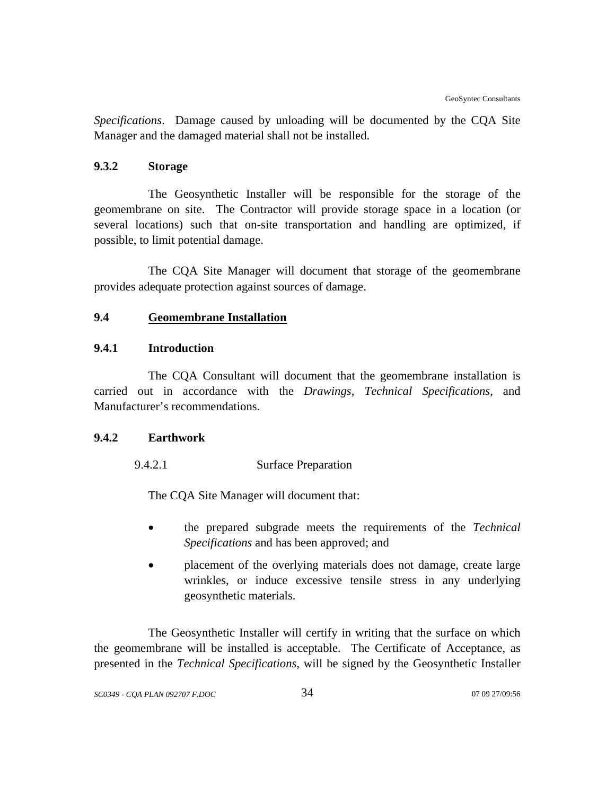*Specifications*. Damage caused by unloading will be documented by the CQA Site Manager and the damaged material shall not be installed.

## **9.3.2 Storage**

The Geosynthetic Installer will be responsible for the storage of the geomembrane on site. The Contractor will provide storage space in a location (or several locations) such that on-site transportation and handling are optimized, if possible, to limit potential damage.

The CQA Site Manager will document that storage of the geomembrane provides adequate protection against sources of damage.

## **9.4 Geomembrane Installation**

## **9.4.1 Introduction**

The CQA Consultant will document that the geomembrane installation is carried out in accordance with the *Drawings, Technical Specifications,* and Manufacturer's recommendations.

#### **9.4.2 Earthwork**

9.4.2.1 Surface Preparation

The CQA Site Manager will document that:

- the prepared subgrade meets the requirements of the *Technical Specifications* and has been approved; and
- placement of the overlying materials does not damage, create large wrinkles, or induce excessive tensile stress in any underlying geosynthetic materials.

The Geosynthetic Installer will certify in writing that the surface on which the geomembrane will be installed is acceptable. The Certificate of Acceptance, as presented in the *Technical Specifications*, will be signed by the Geosynthetic Installer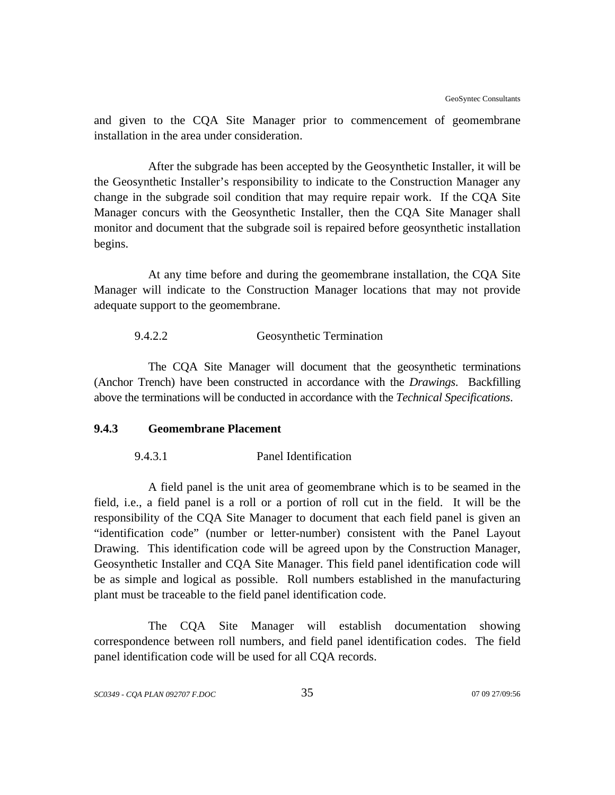and given to the CQA Site Manager prior to commencement of geomembrane installation in the area under consideration.

After the subgrade has been accepted by the Geosynthetic Installer, it will be the Geosynthetic Installer's responsibility to indicate to the Construction Manager any change in the subgrade soil condition that may require repair work. If the CQA Site Manager concurs with the Geosynthetic Installer, then the CQA Site Manager shall monitor and document that the subgrade soil is repaired before geosynthetic installation begins.

At any time before and during the geomembrane installation, the CQA Site Manager will indicate to the Construction Manager locations that may not provide adequate support to the geomembrane.

#### 9.4.2.2 Geosynthetic Termination

The CQA Site Manager will document that the geosynthetic terminations (Anchor Trench) have been constructed in accordance with the *Drawings*. Backfilling above the terminations will be conducted in accordance with the *Technical Specifications*.

#### **9.4.3 Geomembrane Placement**

9.4.3.1 Panel Identification

A field panel is the unit area of geomembrane which is to be seamed in the field, i.e., a field panel is a roll or a portion of roll cut in the field. It will be the responsibility of the CQA Site Manager to document that each field panel is given an "identification code" (number or letter-number) consistent with the Panel Layout Drawing. This identification code will be agreed upon by the Construction Manager, Geosynthetic Installer and CQA Site Manager. This field panel identification code will be as simple and logical as possible. Roll numbers established in the manufacturing plant must be traceable to the field panel identification code.

The CQA Site Manager will establish documentation showing correspondence between roll numbers, and field panel identification codes. The field panel identification code will be used for all CQA records.

*SC0349 - CQA PLAN 092707 F.DOC* 35 07 09 27/09:56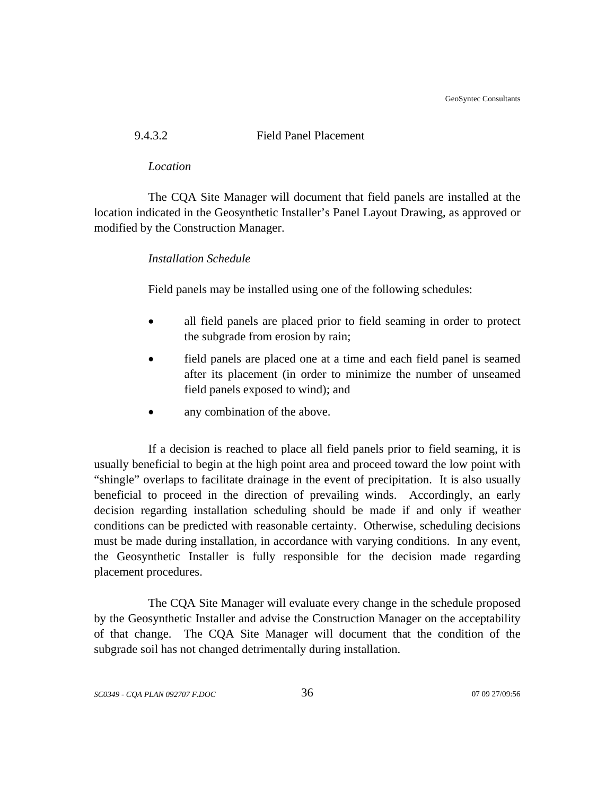GeoSyntec Consultants

# 9.4.3.2 Field Panel Placement

#### *Location*

The CQA Site Manager will document that field panels are installed at the location indicated in the Geosynthetic Installer's Panel Layout Drawing, as approved or modified by the Construction Manager.

## *Installation Schedule*

Field panels may be installed using one of the following schedules:

- all field panels are placed prior to field seaming in order to protect the subgrade from erosion by rain;
- field panels are placed one at a time and each field panel is seamed after its placement (in order to minimize the number of unseamed field panels exposed to wind); and
- any combination of the above.

If a decision is reached to place all field panels prior to field seaming, it is usually beneficial to begin at the high point area and proceed toward the low point with "shingle" overlaps to facilitate drainage in the event of precipitation. It is also usually beneficial to proceed in the direction of prevailing winds. Accordingly, an early decision regarding installation scheduling should be made if and only if weather conditions can be predicted with reasonable certainty. Otherwise, scheduling decisions must be made during installation, in accordance with varying conditions. In any event, the Geosynthetic Installer is fully responsible for the decision made regarding placement procedures.

The CQA Site Manager will evaluate every change in the schedule proposed by the Geosynthetic Installer and advise the Construction Manager on the acceptability of that change. The CQA Site Manager will document that the condition of the subgrade soil has not changed detrimentally during installation.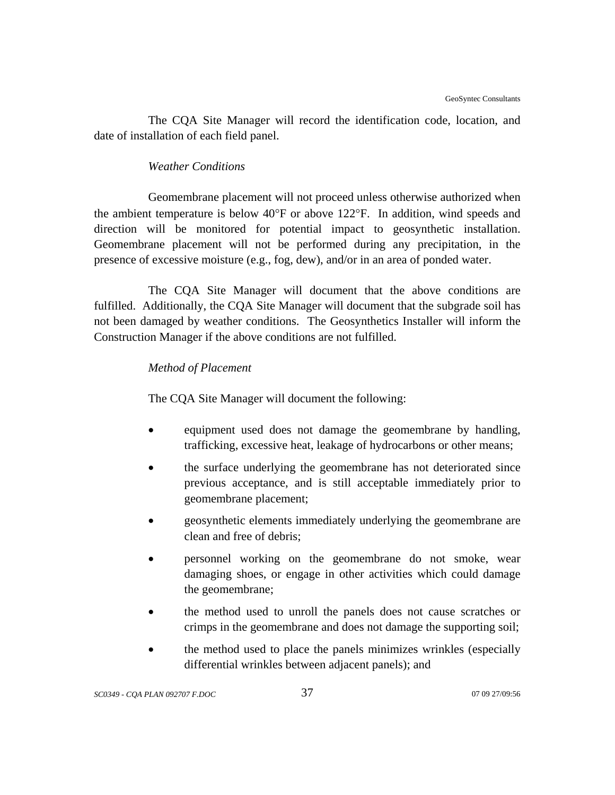The CQA Site Manager will record the identification code, location, and date of installation of each field panel.

## *Weather Conditions*

Geomembrane placement will not proceed unless otherwise authorized when the ambient temperature is below 40°F or above 122°F. In addition, wind speeds and direction will be monitored for potential impact to geosynthetic installation. Geomembrane placement will not be performed during any precipitation, in the presence of excessive moisture (e.g., fog, dew), and/or in an area of ponded water.

The CQA Site Manager will document that the above conditions are fulfilled. Additionally, the CQA Site Manager will document that the subgrade soil has not been damaged by weather conditions. The Geosynthetics Installer will inform the Construction Manager if the above conditions are not fulfilled.

# *Method of Placement*

The CQA Site Manager will document the following:

- equipment used does not damage the geomembrane by handling, trafficking, excessive heat, leakage of hydrocarbons or other means;
- the surface underlying the geomembrane has not deteriorated since previous acceptance, and is still acceptable immediately prior to geomembrane placement;
- geosynthetic elements immediately underlying the geomembrane are clean and free of debris;
- personnel working on the geomembrane do not smoke, wear damaging shoes, or engage in other activities which could damage the geomembrane;
- the method used to unroll the panels does not cause scratches or crimps in the geomembrane and does not damage the supporting soil;
- the method used to place the panels minimizes wrinkles (especially differential wrinkles between adjacent panels); and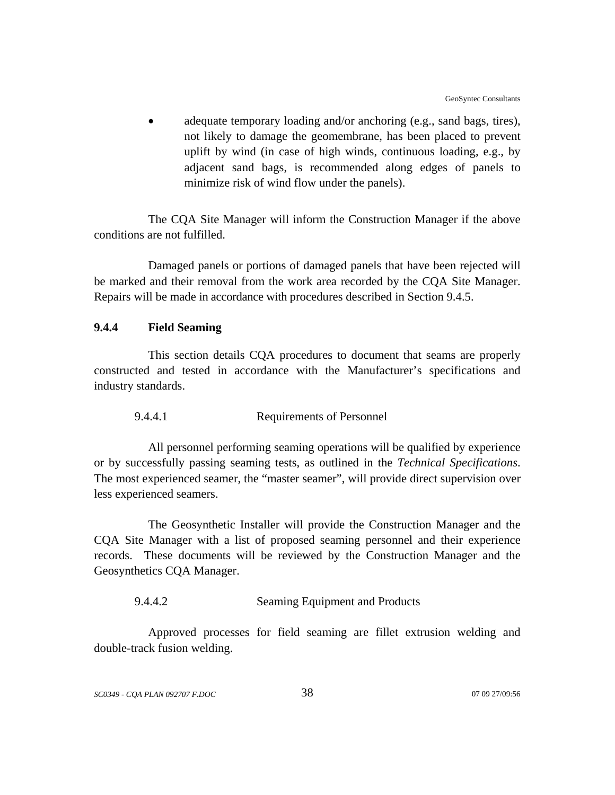adequate temporary loading and/or anchoring (e.g., sand bags, tires), not likely to damage the geomembrane, has been placed to prevent uplift by wind (in case of high winds, continuous loading, e.g., by adjacent sand bags, is recommended along edges of panels to minimize risk of wind flow under the panels).

The CQA Site Manager will inform the Construction Manager if the above conditions are not fulfilled.

Damaged panels or portions of damaged panels that have been rejected will be marked and their removal from the work area recorded by the CQA Site Manager. Repairs will be made in accordance with procedures described in Section 9.4.5.

## **9.4.4 Field Seaming**

This section details CQA procedures to document that seams are properly constructed and tested in accordance with the Manufacturer's specifications and industry standards.

#### 9.4.4.1 Requirements of Personnel

All personnel performing seaming operations will be qualified by experience or by successfully passing seaming tests, as outlined in the *Technical Specifications*. The most experienced seamer, the "master seamer", will provide direct supervision over less experienced seamers.

The Geosynthetic Installer will provide the Construction Manager and the CQA Site Manager with a list of proposed seaming personnel and their experience records. These documents will be reviewed by the Construction Manager and the Geosynthetics CQA Manager.

#### 9.4.4.2 Seaming Equipment and Products

Approved processes for field seaming are fillet extrusion welding and double-track fusion welding.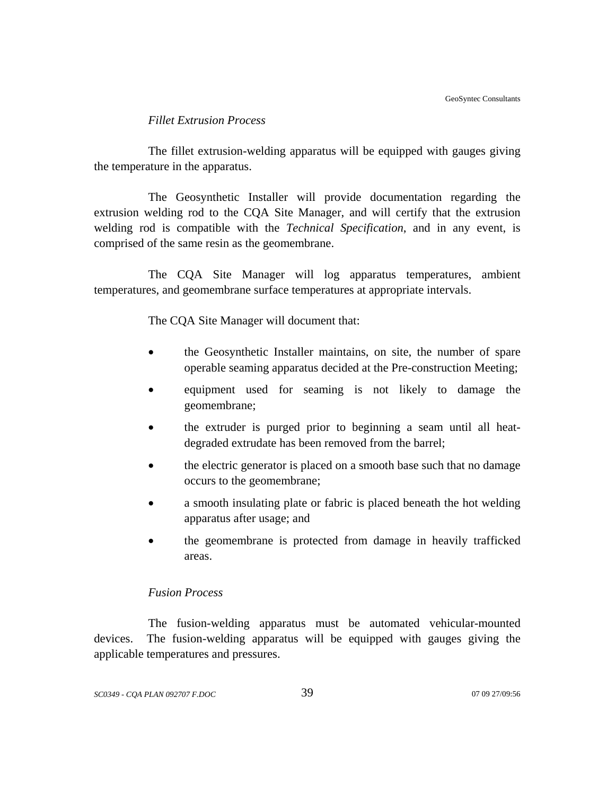## *Fillet Extrusion Process*

The fillet extrusion-welding apparatus will be equipped with gauges giving the temperature in the apparatus.

The Geosynthetic Installer will provide documentation regarding the extrusion welding rod to the CQA Site Manager, and will certify that the extrusion welding rod is compatible with the *Technical Specification*, and in any event, is comprised of the same resin as the geomembrane.

The CQA Site Manager will log apparatus temperatures, ambient temperatures, and geomembrane surface temperatures at appropriate intervals.

The CQA Site Manager will document that:

- the Geosynthetic Installer maintains, on site, the number of spare operable seaming apparatus decided at the Pre-construction Meeting;
- equipment used for seaming is not likely to damage the geomembrane;
- the extruder is purged prior to beginning a seam until all heatdegraded extrudate has been removed from the barrel;
- the electric generator is placed on a smooth base such that no damage occurs to the geomembrane;
- a smooth insulating plate or fabric is placed beneath the hot welding apparatus after usage; and
- the geomembrane is protected from damage in heavily trafficked areas.

## *Fusion Process*

The fusion-welding apparatus must be automated vehicular-mounted devices. The fusion-welding apparatus will be equipped with gauges giving the applicable temperatures and pressures.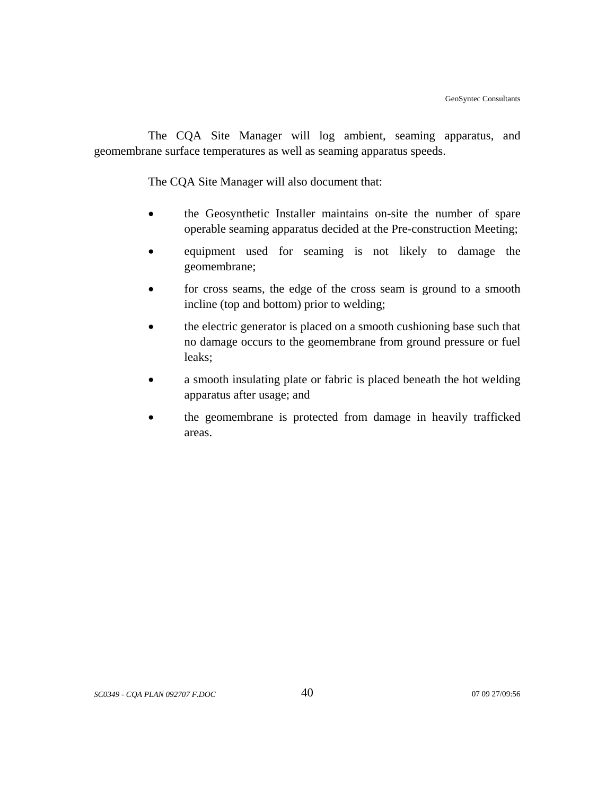The CQA Site Manager will log ambient, seaming apparatus, and geomembrane surface temperatures as well as seaming apparatus speeds.

The CQA Site Manager will also document that:

- the Geosynthetic Installer maintains on-site the number of spare operable seaming apparatus decided at the Pre-construction Meeting;
- equipment used for seaming is not likely to damage the geomembrane;
- for cross seams, the edge of the cross seam is ground to a smooth incline (top and bottom) prior to welding;
- the electric generator is placed on a smooth cushioning base such that no damage occurs to the geomembrane from ground pressure or fuel leaks;
- a smooth insulating plate or fabric is placed beneath the hot welding apparatus after usage; and
- the geomembrane is protected from damage in heavily trafficked areas.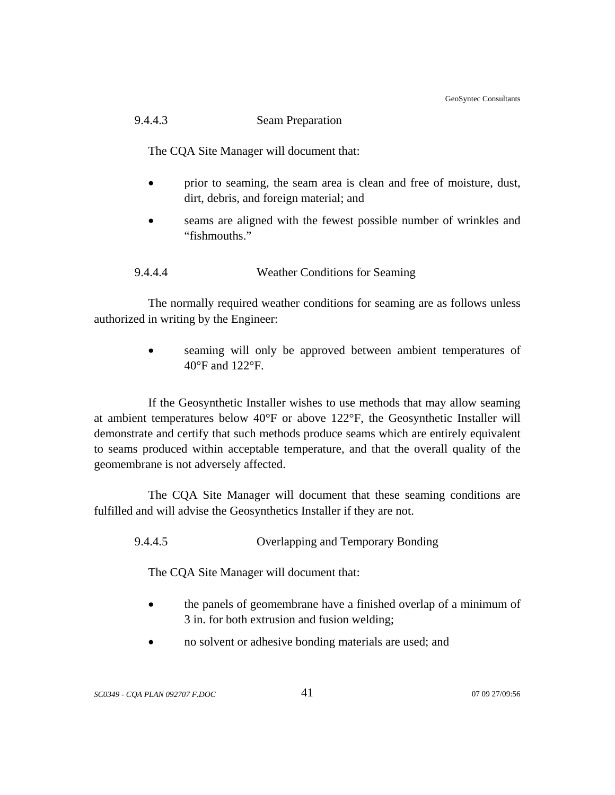GeoSyntec Consultants

## 9.4.4.3 Seam Preparation

The CQA Site Manager will document that:

- prior to seaming, the seam area is clean and free of moisture, dust, dirt, debris, and foreign material; and
- seams are aligned with the fewest possible number of wrinkles and "fishmouths."

## 9.4.4.4 Weather Conditions for Seaming

The normally required weather conditions for seaming are as follows unless authorized in writing by the Engineer:

> seaming will only be approved between ambient temperatures of 40°F and 122°F.

If the Geosynthetic Installer wishes to use methods that may allow seaming at ambient temperatures below 40°F or above 122°F, the Geosynthetic Installer will demonstrate and certify that such methods produce seams which are entirely equivalent to seams produced within acceptable temperature, and that the overall quality of the geomembrane is not adversely affected.

The CQA Site Manager will document that these seaming conditions are fulfilled and will advise the Geosynthetics Installer if they are not.

9.4.4.5 Overlapping and Temporary Bonding

The CQA Site Manager will document that:

- the panels of geomembrane have a finished overlap of a minimum of 3 in. for both extrusion and fusion welding;
- no solvent or adhesive bonding materials are used; and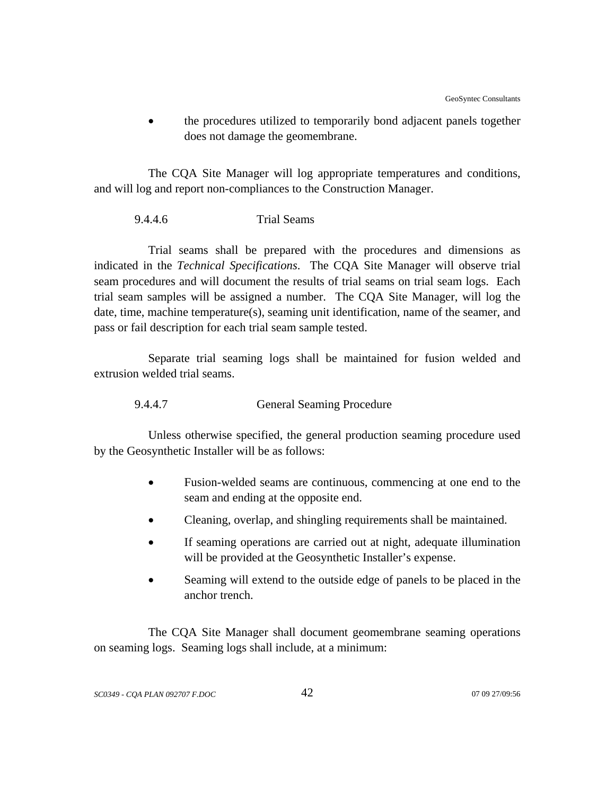• the procedures utilized to temporarily bond adjacent panels together does not damage the geomembrane.

The CQA Site Manager will log appropriate temperatures and conditions, and will log and report non-compliances to the Construction Manager.

#### 9.4.4.6 Trial Seams

Trial seams shall be prepared with the procedures and dimensions as indicated in the *Technical Specifications*. The CQA Site Manager will observe trial seam procedures and will document the results of trial seams on trial seam logs. Each trial seam samples will be assigned a number. The CQA Site Manager, will log the date, time, machine temperature(s), seaming unit identification, name of the seamer, and pass or fail description for each trial seam sample tested.

Separate trial seaming logs shall be maintained for fusion welded and extrusion welded trial seams.

9.4.4.7 General Seaming Procedure

Unless otherwise specified, the general production seaming procedure used by the Geosynthetic Installer will be as follows:

- Fusion-welded seams are continuous, commencing at one end to the seam and ending at the opposite end.
- Cleaning, overlap, and shingling requirements shall be maintained.
- If seaming operations are carried out at night, adequate illumination will be provided at the Geosynthetic Installer's expense.
- Seaming will extend to the outside edge of panels to be placed in the anchor trench.

The CQA Site Manager shall document geomembrane seaming operations on seaming logs. Seaming logs shall include, at a minimum: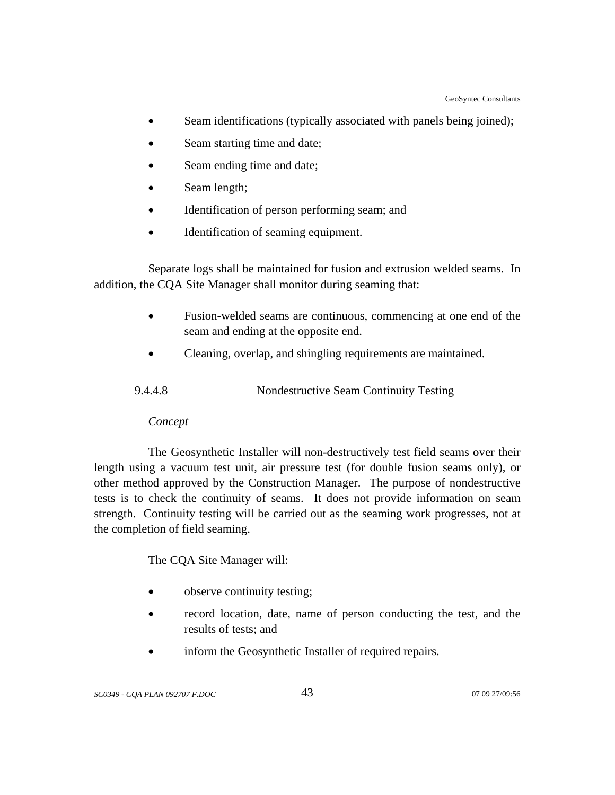- Seam identifications (typically associated with panels being joined);
- Seam starting time and date;
- Seam ending time and date;
- Seam length;
- Identification of person performing seam; and
- Identification of seaming equipment.

 Separate logs shall be maintained for fusion and extrusion welded seams. In addition, the CQA Site Manager shall monitor during seaming that:

- Fusion-welded seams are continuous, commencing at one end of the seam and ending at the opposite end.
- Cleaning, overlap, and shingling requirements are maintained.

| 9.4.4.8 | Nondestructive Seam Continuity Testing |  |
|---------|----------------------------------------|--|
|         |                                        |  |

## *Concept*

The Geosynthetic Installer will non-destructively test field seams over their length using a vacuum test unit, air pressure test (for double fusion seams only), or other method approved by the Construction Manager. The purpose of nondestructive tests is to check the continuity of seams. It does not provide information on seam strength. Continuity testing will be carried out as the seaming work progresses, not at the completion of field seaming.

The CQA Site Manager will:

- observe continuity testing;
- record location, date, name of person conducting the test, and the results of tests; and
- inform the Geosynthetic Installer of required repairs.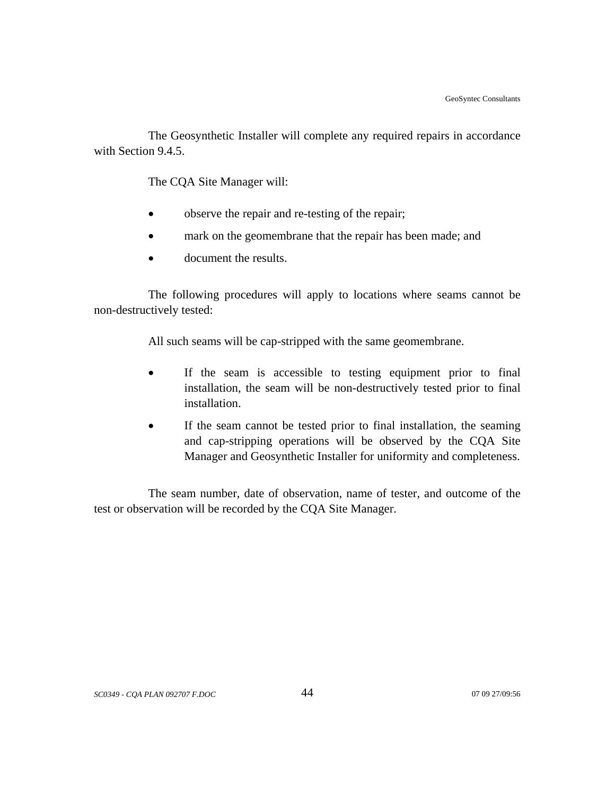The Geosynthetic Installer will complete any required repairs in accordance with Section 9.4.5.

The CQA Site Manager will:

- observe the repair and re-testing of the repair;
- mark on the geomembrane that the repair has been made; and
- document the results.

The following procedures will apply to locations where seams cannot be non-destructively tested:

All such seams will be cap-stripped with the same geomembrane.

- If the seam is accessible to testing equipment prior to final installation, the seam will be non-destructively tested prior to final installation.
- If the seam cannot be tested prior to final installation, the seaming and cap-stripping operations will be observed by the CQA Site Manager and Geosynthetic Installer for uniformity and completeness.

The seam number, date of observation, name of tester, and outcome of the test or observation will be recorded by the CQA Site Manager.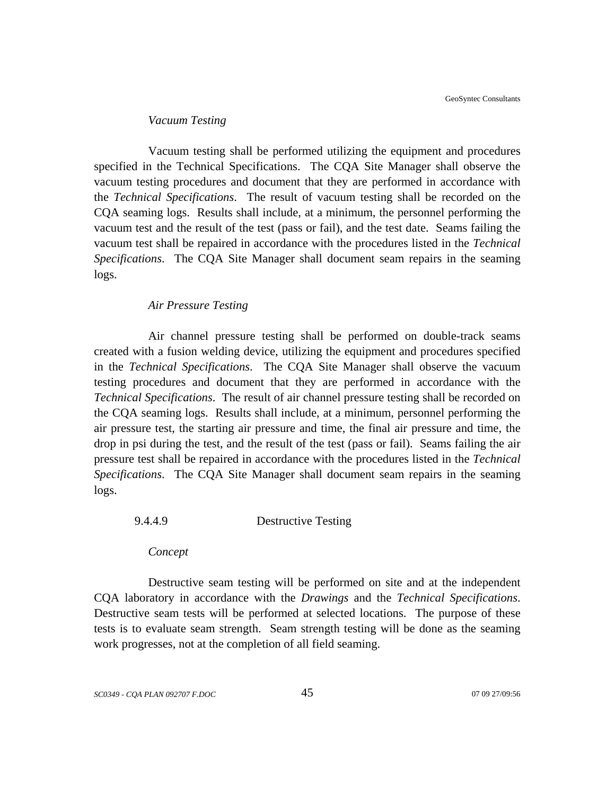#### *Vacuum Testing*

Vacuum testing shall be performed utilizing the equipment and procedures specified in the Technical Specifications. The CQA Site Manager shall observe the vacuum testing procedures and document that they are performed in accordance with the *Technical Specifications*. The result of vacuum testing shall be recorded on the CQA seaming logs. Results shall include, at a minimum, the personnel performing the vacuum test and the result of the test (pass or fail), and the test date. Seams failing the vacuum test shall be repaired in accordance with the procedures listed in the *Technical Specifications*. The CQA Site Manager shall document seam repairs in the seaming logs.

#### *Air Pressure Testing*

Air channel pressure testing shall be performed on double-track seams created with a fusion welding device, utilizing the equipment and procedures specified in the *Technical Specifications*. The CQA Site Manager shall observe the vacuum testing procedures and document that they are performed in accordance with the *Technical Specifications*. The result of air channel pressure testing shall be recorded on the CQA seaming logs. Results shall include, at a minimum, personnel performing the air pressure test, the starting air pressure and time, the final air pressure and time, the drop in psi during the test, and the result of the test (pass or fail). Seams failing the air pressure test shall be repaired in accordance with the procedures listed in the *Technical Specifications*. The CQA Site Manager shall document seam repairs in the seaming logs.

### 9.4.4.9 Destructive Testing

*Concept*

Destructive seam testing will be performed on site and at the independent CQA laboratory in accordance with the *Drawings* and the *Technical Specifications*. Destructive seam tests will be performed at selected locations. The purpose of these tests is to evaluate seam strength. Seam strength testing will be done as the seaming work progresses, not at the completion of all field seaming.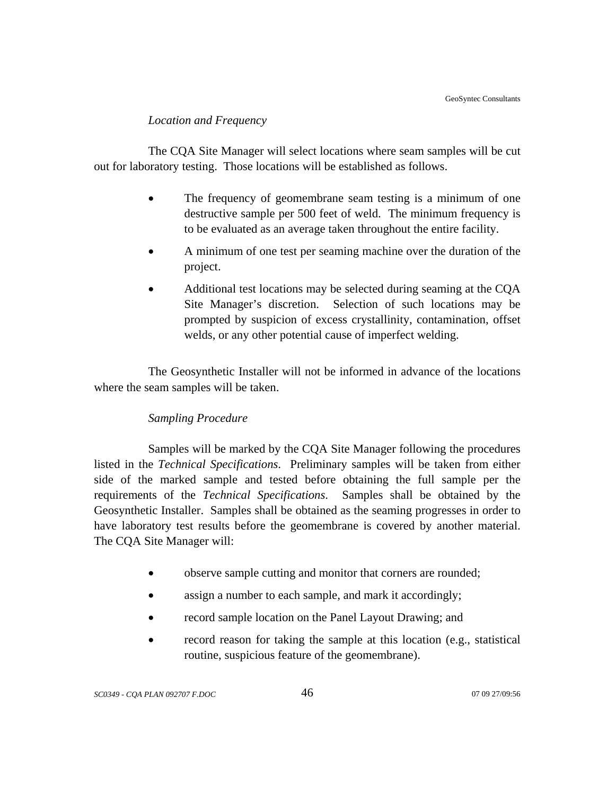#### *Location and Frequency*

The CQA Site Manager will select locations where seam samples will be cut out for laboratory testing. Those locations will be established as follows.

- The frequency of geomembrane seam testing is a minimum of one destructive sample per 500 feet of weld. The minimum frequency is to be evaluated as an average taken throughout the entire facility.
- A minimum of one test per seaming machine over the duration of the project.
- Additional test locations may be selected during seaming at the CQA Site Manager's discretion. Selection of such locations may be prompted by suspicion of excess crystallinity, contamination, offset welds, or any other potential cause of imperfect welding.

The Geosynthetic Installer will not be informed in advance of the locations where the seam samples will be taken.

## *Sampling Procedure*

Samples will be marked by the CQA Site Manager following the procedures listed in the *Technical Specifications*. Preliminary samples will be taken from either side of the marked sample and tested before obtaining the full sample per the requirements of the *Technical Specifications*. Samples shall be obtained by the Geosynthetic Installer. Samples shall be obtained as the seaming progresses in order to have laboratory test results before the geomembrane is covered by another material. The CQA Site Manager will:

- observe sample cutting and monitor that corners are rounded;
- assign a number to each sample, and mark it accordingly;
- record sample location on the Panel Layout Drawing; and
- record reason for taking the sample at this location (e.g., statistical routine, suspicious feature of the geomembrane).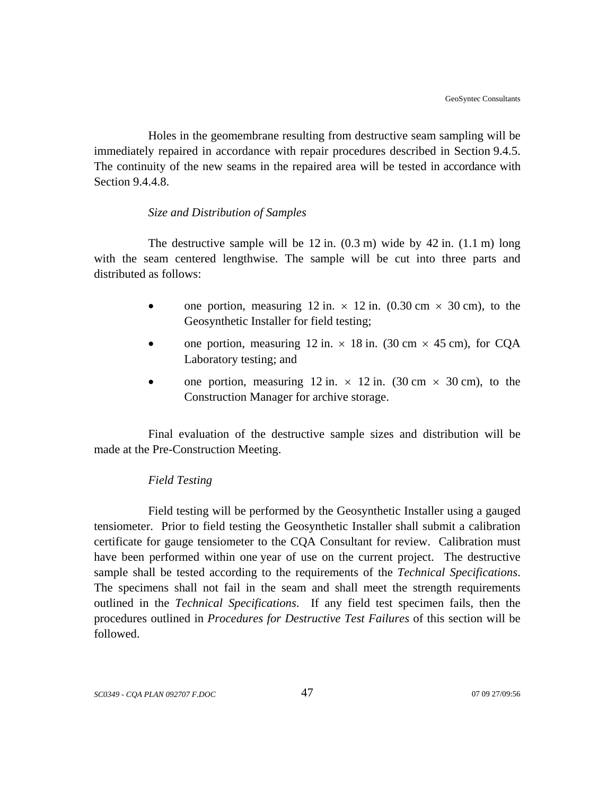Holes in the geomembrane resulting from destructive seam sampling will be immediately repaired in accordance with repair procedures described in Section 9.4.5. The continuity of the new seams in the repaired area will be tested in accordance with Section 9.4.4.8.

## *Size and Distribution of Samples*

The destructive sample will be  $12$  in.  $(0.3 \text{ m})$  wide by  $42$  in.  $(1.1 \text{ m})$  long with the seam centered lengthwise. The sample will be cut into three parts and distributed as follows:

- one portion, measuring 12 in.  $\times$  12 in. (0.30 cm  $\times$  30 cm), to the Geosynthetic Installer for field testing;
- one portion, measuring 12 in.  $\times$  18 in. (30 cm  $\times$  45 cm), for CQA Laboratory testing; and
- one portion, measuring 12 in.  $\times$  12 in. (30 cm  $\times$  30 cm), to the Construction Manager for archive storage.

Final evaluation of the destructive sample sizes and distribution will be made at the Pre-Construction Meeting.

## *Field Testing*

Field testing will be performed by the Geosynthetic Installer using a gauged tensiometer. Prior to field testing the Geosynthetic Installer shall submit a calibration certificate for gauge tensiometer to the CQA Consultant for review. Calibration must have been performed within one year of use on the current project. The destructive sample shall be tested according to the requirements of the *Technical Specifications*. The specimens shall not fail in the seam and shall meet the strength requirements outlined in the *Technical Specifications*. If any field test specimen fails, then the procedures outlined in *Procedures for Destructive Test Failures* of this section will be followed.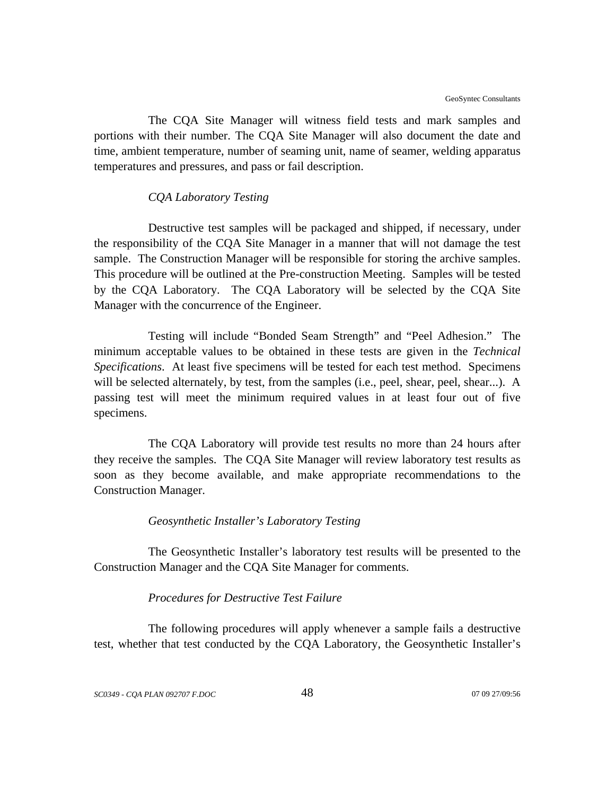The CQA Site Manager will witness field tests and mark samples and portions with their number. The CQA Site Manager will also document the date and time, ambient temperature, number of seaming unit, name of seamer, welding apparatus temperatures and pressures, and pass or fail description.

#### *CQA Laboratory Testing*

Destructive test samples will be packaged and shipped, if necessary, under the responsibility of the CQA Site Manager in a manner that will not damage the test sample. The Construction Manager will be responsible for storing the archive samples. This procedure will be outlined at the Pre-construction Meeting. Samples will be tested by the CQA Laboratory. The CQA Laboratory will be selected by the CQA Site Manager with the concurrence of the Engineer.

Testing will include "Bonded Seam Strength" and "Peel Adhesion." The minimum acceptable values to be obtained in these tests are given in the *Technical Specifications*. At least five specimens will be tested for each test method. Specimens will be selected alternately, by test, from the samples (i.e., peel, shear, peel, shear...). A passing test will meet the minimum required values in at least four out of five specimens.

The CQA Laboratory will provide test results no more than 24 hours after they receive the samples. The CQA Site Manager will review laboratory test results as soon as they become available, and make appropriate recommendations to the Construction Manager.

#### *Geosynthetic Installer's Laboratory Testing*

The Geosynthetic Installer's laboratory test results will be presented to the Construction Manager and the CQA Site Manager for comments.

#### *Procedures for Destructive Test Failure*

The following procedures will apply whenever a sample fails a destructive test, whether that test conducted by the CQA Laboratory, the Geosynthetic Installer's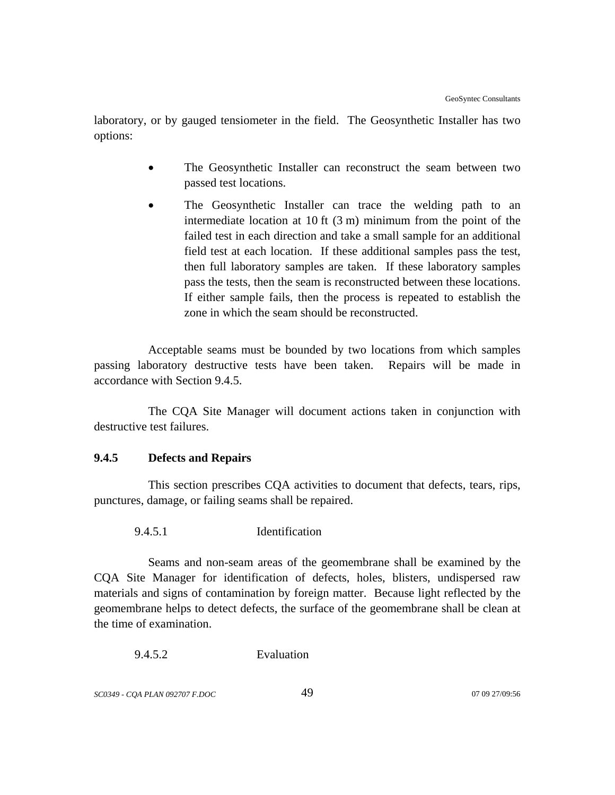laboratory, or by gauged tensiometer in the field. The Geosynthetic Installer has two options:

- The Geosynthetic Installer can reconstruct the seam between two passed test locations.
- The Geosynthetic Installer can trace the welding path to an intermediate location at 10 ft (3 m) minimum from the point of the failed test in each direction and take a small sample for an additional field test at each location. If these additional samples pass the test, then full laboratory samples are taken. If these laboratory samples pass the tests, then the seam is reconstructed between these locations. If either sample fails, then the process is repeated to establish the zone in which the seam should be reconstructed.

Acceptable seams must be bounded by two locations from which samples passing laboratory destructive tests have been taken. Repairs will be made in accordance with Section 9.4.5.

The CQA Site Manager will document actions taken in conjunction with destructive test failures.

## **9.4.5 Defects and Repairs**

This section prescribes CQA activities to document that defects, tears, rips, punctures, damage, or failing seams shall be repaired.

9.4.5.1 Identification

Seams and non-seam areas of the geomembrane shall be examined by the CQA Site Manager for identification of defects, holes, blisters, undispersed raw materials and signs of contamination by foreign matter. Because light reflected by the geomembrane helps to detect defects, the surface of the geomembrane shall be clean at the time of examination.

9.4.5.2 Evaluation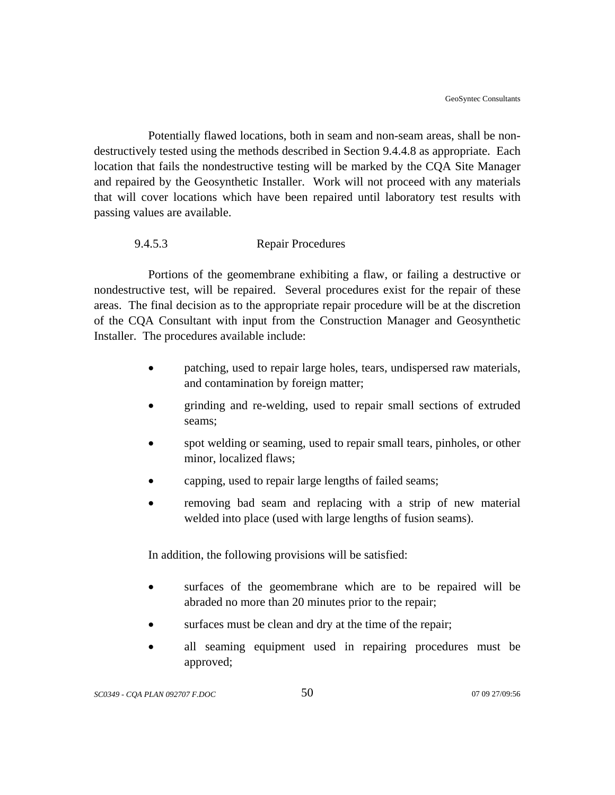Potentially flawed locations, both in seam and non-seam areas, shall be nondestructively tested using the methods described in Section 9.4.4.8 as appropriate. Each location that fails the nondestructive testing will be marked by the CQA Site Manager and repaired by the Geosynthetic Installer. Work will not proceed with any materials that will cover locations which have been repaired until laboratory test results with passing values are available.

## 9.4.5.3 Repair Procedures

Portions of the geomembrane exhibiting a flaw, or failing a destructive or nondestructive test, will be repaired. Several procedures exist for the repair of these areas. The final decision as to the appropriate repair procedure will be at the discretion of the CQA Consultant with input from the Construction Manager and Geosynthetic Installer. The procedures available include:

- patching, used to repair large holes, tears, undispersed raw materials, and contamination by foreign matter;
- grinding and re-welding, used to repair small sections of extruded seams;
- spot welding or seaming, used to repair small tears, pinholes, or other minor, localized flaws;
- capping, used to repair large lengths of failed seams;
- removing bad seam and replacing with a strip of new material welded into place (used with large lengths of fusion seams).

In addition, the following provisions will be satisfied:

- surfaces of the geomembrane which are to be repaired will be abraded no more than 20 minutes prior to the repair;
- surfaces must be clean and dry at the time of the repair;
- all seaming equipment used in repairing procedures must be approved;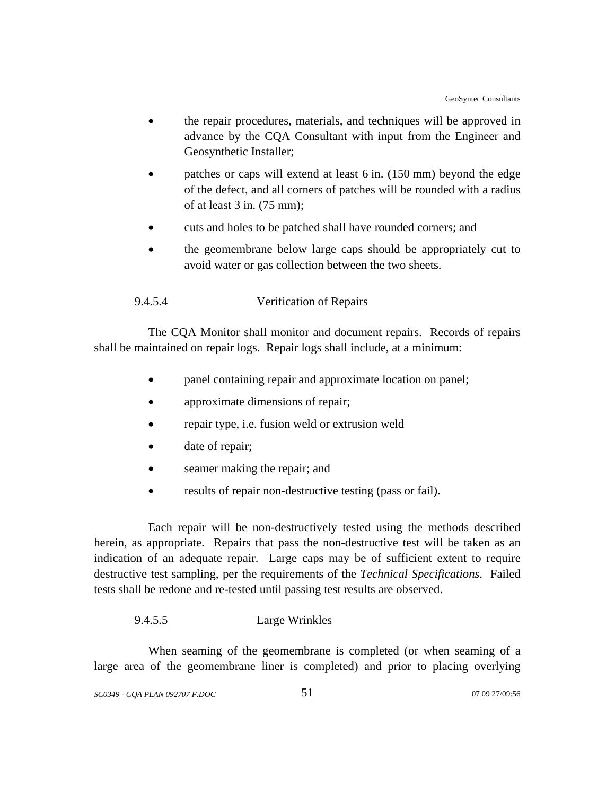- the repair procedures, materials, and techniques will be approved in advance by the CQA Consultant with input from the Engineer and Geosynthetic Installer;
- patches or caps will extend at least 6 in. (150 mm) beyond the edge of the defect, and all corners of patches will be rounded with a radius of at least 3 in. (75 mm);
- cuts and holes to be patched shall have rounded corners; and
- the geomembrane below large caps should be appropriately cut to avoid water or gas collection between the two sheets.

## 9.4.5.4 Verification of Repairs

The CQA Monitor shall monitor and document repairs. Records of repairs shall be maintained on repair logs. Repair logs shall include, at a minimum:

- panel containing repair and approximate location on panel;
- approximate dimensions of repair;
- repair type, i.e. fusion weld or extrusion weld
- date of repair;
- seamer making the repair; and
- results of repair non-destructive testing (pass or fail).

Each repair will be non-destructively tested using the methods described herein, as appropriate. Repairs that pass the non-destructive test will be taken as an indication of an adequate repair. Large caps may be of sufficient extent to require destructive test sampling, per the requirements of the *Technical Specifications*. Failed tests shall be redone and re-tested until passing test results are observed.

#### 9.4.5.5 Large Wrinkles

When seaming of the geomembrane is completed (or when seaming of a large area of the geomembrane liner is completed) and prior to placing overlying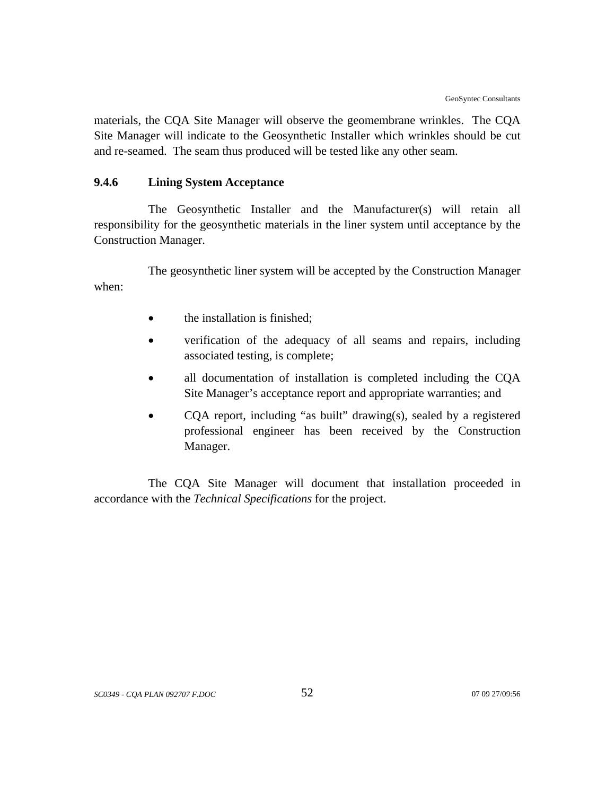materials, the CQA Site Manager will observe the geomembrane wrinkles. The CQA Site Manager will indicate to the Geosynthetic Installer which wrinkles should be cut and re-seamed. The seam thus produced will be tested like any other seam.

## **9.4.6 Lining System Acceptance**

The Geosynthetic Installer and the Manufacturer(s) will retain all responsibility for the geosynthetic materials in the liner system until acceptance by the Construction Manager.

The geosynthetic liner system will be accepted by the Construction Manager when:

- the installation is finished;
- verification of the adequacy of all seams and repairs, including associated testing, is complete;
- all documentation of installation is completed including the CQA Site Manager's acceptance report and appropriate warranties; and
- COA report, including "as built" drawing(s), sealed by a registered professional engineer has been received by the Construction Manager.

The CQA Site Manager will document that installation proceeded in accordance with the *Technical Specifications* for the project.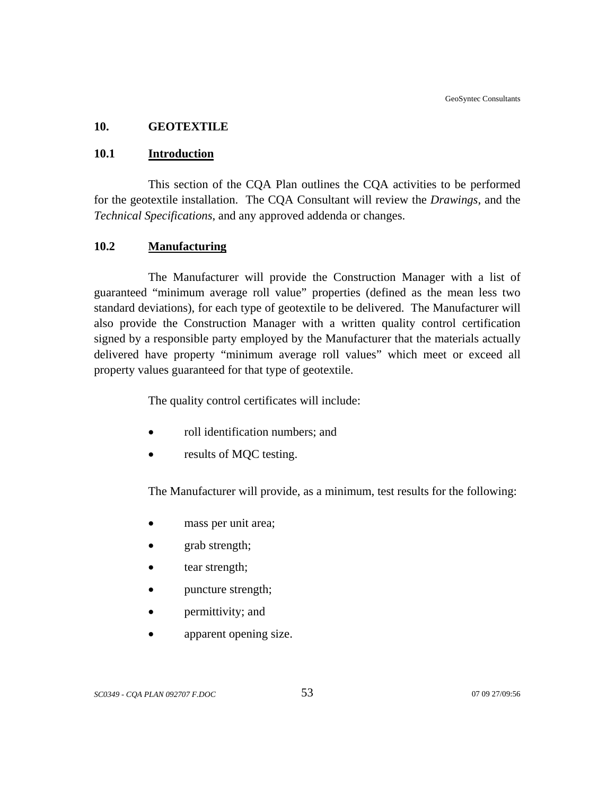### **10. GEOTEXTILE**

#### **10.1 Introduction**

This section of the CQA Plan outlines the CQA activities to be performed for the geotextile installation. The CQA Consultant will review the *Drawings*, and the *Technical Specifications*, and any approved addenda or changes.

#### **10.2 Manufacturing**

The Manufacturer will provide the Construction Manager with a list of guaranteed "minimum average roll value" properties (defined as the mean less two standard deviations), for each type of geotextile to be delivered. The Manufacturer will also provide the Construction Manager with a written quality control certification signed by a responsible party employed by the Manufacturer that the materials actually delivered have property "minimum average roll values" which meet or exceed all property values guaranteed for that type of geotextile.

The quality control certificates will include:

- roll identification numbers; and
- results of MQC testing.

The Manufacturer will provide, as a minimum, test results for the following:

- mass per unit area;
- grab strength;
- tear strength;
- puncture strength;
- permittivity; and
- apparent opening size.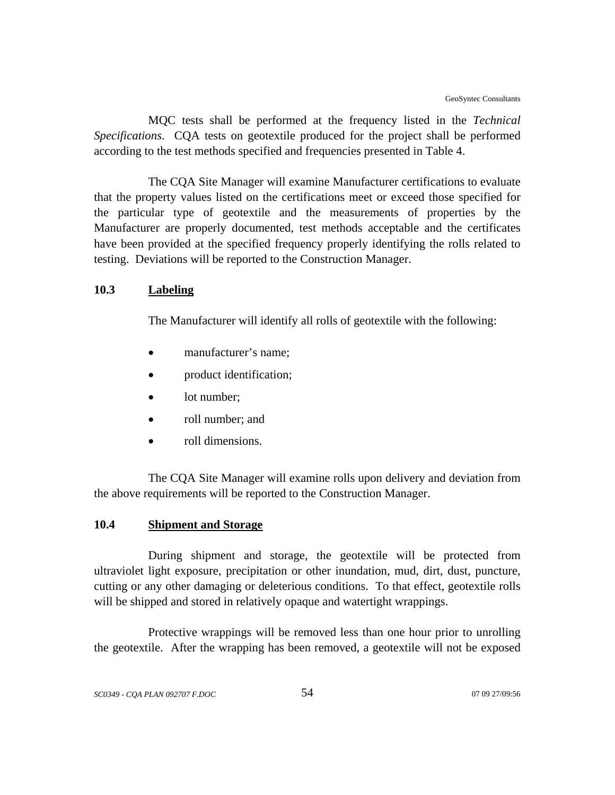MQC tests shall be performed at the frequency listed in the *Technical Specifications*. CQA tests on geotextile produced for the project shall be performed according to the test methods specified and frequencies presented in Table 4.

The CQA Site Manager will examine Manufacturer certifications to evaluate that the property values listed on the certifications meet or exceed those specified for the particular type of geotextile and the measurements of properties by the Manufacturer are properly documented, test methods acceptable and the certificates have been provided at the specified frequency properly identifying the rolls related to testing. Deviations will be reported to the Construction Manager.

#### **10.3 Labeling**

The Manufacturer will identify all rolls of geotextile with the following:

- manufacturer's name;
- product identification;
- lot number;
- roll number; and
- roll dimensions.

The CQA Site Manager will examine rolls upon delivery and deviation from the above requirements will be reported to the Construction Manager.

## **10.4 Shipment and Storage**

During shipment and storage, the geotextile will be protected from ultraviolet light exposure, precipitation or other inundation, mud, dirt, dust, puncture, cutting or any other damaging or deleterious conditions. To that effect, geotextile rolls will be shipped and stored in relatively opaque and watertight wrappings.

Protective wrappings will be removed less than one hour prior to unrolling the geotextile. After the wrapping has been removed, a geotextile will not be exposed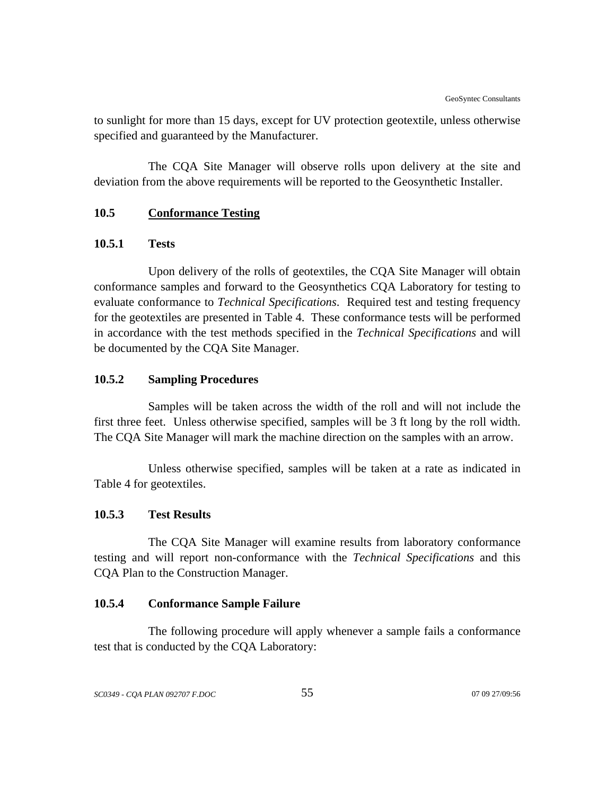to sunlight for more than 15 days, except for UV protection geotextile, unless otherwise specified and guaranteed by the Manufacturer.

The CQA Site Manager will observe rolls upon delivery at the site and deviation from the above requirements will be reported to the Geosynthetic Installer.

## **10.5 Conformance Testing**

### **10.5.1 Tests**

Upon delivery of the rolls of geotextiles, the CQA Site Manager will obtain conformance samples and forward to the Geosynthetics CQA Laboratory for testing to evaluate conformance to *Technical Specifications*. Required test and testing frequency for the geotextiles are presented in Table 4. These conformance tests will be performed in accordance with the test methods specified in the *Technical Specifications* and will be documented by the CQA Site Manager.

#### **10.5.2 Sampling Procedures**

Samples will be taken across the width of the roll and will not include the first three feet. Unless otherwise specified, samples will be 3 ft long by the roll width. The CQA Site Manager will mark the machine direction on the samples with an arrow.

Unless otherwise specified, samples will be taken at a rate as indicated in Table 4 for geotextiles.

## **10.5.3 Test Results**

The CQA Site Manager will examine results from laboratory conformance testing and will report non-conformance with the *Technical Specifications* and this CQA Plan to the Construction Manager.

## **10.5.4 Conformance Sample Failure**

The following procedure will apply whenever a sample fails a conformance test that is conducted by the CQA Laboratory: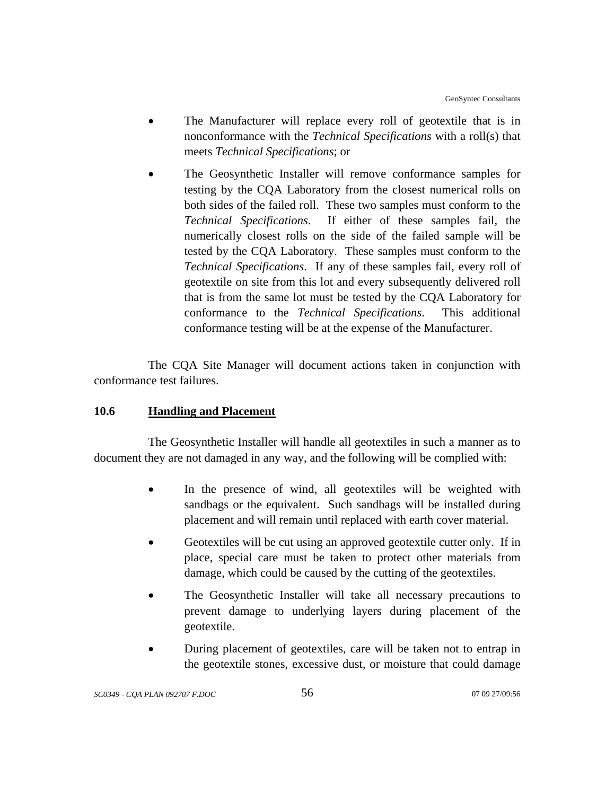- The Manufacturer will replace every roll of geotextile that is in nonconformance with the *Technical Specifications* with a roll(s) that meets *Technical Specifications*; or
- The Geosynthetic Installer will remove conformance samples for testing by the CQA Laboratory from the closest numerical rolls on both sides of the failed roll. These two samples must conform to the *Technical Specifications*. If either of these samples fail, the numerically closest rolls on the side of the failed sample will be tested by the CQA Laboratory. These samples must conform to the *Technical Specifications*. If any of these samples fail, every roll of geotextile on site from this lot and every subsequently delivered roll that is from the same lot must be tested by the CQA Laboratory for conformance to the *Technical Specifications*. This additional conformance testing will be at the expense of the Manufacturer.

The CQA Site Manager will document actions taken in conjunction with conformance test failures.

## **10.6 Handling and Placement**

The Geosynthetic Installer will handle all geotextiles in such a manner as to document they are not damaged in any way, and the following will be complied with:

- In the presence of wind, all geotextiles will be weighted with sandbags or the equivalent. Such sandbags will be installed during placement and will remain until replaced with earth cover material.
- Geotextiles will be cut using an approved geotextile cutter only. If in place, special care must be taken to protect other materials from damage, which could be caused by the cutting of the geotextiles.
- The Geosynthetic Installer will take all necessary precautions to prevent damage to underlying layers during placement of the geotextile.
- During placement of geotextiles, care will be taken not to entrap in the geotextile stones, excessive dust, or moisture that could damage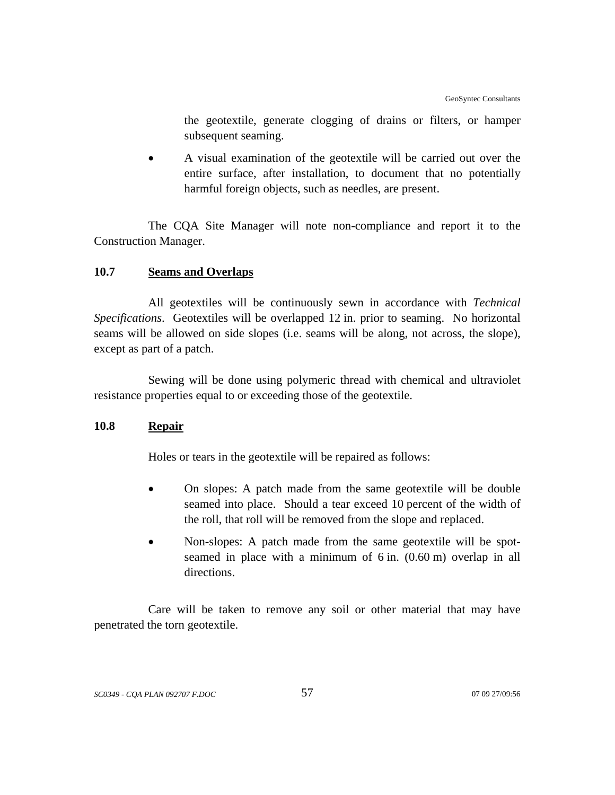the geotextile, generate clogging of drains or filters, or hamper subsequent seaming.

• A visual examination of the geotextile will be carried out over the entire surface, after installation, to document that no potentially harmful foreign objects, such as needles, are present.

The CQA Site Manager will note non-compliance and report it to the Construction Manager.

## **10.7 Seams and Overlaps**

All geotextiles will be continuously sewn in accordance with *Technical Specifications*. Geotextiles will be overlapped 12 in. prior to seaming. No horizontal seams will be allowed on side slopes (i.e. seams will be along, not across, the slope), except as part of a patch.

Sewing will be done using polymeric thread with chemical and ultraviolet resistance properties equal to or exceeding those of the geotextile.

## **10.8 Repair**

Holes or tears in the geotextile will be repaired as follows:

- On slopes: A patch made from the same geotextile will be double seamed into place. Should a tear exceed 10 percent of the width of the roll, that roll will be removed from the slope and replaced.
- Non-slopes: A patch made from the same geotextile will be spotseamed in place with a minimum of 6 in. (0.60 m) overlap in all directions.

Care will be taken to remove any soil or other material that may have penetrated the torn geotextile.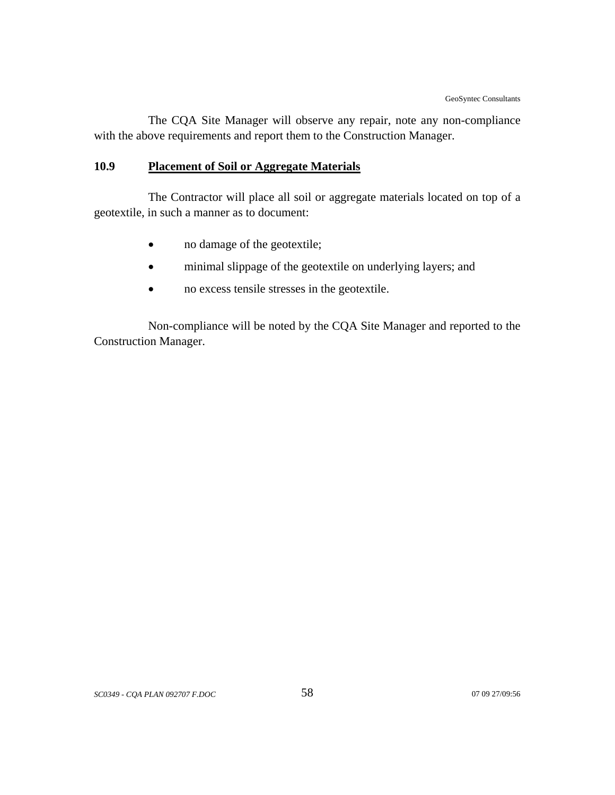The CQA Site Manager will observe any repair, note any non-compliance with the above requirements and report them to the Construction Manager.

# **10.9 Placement of Soil or Aggregate Materials**

The Contractor will place all soil or aggregate materials located on top of a geotextile, in such a manner as to document:

- no damage of the geotextile;
- minimal slippage of the geotextile on underlying layers; and
- no excess tensile stresses in the geotextile.

Non-compliance will be noted by the CQA Site Manager and reported to the Construction Manager.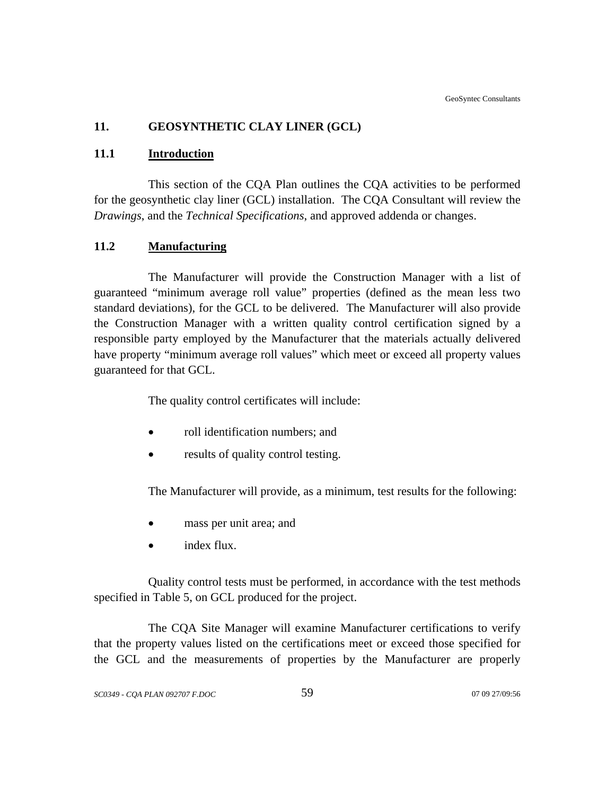# **11. GEOSYNTHETIC CLAY LINER (GCL)**

## **11.1 Introduction**

This section of the CQA Plan outlines the CQA activities to be performed for the geosynthetic clay liner (GCL) installation. The CQA Consultant will review the *Drawings*, and the *Technical Specifications*, and approved addenda or changes.

## **11.2 Manufacturing**

The Manufacturer will provide the Construction Manager with a list of guaranteed "minimum average roll value" properties (defined as the mean less two standard deviations), for the GCL to be delivered. The Manufacturer will also provide the Construction Manager with a written quality control certification signed by a responsible party employed by the Manufacturer that the materials actually delivered have property "minimum average roll values" which meet or exceed all property values guaranteed for that GCL.

The quality control certificates will include:

- roll identification numbers; and
- results of quality control testing.

The Manufacturer will provide, as a minimum, test results for the following:

- mass per unit area; and
- index flux.

Quality control tests must be performed, in accordance with the test methods specified in Table 5, on GCL produced for the project.

The CQA Site Manager will examine Manufacturer certifications to verify that the property values listed on the certifications meet or exceed those specified for the GCL and the measurements of properties by the Manufacturer are properly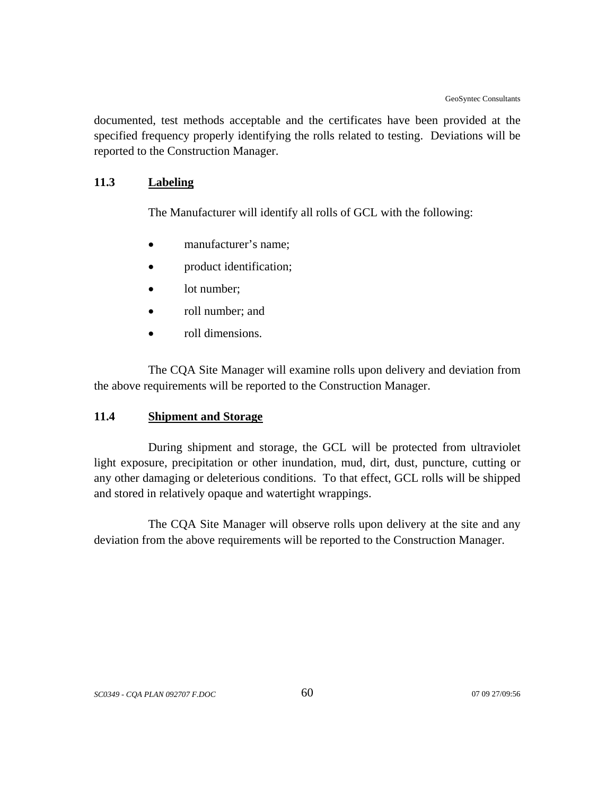documented, test methods acceptable and the certificates have been provided at the specified frequency properly identifying the rolls related to testing. Deviations will be reported to the Construction Manager.

## **11.3 Labeling**

The Manufacturer will identify all rolls of GCL with the following:

- manufacturer's name:
- product identification;
- lot number:
- roll number; and
- roll dimensions.

The CQA Site Manager will examine rolls upon delivery and deviation from the above requirements will be reported to the Construction Manager.

#### **11.4 Shipment and Storage**

During shipment and storage, the GCL will be protected from ultraviolet light exposure, precipitation or other inundation, mud, dirt, dust, puncture, cutting or any other damaging or deleterious conditions. To that effect, GCL rolls will be shipped and stored in relatively opaque and watertight wrappings.

The CQA Site Manager will observe rolls upon delivery at the site and any deviation from the above requirements will be reported to the Construction Manager.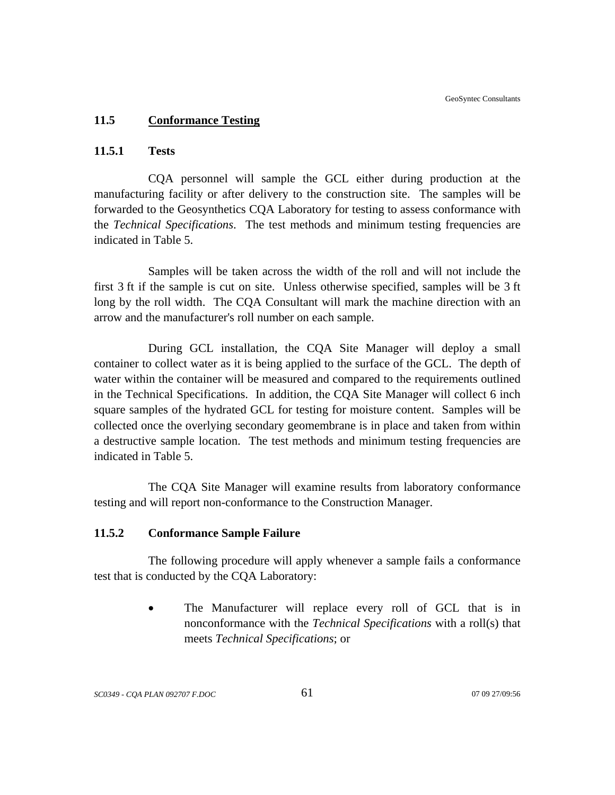### **11.5 Conformance Testing**

## **11.5.1 Tests**

CQA personnel will sample the GCL either during production at the manufacturing facility or after delivery to the construction site. The samples will be forwarded to the Geosynthetics CQA Laboratory for testing to assess conformance with the *Technical Specifications*. The test methods and minimum testing frequencies are indicated in Table 5.

Samples will be taken across the width of the roll and will not include the first 3 ft if the sample is cut on site. Unless otherwise specified, samples will be 3 ft long by the roll width. The CQA Consultant will mark the machine direction with an arrow and the manufacturer's roll number on each sample.

During GCL installation, the CQA Site Manager will deploy a small container to collect water as it is being applied to the surface of the GCL. The depth of water within the container will be measured and compared to the requirements outlined in the Technical Specifications. In addition, the CQA Site Manager will collect 6 inch square samples of the hydrated GCL for testing for moisture content. Samples will be collected once the overlying secondary geomembrane is in place and taken from within a destructive sample location. The test methods and minimum testing frequencies are indicated in Table 5.

The CQA Site Manager will examine results from laboratory conformance testing and will report non-conformance to the Construction Manager.

#### **11.5.2 Conformance Sample Failure**

The following procedure will apply whenever a sample fails a conformance test that is conducted by the CQA Laboratory:

> The Manufacturer will replace every roll of GCL that is in nonconformance with the *Technical Specifications* with a roll(s) that meets *Technical Specifications*; or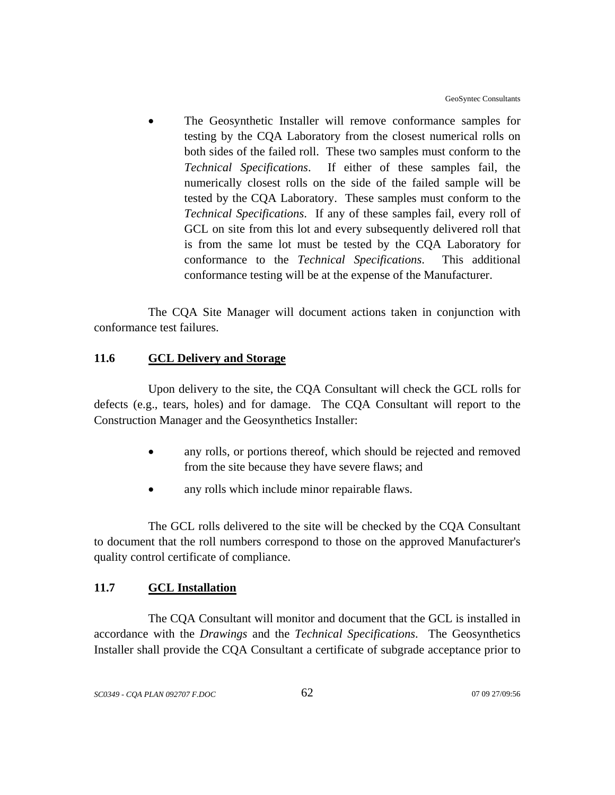The Geosynthetic Installer will remove conformance samples for testing by the CQA Laboratory from the closest numerical rolls on both sides of the failed roll. These two samples must conform to the *Technical Specifications*. If either of these samples fail, the numerically closest rolls on the side of the failed sample will be tested by the CQA Laboratory. These samples must conform to the *Technical Specifications*. If any of these samples fail, every roll of GCL on site from this lot and every subsequently delivered roll that is from the same lot must be tested by the CQA Laboratory for conformance to the *Technical Specifications*. This additional conformance testing will be at the expense of the Manufacturer.

The CQA Site Manager will document actions taken in conjunction with conformance test failures.

## **11.6 GCL Delivery and Storage**

Upon delivery to the site, the CQA Consultant will check the GCL rolls for defects (e.g., tears, holes) and for damage. The CQA Consultant will report to the Construction Manager and the Geosynthetics Installer:

- any rolls, or portions thereof, which should be rejected and removed from the site because they have severe flaws; and
- any rolls which include minor repairable flaws.

The GCL rolls delivered to the site will be checked by the CQA Consultant to document that the roll numbers correspond to those on the approved Manufacturer's quality control certificate of compliance.

# **11.7 GCL Installation**

The CQA Consultant will monitor and document that the GCL is installed in accordance with the *Drawings* and the *Technical Specifications*. The Geosynthetics Installer shall provide the CQA Consultant a certificate of subgrade acceptance prior to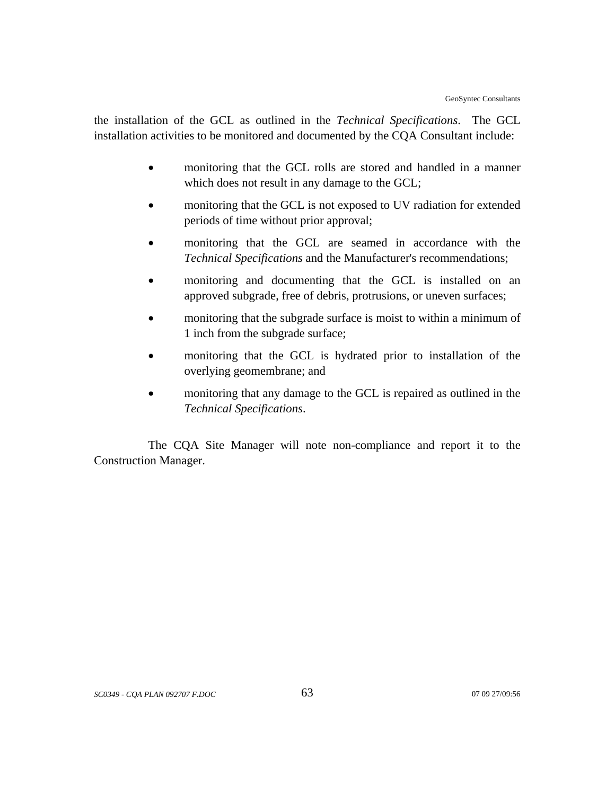the installation of the GCL as outlined in the *Technical Specifications*. The GCL installation activities to be monitored and documented by the CQA Consultant include:

- monitoring that the GCL rolls are stored and handled in a manner which does not result in any damage to the GCL;
- monitoring that the GCL is not exposed to UV radiation for extended periods of time without prior approval;
- monitoring that the GCL are seamed in accordance with the *Technical Specifications* and the Manufacturer's recommendations;
- monitoring and documenting that the GCL is installed on an approved subgrade, free of debris, protrusions, or uneven surfaces;
- monitoring that the subgrade surface is moist to within a minimum of 1 inch from the subgrade surface;
- monitoring that the GCL is hydrated prior to installation of the overlying geomembrane; and
- monitoring that any damage to the GCL is repaired as outlined in the *Technical Specifications*.

The CQA Site Manager will note non-compliance and report it to the Construction Manager.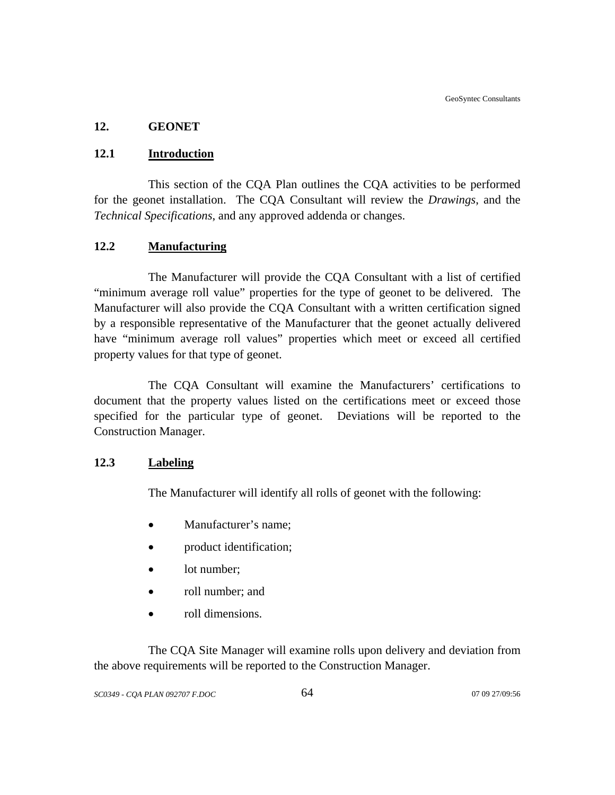## **12. GEONET**

## **12.1 Introduction**

This section of the CQA Plan outlines the CQA activities to be performed for the geonet installation. The CQA Consultant will review the *Drawings*, and the *Technical Specifications*, and any approved addenda or changes.

## **12.2 Manufacturing**

The Manufacturer will provide the CQA Consultant with a list of certified "minimum average roll value" properties for the type of geonet to be delivered. The Manufacturer will also provide the CQA Consultant with a written certification signed by a responsible representative of the Manufacturer that the geonet actually delivered have "minimum average roll values" properties which meet or exceed all certified property values for that type of geonet.

The CQA Consultant will examine the Manufacturers' certifications to document that the property values listed on the certifications meet or exceed those specified for the particular type of geonet. Deviations will be reported to the Construction Manager.

#### **12.3 Labeling**

The Manufacturer will identify all rolls of geonet with the following:

- Manufacturer's name;
- product identification;
- lot number;
- roll number; and
- roll dimensions.

The CQA Site Manager will examine rolls upon delivery and deviation from the above requirements will be reported to the Construction Manager.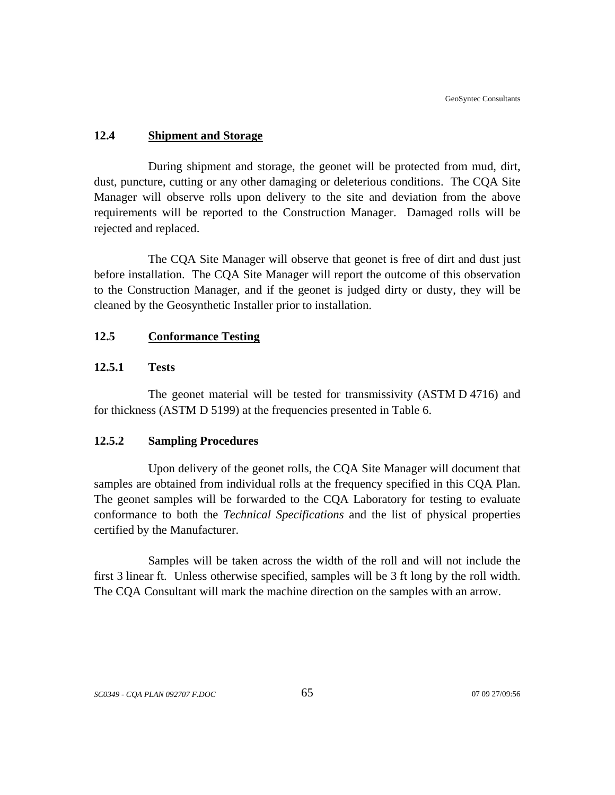## **12.4 Shipment and Storage**

During shipment and storage, the geonet will be protected from mud, dirt, dust, puncture, cutting or any other damaging or deleterious conditions. The CQA Site Manager will observe rolls upon delivery to the site and deviation from the above requirements will be reported to the Construction Manager. Damaged rolls will be rejected and replaced.

The CQA Site Manager will observe that geonet is free of dirt and dust just before installation. The CQA Site Manager will report the outcome of this observation to the Construction Manager, and if the geonet is judged dirty or dusty, they will be cleaned by the Geosynthetic Installer prior to installation.

## **12.5 Conformance Testing**

## **12.5.1 Tests**

The geonet material will be tested for transmissivity (ASTM D 4716) and for thickness (ASTM D 5199) at the frequencies presented in Table 6.

#### **12.5.2 Sampling Procedures**

Upon delivery of the geonet rolls, the CQA Site Manager will document that samples are obtained from individual rolls at the frequency specified in this CQA Plan. The geonet samples will be forwarded to the CQA Laboratory for testing to evaluate conformance to both the *Technical Specifications* and the list of physical properties certified by the Manufacturer.

Samples will be taken across the width of the roll and will not include the first 3 linear ft. Unless otherwise specified, samples will be 3 ft long by the roll width. The CQA Consultant will mark the machine direction on the samples with an arrow.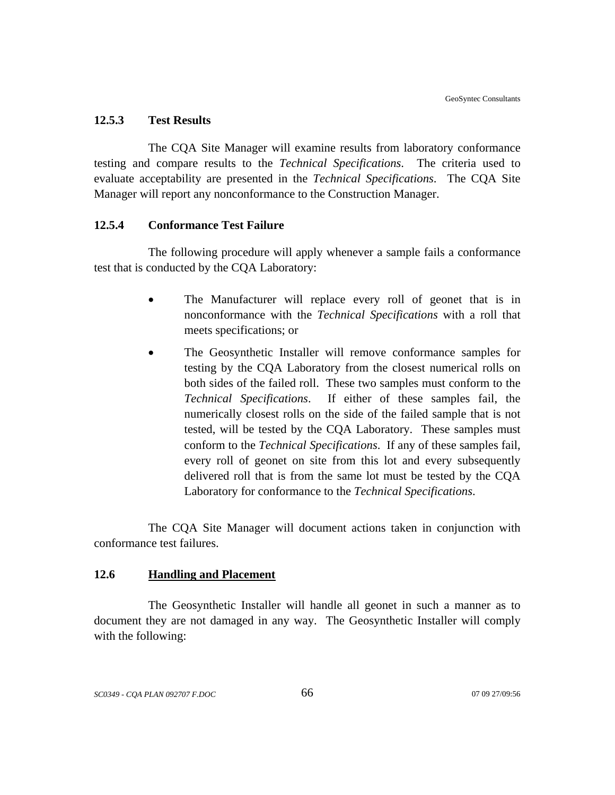#### **12.5.3 Test Results**

The CQA Site Manager will examine results from laboratory conformance testing and compare results to the *Technical Specifications*. The criteria used to evaluate acceptability are presented in the *Technical Specifications*. The CQA Site Manager will report any nonconformance to the Construction Manager.

#### **12.5.4 Conformance Test Failure**

The following procedure will apply whenever a sample fails a conformance test that is conducted by the CQA Laboratory:

- The Manufacturer will replace every roll of geonet that is in nonconformance with the *Technical Specifications* with a roll that meets specifications; or
- The Geosynthetic Installer will remove conformance samples for testing by the CQA Laboratory from the closest numerical rolls on both sides of the failed roll. These two samples must conform to the *Technical Specifications*. If either of these samples fail, the numerically closest rolls on the side of the failed sample that is not tested, will be tested by the CQA Laboratory. These samples must conform to the *Technical Specifications*. If any of these samples fail, every roll of geonet on site from this lot and every subsequently delivered roll that is from the same lot must be tested by the CQA Laboratory for conformance to the *Technical Specifications*.

The CQA Site Manager will document actions taken in conjunction with conformance test failures.

## **12.6 Handling and Placement**

The Geosynthetic Installer will handle all geonet in such a manner as to document they are not damaged in any way. The Geosynthetic Installer will comply with the following: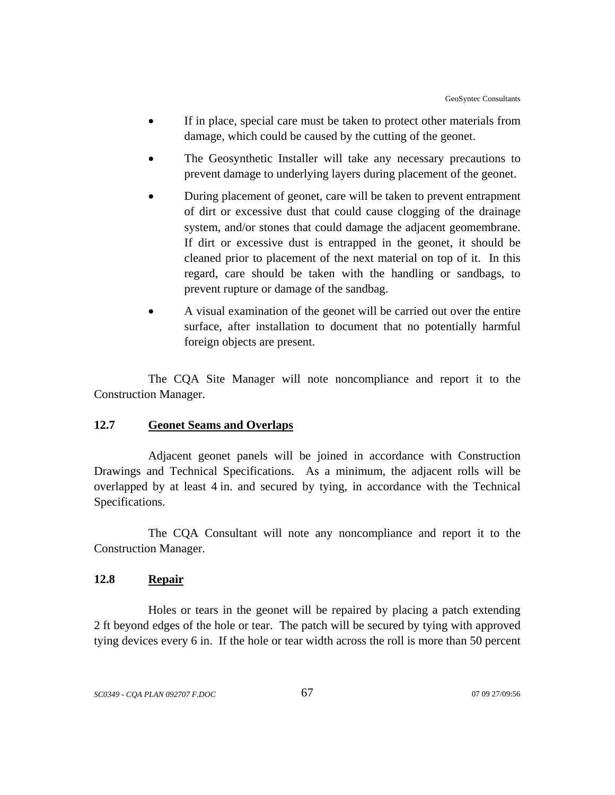- If in place, special care must be taken to protect other materials from damage, which could be caused by the cutting of the geonet.
- The Geosynthetic Installer will take any necessary precautions to prevent damage to underlying layers during placement of the geonet.
- During placement of geonet, care will be taken to prevent entrapment of dirt or excessive dust that could cause clogging of the drainage system, and/or stones that could damage the adjacent geomembrane. If dirt or excessive dust is entrapped in the geonet, it should be cleaned prior to placement of the next material on top of it. In this regard, care should be taken with the handling or sandbags, to prevent rupture or damage of the sandbag.
- A visual examination of the geonet will be carried out over the entire surface, after installation to document that no potentially harmful foreign objects are present.

The CQA Site Manager will note noncompliance and report it to the Construction Manager.

## **12.7 Geonet Seams and Overlaps**

Adjacent geonet panels will be joined in accordance with Construction Drawings and Technical Specifications. As a minimum, the adjacent rolls will be overlapped by at least 4 in. and secured by tying, in accordance with the Technical Specifications.

The CQA Consultant will note any noncompliance and report it to the Construction Manager.

## **12.8 Repair**

Holes or tears in the geonet will be repaired by placing a patch extending 2 ft beyond edges of the hole or tear. The patch will be secured by tying with approved tying devices every 6 in. If the hole or tear width across the roll is more than 50 percent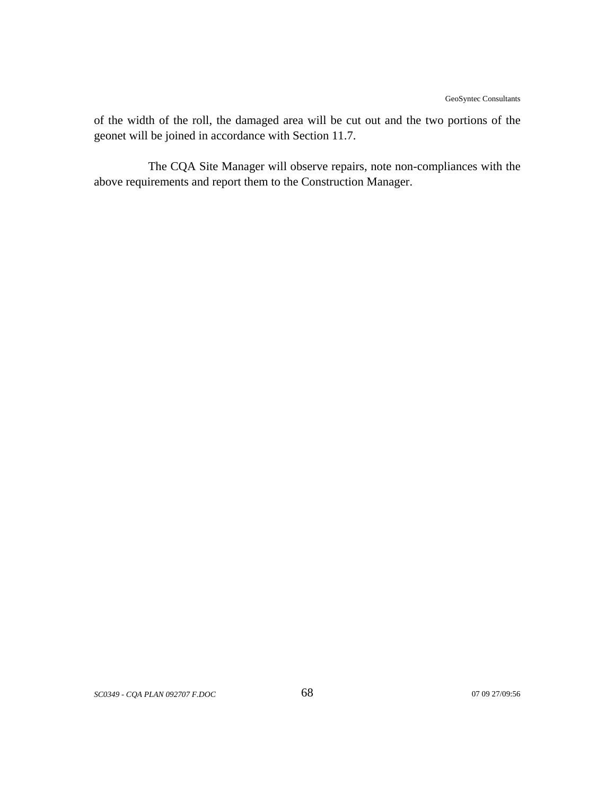of the width of the roll, the damaged area will be cut out and the two portions of the geonet will be joined in accordance with Section 11.7.

The CQA Site Manager will observe repairs, note non-compliances with the above requirements and report them to the Construction Manager.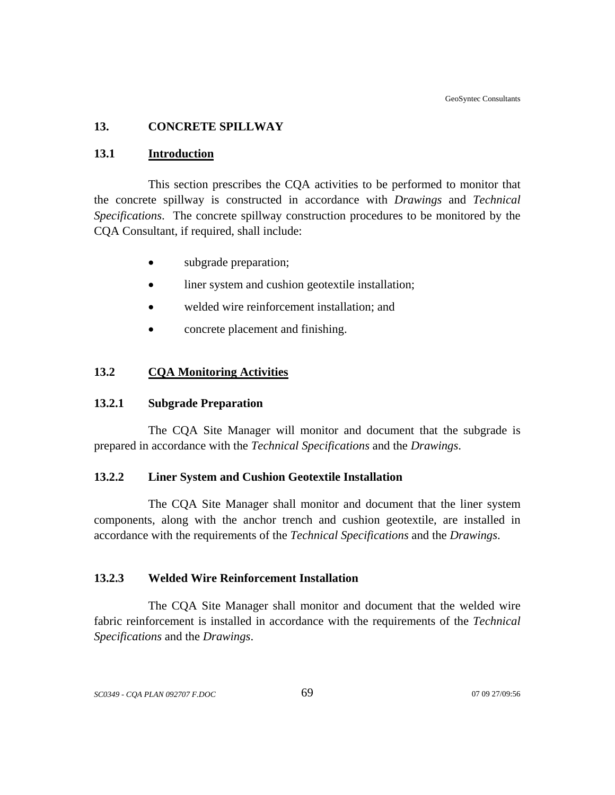## **13. CONCRETE SPILLWAY**

#### **13.1 Introduction**

This section prescribes the CQA activities to be performed to monitor that the concrete spillway is constructed in accordance with *Drawings* and *Technical Specifications*. The concrete spillway construction procedures to be monitored by the CQA Consultant, if required, shall include:

- subgrade preparation;
- liner system and cushion geotextile installation;
- welded wire reinforcement installation; and
- concrete placement and finishing.

#### **13.2 CQA Monitoring Activities**

## **13.2.1 Subgrade Preparation**

The CQA Site Manager will monitor and document that the subgrade is prepared in accordance with the *Technical Specifications* and the *Drawings*.

## **13.2.2 Liner System and Cushion Geotextile Installation**

 The CQA Site Manager shall monitor and document that the liner system components, along with the anchor trench and cushion geotextile, are installed in accordance with the requirements of the *Technical Specifications* and the *Drawings*.

## **13.2.3 Welded Wire Reinforcement Installation**

The CQA Site Manager shall monitor and document that the welded wire fabric reinforcement is installed in accordance with the requirements of the *Technical Specifications* and the *Drawings*.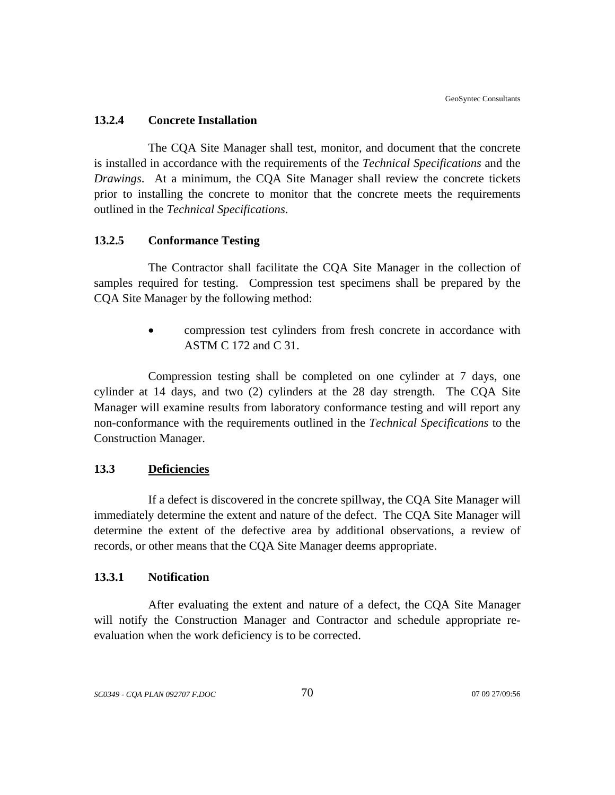#### **13.2.4 Concrete Installation**

The CQA Site Manager shall test, monitor, and document that the concrete is installed in accordance with the requirements of the *Technical Specifications* and the *Drawings*. At a minimum, the CQA Site Manager shall review the concrete tickets prior to installing the concrete to monitor that the concrete meets the requirements outlined in the *Technical Specifications*.

#### **13.2.5 Conformance Testing**

The Contractor shall facilitate the CQA Site Manager in the collection of samples required for testing. Compression test specimens shall be prepared by the CQA Site Manager by the following method:

> • compression test cylinders from fresh concrete in accordance with ASTM C 172 and C 31.

Compression testing shall be completed on one cylinder at 7 days, one cylinder at 14 days, and two (2) cylinders at the 28 day strength. The CQA Site Manager will examine results from laboratory conformance testing and will report any non-conformance with the requirements outlined in the *Technical Specifications* to the Construction Manager.

## **13.3 Deficiencies**

If a defect is discovered in the concrete spillway, the CQA Site Manager will immediately determine the extent and nature of the defect. The CQA Site Manager will determine the extent of the defective area by additional observations, a review of records, or other means that the CQA Site Manager deems appropriate.

## **13.3.1 Notification**

After evaluating the extent and nature of a defect, the CQA Site Manager will notify the Construction Manager and Contractor and schedule appropriate reevaluation when the work deficiency is to be corrected.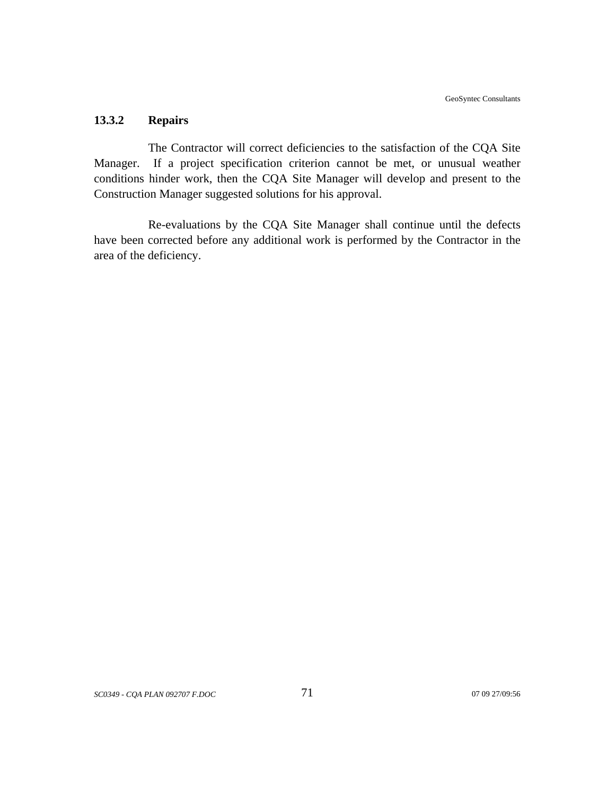## **13.3.2 Repairs**

The Contractor will correct deficiencies to the satisfaction of the CQA Site Manager. If a project specification criterion cannot be met, or unusual weather conditions hinder work, then the CQA Site Manager will develop and present to the Construction Manager suggested solutions for his approval.

Re-evaluations by the CQA Site Manager shall continue until the defects have been corrected before any additional work is performed by the Contractor in the area of the deficiency.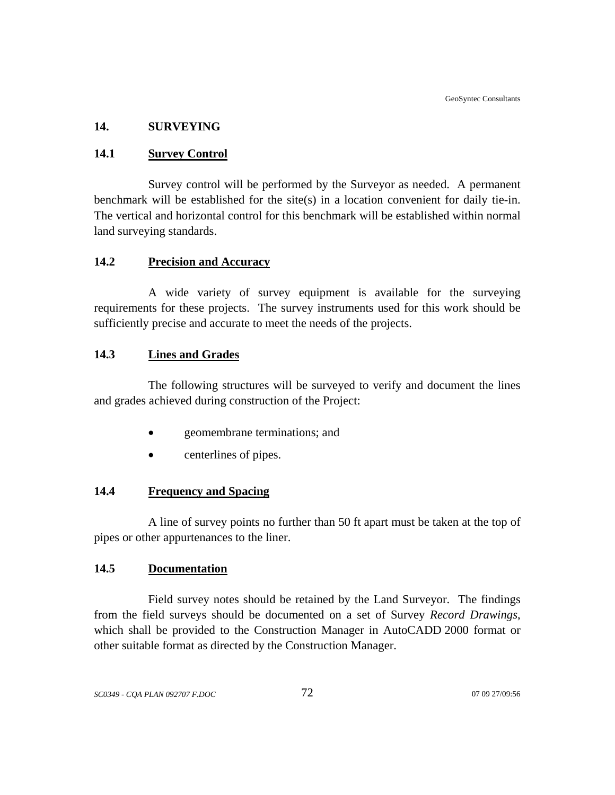## **14. SURVEYING**

#### **14.1 Survey Control**

Survey control will be performed by the Surveyor as needed. A permanent benchmark will be established for the site(s) in a location convenient for daily tie-in. The vertical and horizontal control for this benchmark will be established within normal land surveying standards.

## **14.2 Precision and Accuracy**

A wide variety of survey equipment is available for the surveying requirements for these projects. The survey instruments used for this work should be sufficiently precise and accurate to meet the needs of the projects.

## **14.3 Lines and Grades**

The following structures will be surveyed to verify and document the lines and grades achieved during construction of the Project:

- geomembrane terminations; and
- centerlines of pipes.

## **14.4 Frequency and Spacing**

A line of survey points no further than 50 ft apart must be taken at the top of pipes or other appurtenances to the liner.

## **14.5 Documentation**

Field survey notes should be retained by the Land Surveyor. The findings from the field surveys should be documented on a set of Survey *Record Drawings*, which shall be provided to the Construction Manager in AutoCADD 2000 format or other suitable format as directed by the Construction Manager.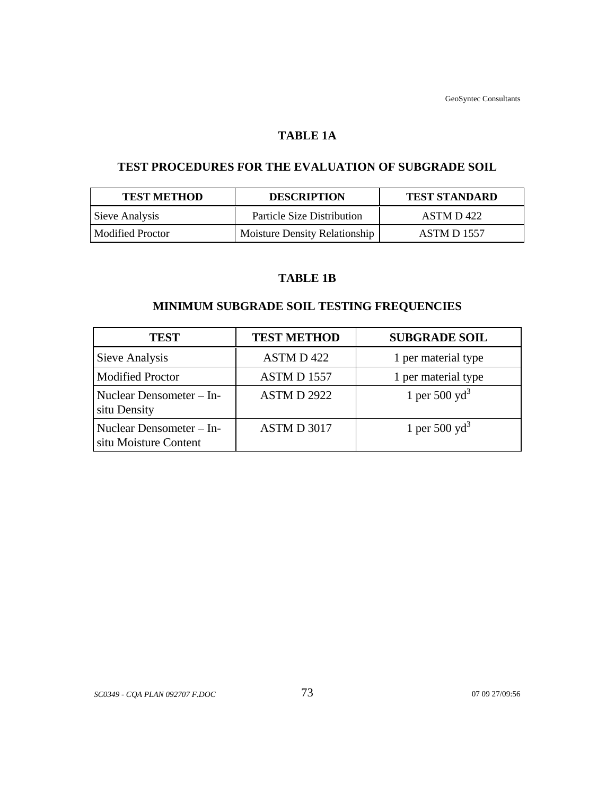## **TABLE 1A**

## **TEST PROCEDURES FOR THE EVALUATION OF SUBGRADE SOIL**

| <b>TEST METHOD</b> | <b>DESCRIPTION</b>                   | <b>TEST STANDARD</b> |
|--------------------|--------------------------------------|----------------------|
| Sieve Analysis     | <b>Particle Size Distribution</b>    | ASTM D 422           |
| Modified Proctor   | <b>Moisture Density Relationship</b> | ASTM D 1557          |

## **TABLE 1B**

# **MINIMUM SUBGRADE SOIL TESTING FREQUENCIES**

| <b>TEST</b>                                       | <b>TEST METHOD</b> | <b>SUBGRADE SOIL</b>      |
|---------------------------------------------------|--------------------|---------------------------|
| Sieve Analysis                                    | ASTM D 422         | 1 per material type       |
| <b>Modified Proctor</b>                           | ASTMD 1557         | 1 per material type       |
| Nuclear Densometer - In-<br>situ Density          | <b>ASTM D 2922</b> | 1 per 500 $yd^3$          |
| Nuclear Densometer - In-<br>situ Moisture Content | ASTM D 3017        | 1 per 500 yd <sup>3</sup> |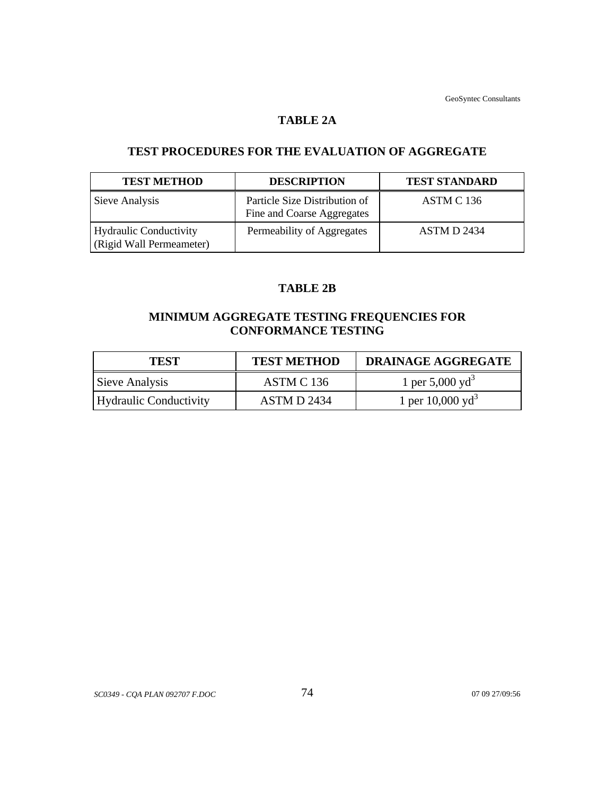#### **TABLE 2A**

# **TEST PROCEDURES FOR THE EVALUATION OF AGGREGATE**

| <b>TEST METHOD</b>                                        | <b>DESCRIPTION</b>                                          | <b>TEST STANDARD</b> |
|-----------------------------------------------------------|-------------------------------------------------------------|----------------------|
| Sieve Analysis                                            | Particle Size Distribution of<br>Fine and Coarse Aggregates | ASTM C 136           |
| <b>Hydraulic Conductivity</b><br>(Rigid Wall Permeameter) | Permeability of Aggregates                                  | <b>ASTM D 2434</b>   |

## **TABLE 2B**

# **MINIMUM AGGREGATE TESTING FREQUENCIES FOR CONFORMANCE TESTING**

| <b>TEST</b>            | <b>TEST METHOD</b> | <b>DRAINAGE AGGREGATE</b>   |
|------------------------|--------------------|-----------------------------|
| Sieve Analysis         | ASTM C 136         | 1 per 5,000 yd <sup>3</sup> |
| Hydraulic Conductivity | ASTM D 2434        | 1 per $10,000 \text{ yd}^3$ |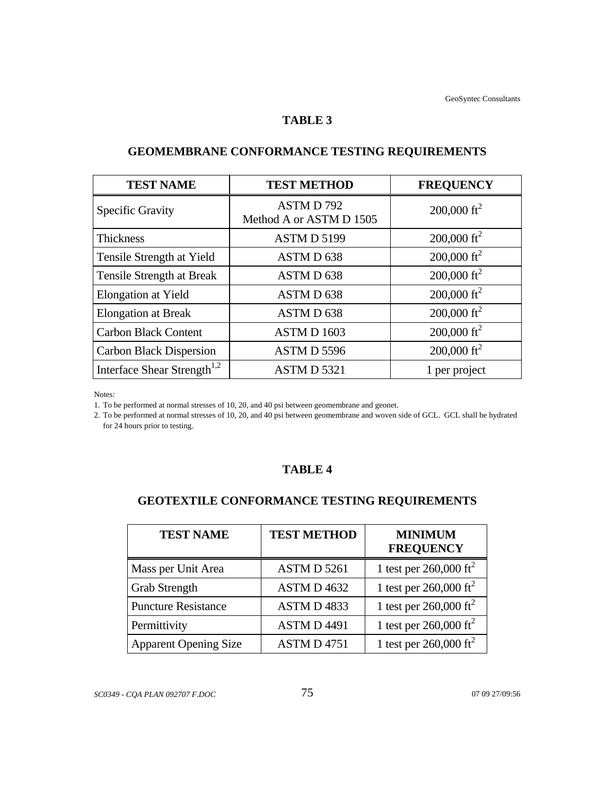#### **TABLE 3**

| <b>TEST NAME</b>                        | <b>TEST METHOD</b>                  | <b>FREQUENCY</b>        |
|-----------------------------------------|-------------------------------------|-------------------------|
| <b>Specific Gravity</b>                 | ASTMD792<br>Method A or ASTM D 1505 | 200,000 ft <sup>2</sup> |
| <b>Thickness</b>                        | ASTMD 5199                          | 200,000 ft <sup>2</sup> |
| Tensile Strength at Yield               | ASTM D 638                          | 200,000 ft <sup>2</sup> |
| Tensile Strength at Break               | ASTMD 638                           | 200,000 ft <sup>2</sup> |
| Elongation at Yield                     | ASTMD 638                           | 200,000 ft <sup>2</sup> |
| <b>Elongation at Break</b>              | ASTMD 638                           | $200,000 \text{ ft}^2$  |
| <b>Carbon Black Content</b>             | ASTMD 1603                          | 200,000 ft <sup>2</sup> |
| <b>Carbon Black Dispersion</b>          | ASTMD 5596                          | 200,000 ft <sup>2</sup> |
| Interface Shear Strength <sup>1,2</sup> | ASTMD 5321                          | 1 per project           |

# **GEOMEMBRANE CONFORMANCE TESTING REQUIREMENTS**

Notes:

1. To be performed at normal stresses of 10, 20, and 40 psi between geomembrane and geonet.

2. To be performed at normal stresses of 10, 20, and 40 psi between geomembrane and woven side of GCL. GCL shall be hydrated for 24 hours prior to testing.

## **TABLE 4**

# **GEOTEXTILE CONFORMANCE TESTING REQUIREMENTS**

| <b>TEST NAME</b>             | <b>TEST METHOD</b> | <b>MINIMUM</b><br><b>FREQUENCY</b> |
|------------------------------|--------------------|------------------------------------|
| Mass per Unit Area           | ASTM D 5261        | 1 test per $260,000 \text{ ft}^2$  |
| <b>Grab Strength</b>         | ASTM D 4632        | 1 test per $260,000 \text{ ft}^2$  |
| <b>Puncture Resistance</b>   | ASTMD4833          | 1 test per $260,000 \text{ ft}^2$  |
| Permittivity                 | <b>ASTMD4491</b>   | 1 test per $260,000 \text{ ft}^2$  |
| <b>Apparent Opening Size</b> | <b>ASTM D 4751</b> | 1 test per $260,000 \text{ ft}^2$  |